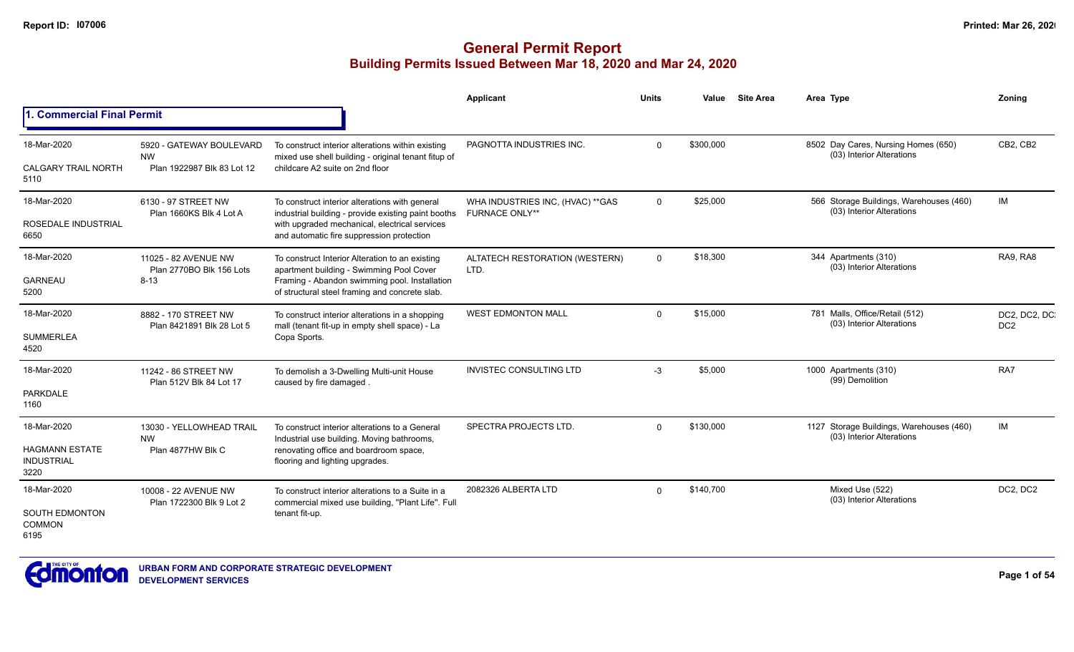|                                                    |                                                                                                                                                                              |                                                                                                                                                   | Applicant                         | <b>Units</b> | Value     | <b>Site Area</b> |                                              | Area Type                                                             | Zonina                           |
|----------------------------------------------------|------------------------------------------------------------------------------------------------------------------------------------------------------------------------------|---------------------------------------------------------------------------------------------------------------------------------------------------|-----------------------------------|--------------|-----------|------------------|----------------------------------------------|-----------------------------------------------------------------------|----------------------------------|
| 1. Commercial Final Permit                         |                                                                                                                                                                              |                                                                                                                                                   |                                   |              |           |                  |                                              |                                                                       |                                  |
| 18-Mar-2020                                        | 5920 - GATEWAY BOULEVARD                                                                                                                                                     | To construct interior alterations within existing                                                                                                 | PAGNOTTA INDUSTRIES INC.          | $\Omega$     | \$300,000 |                  |                                              | 8502 Day Cares, Nursing Homes (650)<br>(03) Interior Alterations      | CB2, CB2                         |
| <b>CALGARY TRAIL NORTH</b><br>5110                 | <b>NW</b><br>Plan 1922987 Blk 83 Lot 12                                                                                                                                      | mixed use shell building - original tenant fitup of<br>childcare A2 suite on 2nd floor                                                            |                                   |              |           |                  |                                              |                                                                       |                                  |
| 18-Mar-2020                                        | 6130 - 97 STREET NW                                                                                                                                                          | To construct interior alterations with general                                                                                                    | WHA INDUSTRIES INC, (HVAC) ** GAS | $\Omega$     | \$25,000  |                  |                                              | 566 Storage Buildings, Warehouses (460)<br>(03) Interior Alterations  | IM                               |
| ROSEDALE INDUSTRIAL<br>6650                        | Plan 1660KS Blk 4 Lot A                                                                                                                                                      | industrial building - provide existing paint booths<br>with upgraded mechanical, electrical services<br>and automatic fire suppression protection | <b>FURNACE ONLY**</b>             |              |           |                  |                                              |                                                                       |                                  |
| 18-Mar-2020                                        | 11025 - 82 AVENUE NW                                                                                                                                                         | To construct Interior Alteration to an existing                                                                                                   | ALTATECH RESTORATION (WESTERN)    | $\Omega$     | \$18,300  |                  |                                              | 344 Apartments (310)<br>(03) Interior Alterations                     | RA9, RA8                         |
| <b>GARNEAU</b><br>5200                             | Plan 2770BO Blk 156 Lots<br>$8 - 13$                                                                                                                                         | apartment building - Swimming Pool Cover<br>Framing - Abandon swimming pool. Installation<br>of structural steel framing and concrete slab.       | LTD.                              |              |           |                  |                                              |                                                                       |                                  |
| 18-Mar-2020                                        | 8882 - 170 STREET NW<br>mall (tenant fit-up in empty shell space) - La<br>Plan 8421891 Blk 28 Lot 5<br>Copa Sports.                                                          | To construct interior alterations in a shopping                                                                                                   | <b>WEST EDMONTON MALL</b>         | $\Omega$     | \$15,000  |                  |                                              | 781 Malls, Office/Retail (512)<br>(03) Interior Alterations           | DC2, DC2, DC.<br>DC <sub>2</sub> |
| <b>SUMMERLEA</b><br>4520                           |                                                                                                                                                                              |                                                                                                                                                   |                                   |              |           |                  |                                              |                                                                       |                                  |
| 18-Mar-2020                                        | 11242 - 86 STREET NW<br>Plan 512V Blk 84 Lot 17                                                                                                                              | To demolish a 3-Dwelling Multi-unit House<br>caused by fire damaged                                                                               | INVISTEC CONSULTING LTD           | $-3$         | \$5,000   |                  |                                              | 1000 Apartments (310)<br>(99) Demolition                              | RA7                              |
| <b>PARKDALE</b><br>1160                            |                                                                                                                                                                              |                                                                                                                                                   |                                   |              |           |                  |                                              |                                                                       |                                  |
| 18-Mar-2020                                        | 13030 - YELLOWHEAD TRAIL<br><b>NW</b>                                                                                                                                        | To construct interior alterations to a General                                                                                                    | SPECTRA PROJECTS LTD.             | $\Omega$     | \$130,000 |                  |                                              | 1127 Storage Buildings, Warehouses (460)<br>(03) Interior Alterations | IM                               |
| <b>HAGMANN ESTATE</b><br><b>INDUSTRIAL</b><br>3220 | Plan 4877HW Blk C                                                                                                                                                            | Industrial use building. Moving bathrooms,<br>renovating office and boardroom space,<br>flooring and lighting upgrades.                           |                                   |              |           |                  |                                              |                                                                       |                                  |
| 18-Mar-2020                                        | 10008 - 22 AVENUE NW<br>To construct interior alterations to a Suite in a<br>Plan 1722300 Blk 9 Lot 2<br>commercial mixed use building, "Plant Life". Full<br>tenant fit-up. | 2082326 ALBERTA LTD                                                                                                                               | $\Omega$                          | \$140,700    |           |                  | Mixed Use (522)<br>(03) Interior Alterations | DC2, DC2                                                              |                                  |
| <b>SOUTH EDMONTON</b><br><b>COMMON</b><br>6195     |                                                                                                                                                                              |                                                                                                                                                   |                                   |              |           |                  |                                              |                                                                       |                                  |

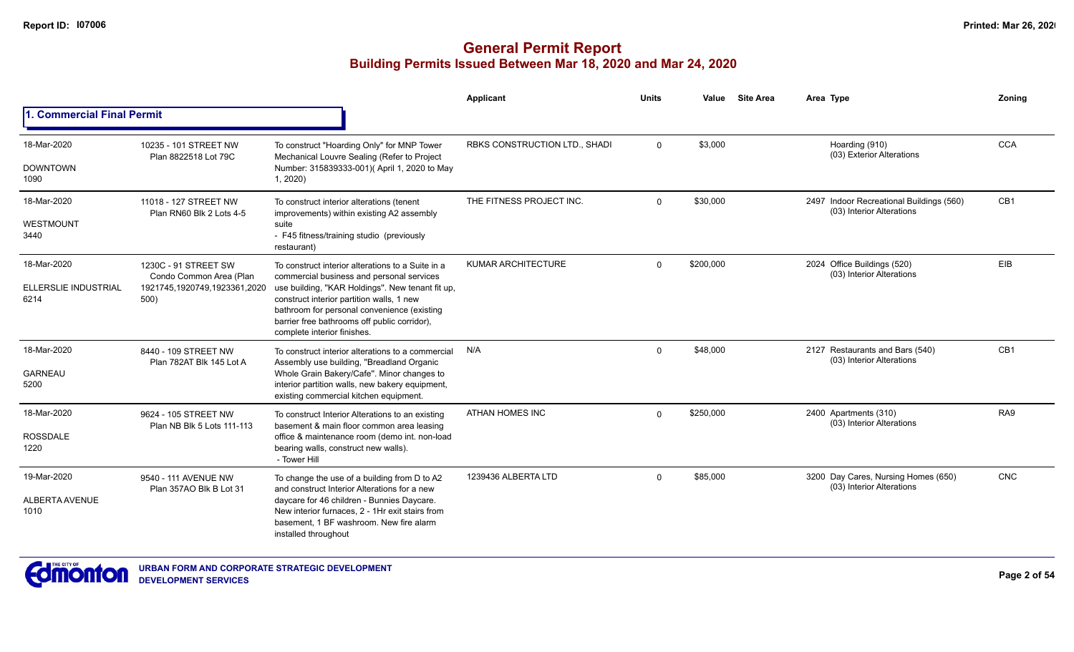|                                              |                                                    |                                                                                                                                                                                                                                                                  | Applicant                            | <b>Units</b> | Value     | <b>Site Area</b> | Area Type                                                             | Zoning          |
|----------------------------------------------|----------------------------------------------------|------------------------------------------------------------------------------------------------------------------------------------------------------------------------------------------------------------------------------------------------------------------|--------------------------------------|--------------|-----------|------------------|-----------------------------------------------------------------------|-----------------|
| <b>Commercial Final Permit</b>               |                                                    |                                                                                                                                                                                                                                                                  |                                      |              |           |                  |                                                                       |                 |
| 18-Mar-2020                                  | 10235 - 101 STREET NW                              | To construct "Hoarding Only" for MNP Tower                                                                                                                                                                                                                       | <b>RBKS CONSTRUCTION LTD., SHADI</b> | $\Omega$     | \$3,000   |                  | Hoarding (910)<br>(03) Exterior Alterations                           | <b>CCA</b>      |
| <b>DOWNTOWN</b><br>1090                      | Plan 8822518 Lot 79C                               | Mechanical Louvre Sealing (Refer to Project<br>Number: 315839333-001)( April 1, 2020 to May<br>1, 2020                                                                                                                                                           |                                      |              |           |                  |                                                                       |                 |
| 18-Mar-2020                                  | 11018 - 127 STREET NW<br>Plan RN60 Blk 2 Lots 4-5  | To construct interior alterations (tenent<br>improvements) within existing A2 assembly                                                                                                                                                                           | THE FITNESS PROJECT INC.             | $\Omega$     | \$30,000  |                  | 2497 Indoor Recreational Buildings (560)<br>(03) Interior Alterations | CB <sub>1</sub> |
| WESTMOUNT<br>3440                            |                                                    | suite<br>- F45 fitness/training studio (previously<br>restaurant)                                                                                                                                                                                                |                                      |              |           |                  |                                                                       |                 |
| 18-Mar-2020                                  | 1230C - 91 STREET SW<br>Condo Common Area (Plan    | To construct interior alterations to a Suite in a<br>commercial business and personal services                                                                                                                                                                   | <b>KUMAR ARCHITECTURE</b>            | $\Omega$     | \$200,000 |                  | 2024 Office Buildings (520)<br>(03) Interior Alterations              | EIB             |
| ELLERSLIE INDUSTRIAL<br>6214                 | 1921745,1920749,1923361,2020<br>500)               | use building, "KAR Holdings". New tenant fit up,<br>construct interior partition walls, 1 new<br>bathroom for personal convenience (existing<br>barrier free bathrooms off public corridor),<br>complete interior finishes.                                      |                                      |              |           |                  |                                                                       |                 |
| 18-Mar-2020                                  | 8440 - 109 STREET NW<br>Plan 782AT Blk 145 Lot A   | To construct interior alterations to a commercial<br>Assembly use building, "Breadland Organic                                                                                                                                                                   | N/A                                  | $\Omega$     | \$48,000  |                  | 2127 Restaurants and Bars (540)<br>(03) Interior Alterations          | CB <sub>1</sub> |
| <b>GARNEAU</b><br>5200                       |                                                    | Whole Grain Bakery/Cafe". Minor changes to<br>interior partition walls, new bakery equipment,<br>existing commercial kitchen equipment.                                                                                                                          |                                      |              |           |                  |                                                                       |                 |
| 18-Mar-2020                                  | 9624 - 105 STREET NW<br>Plan NB Blk 5 Lots 111-113 | To construct Interior Alterations to an existing<br>basement & main floor common area leasing                                                                                                                                                                    | <b>ATHAN HOMES INC</b>               | $\Omega$     | \$250,000 |                  | 2400 Apartments (310)<br>(03) Interior Alterations                    | RA <sub>9</sub> |
| <b>ROSSDALE</b><br>1220                      |                                                    | office & maintenance room (demo int. non-load<br>bearing walls, construct new walls).<br>- Tower Hill                                                                                                                                                            |                                      |              |           |                  |                                                                       |                 |
| 19-Mar-2020<br><b>ALBERTA AVENUE</b><br>1010 | 9540 - 111 AVENUE NW<br>Plan 357AO Blk B Lot 31    | To change the use of a building from D to A2<br>and construct Interior Alterations for a new<br>daycare for 46 children - Bunnies Daycare.<br>New interior furnaces, 2 - 1Hr exit stairs from<br>basement. 1 BF washroom. New fire alarm<br>installed throughout | 1239436 ALBERTA LTD                  | $\Omega$     | \$85,000  |                  | 3200 Day Cares, Nursing Homes (650)<br>(03) Interior Alterations      | <b>CNC</b>      |

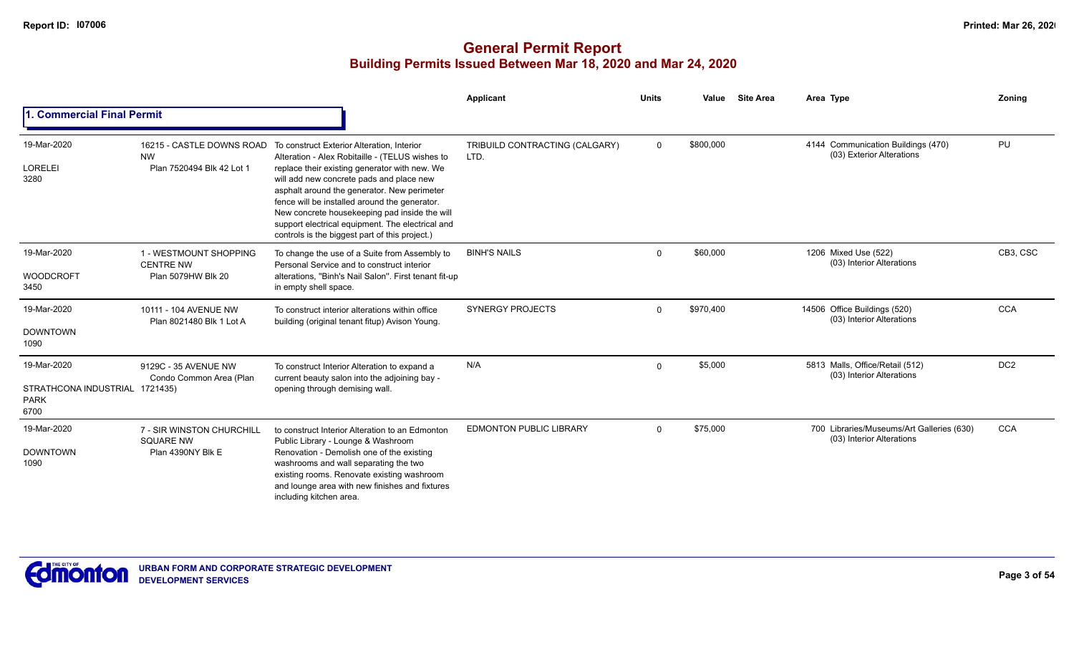|                                                                      |                                                                    |                                                                                                                                                                                                                                                                                                                                                                                                                                                                             | Applicant                              | <b>Units</b> | Value     | <b>Site Area</b> | Area Type                                                              | Zoning          |
|----------------------------------------------------------------------|--------------------------------------------------------------------|-----------------------------------------------------------------------------------------------------------------------------------------------------------------------------------------------------------------------------------------------------------------------------------------------------------------------------------------------------------------------------------------------------------------------------------------------------------------------------|----------------------------------------|--------------|-----------|------------------|------------------------------------------------------------------------|-----------------|
| 1. Commercial Final Permit                                           |                                                                    |                                                                                                                                                                                                                                                                                                                                                                                                                                                                             |                                        |              |           |                  |                                                                        |                 |
| 19-Mar-2020<br><b>LORELEI</b><br>3280                                | <b>NW</b><br>Plan 7520494 Blk 42 Lot 1                             | 16215 - CASTLE DOWNS ROAD To construct Exterior Alteration, Interior<br>Alteration - Alex Robitaille - (TELUS wishes to<br>replace their existing generator with new. We<br>will add new concrete pads and place new<br>asphalt around the generator. New perimeter<br>fence will be installed around the generator.<br>New concrete housekeeping pad inside the will<br>support electrical equipment. The electrical and<br>controls is the biggest part of this project.) | TRIBUILD CONTRACTING (CALGARY)<br>LTD. | $\mathbf 0$  | \$800,000 |                  | 4144 Communication Buildings (470)<br>(03) Exterior Alterations        | PU              |
| 19-Mar-2020<br><b>WOODCROFT</b><br>3450                              | 1 - WESTMOUNT SHOPPING<br><b>CENTRE NW</b><br>Plan 5079HW Blk 20   | To change the use of a Suite from Assembly to<br>Personal Service and to construct interior<br>alterations, "Binh's Nail Salon". First tenant fit-up<br>in empty shell space.                                                                                                                                                                                                                                                                                               | <b>BINH'S NAILS</b>                    | $\Omega$     | \$60,000  |                  | 1206 Mixed Use (522)<br>(03) Interior Alterations                      | CB3, CSC        |
| 19-Mar-2020<br><b>DOWNTOWN</b><br>1090                               | 10111 - 104 AVENUE NW<br>Plan 8021480 Blk 1 Lot A                  | To construct interior alterations within office<br>building (original tenant fitup) Avison Young.                                                                                                                                                                                                                                                                                                                                                                           | <b>SYNERGY PROJECTS</b>                | $\Omega$     | \$970,400 |                  | 14506 Office Buildings (520)<br>(03) Interior Alterations              | <b>CCA</b>      |
| 19-Mar-2020<br>STRATHCONA INDUSTRIAL 1721435)<br><b>PARK</b><br>6700 | 9129C - 35 AVENUE NW<br>Condo Common Area (Plan                    | To construct Interior Alteration to expand a<br>current beauty salon into the adjoining bay -<br>opening through demising wall.                                                                                                                                                                                                                                                                                                                                             | N/A                                    | $\Omega$     | \$5,000   |                  | 5813 Malls, Office/Retail (512)<br>(03) Interior Alterations           | DC <sub>2</sub> |
| 19-Mar-2020<br><b>DOWNTOWN</b><br>1090                               | 7 - SIR WINSTON CHURCHILL<br><b>SQUARE NW</b><br>Plan 4390NY Blk E | to construct Interior Alteration to an Edmonton<br>Public Library - Lounge & Washroom<br>Renovation - Demolish one of the existing<br>washrooms and wall separating the two<br>existing rooms. Renovate existing washroom<br>and lounge area with new finishes and fixtures<br>including kitchen area.                                                                                                                                                                      | <b>EDMONTON PUBLIC LIBRARY</b>         | $\Omega$     | \$75,000  |                  | 700 Libraries/Museums/Art Galleries (630)<br>(03) Interior Alterations | <b>CCA</b>      |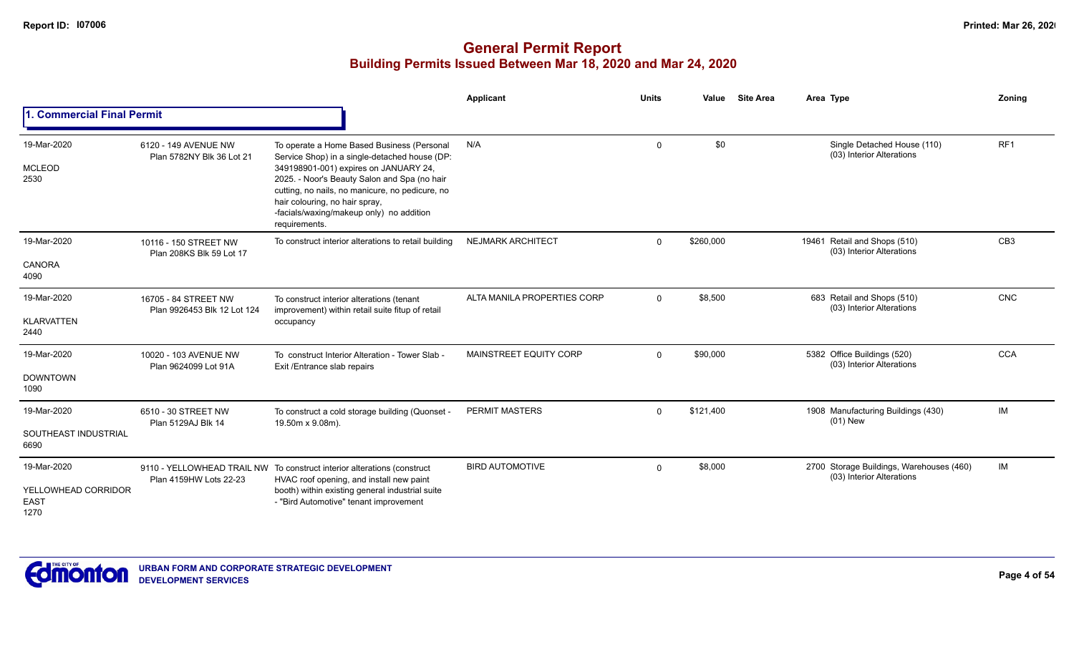|                                                           |                                                     |                                                                                                                                                                                                                                                                                                                                        | Applicant                   | <b>Units</b> | Value     | <b>Site Area</b> | Area Type                                                             | <b>Zoning</b>   |
|-----------------------------------------------------------|-----------------------------------------------------|----------------------------------------------------------------------------------------------------------------------------------------------------------------------------------------------------------------------------------------------------------------------------------------------------------------------------------------|-----------------------------|--------------|-----------|------------------|-----------------------------------------------------------------------|-----------------|
| 1. Commercial Final Permit                                |                                                     |                                                                                                                                                                                                                                                                                                                                        |                             |              |           |                  |                                                                       |                 |
| 19-Mar-2020<br><b>MCLEOD</b><br>2530                      | 6120 - 149 AVENUE NW<br>Plan 5782NY Blk 36 Lot 21   | To operate a Home Based Business (Personal<br>Service Shop) in a single-detached house (DP:<br>349198901-001) expires on JANUARY 24,<br>2025. - Noor's Beauty Salon and Spa (no hair<br>cutting, no nails, no manicure, no pedicure, no<br>hair colouring, no hair spray,<br>-facials/waxing/makeup only) no addition<br>requirements. | N/A                         | $\mathbf 0$  | \$0       |                  | Single Detached House (110)<br>(03) Interior Alterations              | RF <sub>1</sub> |
| 19-Mar-2020<br>CANORA<br>4090                             | 10116 - 150 STREET NW<br>Plan 208KS Blk 59 Lot 17   | To construct interior alterations to retail building                                                                                                                                                                                                                                                                                   | <b>NEJMARK ARCHITECT</b>    | $\Omega$     | \$260,000 |                  | 19461 Retail and Shops (510)<br>(03) Interior Alterations             | CB <sub>3</sub> |
| 19-Mar-2020<br><b>KLARVATTEN</b><br>2440                  | 16705 - 84 STREET NW<br>Plan 9926453 Blk 12 Lot 124 | To construct interior alterations (tenant<br>improvement) within retail suite fitup of retail<br>occupancy                                                                                                                                                                                                                             | ALTA MANILA PROPERTIES CORP | $\Omega$     | \$8,500   |                  | 683 Retail and Shops (510)<br>(03) Interior Alterations               | <b>CNC</b>      |
| 19-Mar-2020<br><b>DOWNTOWN</b><br>1090                    | 10020 - 103 AVENUE NW<br>Plan 9624099 Lot 91A       | To construct Interior Alteration - Tower Slab -<br>Exit /Entrance slab repairs                                                                                                                                                                                                                                                         | MAINSTREET EQUITY CORP      | $\Omega$     | \$90,000  |                  | 5382 Office Buildings (520)<br>(03) Interior Alterations              | <b>CCA</b>      |
| 19-Mar-2020<br>SOUTHEAST INDUSTRIAL<br>6690               | 6510 - 30 STREET NW<br>Plan 5129AJ Blk 14           | To construct a cold storage building (Quonset -<br>19.50m x 9.08m).                                                                                                                                                                                                                                                                    | <b>PERMIT MASTERS</b>       | $\Omega$     | \$121,400 |                  | 1908 Manufacturing Buildings (430)<br>$(01)$ New                      | IM              |
| 19-Mar-2020<br>YELLOWHEAD CORRIDOR<br><b>EAST</b><br>1270 | Plan 4159HW Lots 22-23                              | 9110 - YELLOWHEAD TRAIL NW To construct interior alterations (construct<br>HVAC roof opening, and install new paint<br>booth) within existing general industrial suite<br>- "Bird Automotive" tenant improvement                                                                                                                       | <b>BIRD AUTOMOTIVE</b>      | $\mathbf 0$  | \$8,000   |                  | 2700 Storage Buildings, Warehouses (460)<br>(03) Interior Alterations | IM              |

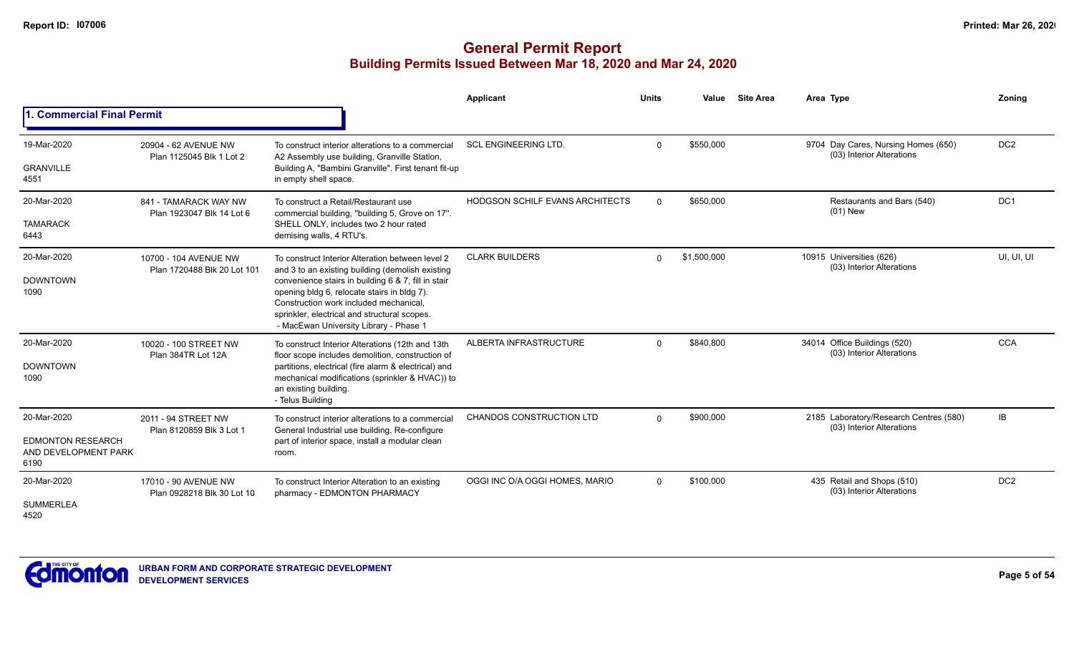|                                                                         |                                                      |                                                                                                                                                                                                                                                                                                                                                | Applicant                              | <b>Units</b> | Value       | <b>Site Area</b> | Area Type                                                           | Zonina          |
|-------------------------------------------------------------------------|------------------------------------------------------|------------------------------------------------------------------------------------------------------------------------------------------------------------------------------------------------------------------------------------------------------------------------------------------------------------------------------------------------|----------------------------------------|--------------|-------------|------------------|---------------------------------------------------------------------|-----------------|
| 1. Commercial Final Permit                                              |                                                      |                                                                                                                                                                                                                                                                                                                                                |                                        |              |             |                  |                                                                     |                 |
| 19-Mar-2020<br><b>GRANVILLE</b><br>4551                                 | 20904 - 62 AVENUE NW<br>Plan 1125045 Blk 1 Lot 2     | To construct interior alterations to a commercial<br>A2 Assembly use building, Granville Station,<br>Building A, "Bambini Granville". First tenant fit-up<br>in empty shell space.                                                                                                                                                             | <b>SCL ENGINEERING LTD.</b>            | $\Omega$     | \$550,000   |                  | 9704 Day Cares, Nursing Homes (650)<br>(03) Interior Alterations    | DC <sub>2</sub> |
| 20-Mar-2020<br><b>TAMARACK</b><br>6443                                  | 841 - TAMARACK WAY NW<br>Plan 1923047 Blk 14 Lot 6   | To construct a Retail/Restaurant use<br>commercial building, "building 5, Grove on 17".<br>SHELL ONLY, includes two 2 hour rated<br>demising walls, 4 RTU's.                                                                                                                                                                                   | <b>HODGSON SCHILF EVANS ARCHITECTS</b> | $\Omega$     | \$650,000   |                  | Restaurants and Bars (540)<br>$(01)$ New                            | DC <sub>1</sub> |
| 20-Mar-2020<br><b>DOWNTOWN</b><br>1090                                  | 10700 - 104 AVENUE NW<br>Plan 1720488 Blk 20 Lot 101 | To construct Interior Alteration between level 2<br>and 3 to an existing building (demolish existing<br>convenience stairs in building 6 & 7, fill in stair<br>opening bldg 6, relocate stairs in bldg 7).<br>Construction work included mechanical.<br>sprinkler, electrical and structural scopes.<br>- MacEwan University Library - Phase 1 | <b>CLARK BUILDERS</b>                  | $\Omega$     | \$1,500,000 |                  | 10915 Universities (626)<br>(03) Interior Alterations               | UI, UI, UI      |
| 20-Mar-2020<br><b>DOWNTOWN</b><br>1090                                  | 10020 - 100 STREET NW<br>Plan 384TR Lot 12A          | To construct Interior Alterations (12th and 13th<br>floor scope includes demolition, construction of<br>partitions, electrical (fire alarm & electrical) and<br>mechanical modifications (sprinkler & HVAC)) to<br>an existing building.<br>- Telus Building                                                                                   | ALBERTA INFRASTRUCTURE                 | $\mathbf{0}$ | \$840,800   |                  | 34014 Office Buildings (520)<br>(03) Interior Alterations           | <b>CCA</b>      |
| 20-Mar-2020<br><b>EDMONTON RESEARCH</b><br>AND DEVELOPMENT PARK<br>6190 | 2011 - 94 STREET NW<br>Plan 8120859 Blk 3 Lot 1      | To construct interior alterations to a commercial<br>General Industrial use building. Re-configure<br>part of interior space, install a modular clean<br>room.                                                                                                                                                                                 | CHANDOS CONSTRUCTION LTD               | $\Omega$     | \$900,000   |                  | 2185 Laboratory/Research Centres (580)<br>(03) Interior Alterations | IB              |
| 20-Mar-2020<br><b>SUMMERLEA</b><br>4520                                 | 17010 - 90 AVENUE NW<br>Plan 0928218 Blk 30 Lot 10   | To construct Interior Alteration to an existing<br>pharmacy - EDMONTON PHARMACY                                                                                                                                                                                                                                                                | OGGI INC O/A OGGI HOMES, MARIO         | $\Omega$     | \$100,000   |                  | 435 Retail and Shops (510)<br>(03) Interior Alterations             | DC <sub>2</sub> |

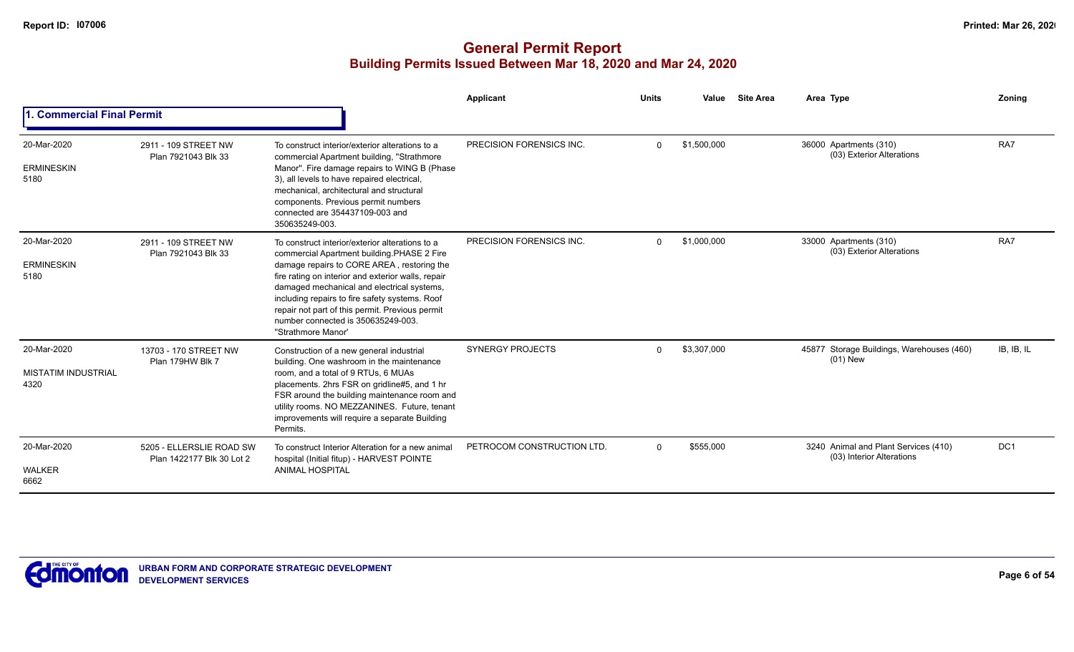|                                                   |                                                       |                                                                                                                                                                                                                                                                                                                                                                                                                  | <b>Applicant</b>           | <b>Units</b> | Value       | <b>Site Area</b> | Area Type                                                         | Zoning     |
|---------------------------------------------------|-------------------------------------------------------|------------------------------------------------------------------------------------------------------------------------------------------------------------------------------------------------------------------------------------------------------------------------------------------------------------------------------------------------------------------------------------------------------------------|----------------------------|--------------|-------------|------------------|-------------------------------------------------------------------|------------|
| <b>Commercial Final Permit</b>                    |                                                       |                                                                                                                                                                                                                                                                                                                                                                                                                  |                            |              |             |                  |                                                                   |            |
| 20-Mar-2020<br><b>ERMINESKIN</b><br>5180          | 2911 - 109 STREET NW<br>Plan 7921043 Blk 33           | To construct interior/exterior alterations to a<br>commercial Apartment building, "Strathmore<br>Manor". Fire damage repairs to WING B (Phase<br>3), all levels to have repaired electrical,<br>mechanical, architectural and structural<br>components. Previous permit numbers<br>connected are 354437109-003 and<br>350635249-003.                                                                             | PRECISION FORENSICS INC.   | $\Omega$     | \$1,500,000 |                  | 36000 Apartments (310)<br>(03) Exterior Alterations               | RA7        |
| 20-Mar-2020<br><b>ERMINESKIN</b><br>5180          | 2911 - 109 STREET NW<br>Plan 7921043 Blk 33           | To construct interior/exterior alterations to a<br>commercial Apartment building PHASE 2 Fire<br>damage repairs to CORE AREA, restoring the<br>fire rating on interior and exterior walls, repair<br>damaged mechanical and electrical systems,<br>including repairs to fire safety systems. Roof<br>repair not part of this permit. Previous permit<br>number connected is 350635249-003.<br>"Strathmore Manor" | PRECISION FORENSICS INC.   | $\Omega$     | \$1,000,000 |                  | 33000 Apartments (310)<br>(03) Exterior Alterations               | RA7        |
| 20-Mar-2020<br><b>MISTATIM INDUSTRIAL</b><br>4320 | 13703 - 170 STREET NW<br>Plan 179HW Blk 7             | Construction of a new general industrial<br>building. One washroom in the maintenance<br>room, and a total of 9 RTUs, 6 MUAs<br>placements. 2hrs FSR on gridline#5, and 1 hr<br>FSR around the building maintenance room and<br>utility rooms. NO MEZZANINES. Future, tenant<br>improvements will require a separate Building<br>Permits.                                                                        | <b>SYNERGY PROJECTS</b>    | $\Omega$     | \$3,307,000 |                  | 45877 Storage Buildings, Warehouses (460)<br>$(01)$ New           | IB, IB, IL |
| 20-Mar-2020<br>WALKER<br>6662                     | 5205 - ELLERSLIE ROAD SW<br>Plan 1422177 Blk 30 Lot 2 | To construct Interior Alteration for a new animal<br>hospital (Initial fitup) - HARVEST POINTE<br><b>ANIMAL HOSPITAL</b>                                                                                                                                                                                                                                                                                         | PETROCOM CONSTRUCTION LTD. | $\Omega$     | \$555,000   |                  | 3240 Animal and Plant Services (410)<br>(03) Interior Alterations | DC1        |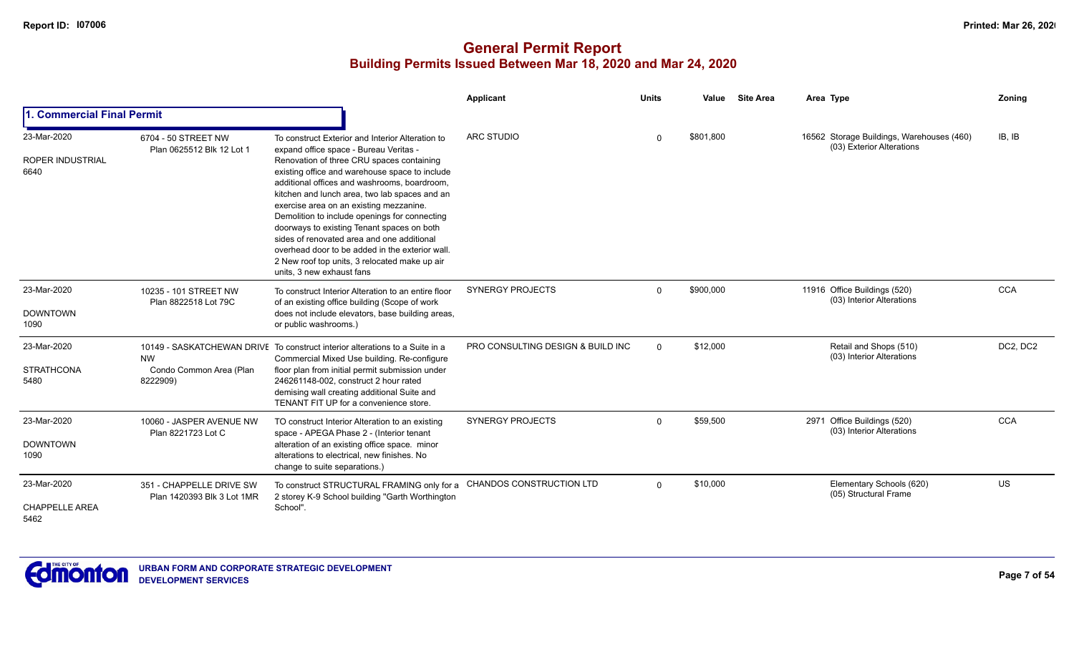|                                              |                                                        |                                                                                                                                                                                                                                                                                                                                                                                                                                                                                                                       | <b>Applicant</b>                  | <b>Units</b> | Value     | <b>Site Area</b> | Area Type                                                              | Zoning     |
|----------------------------------------------|--------------------------------------------------------|-----------------------------------------------------------------------------------------------------------------------------------------------------------------------------------------------------------------------------------------------------------------------------------------------------------------------------------------------------------------------------------------------------------------------------------------------------------------------------------------------------------------------|-----------------------------------|--------------|-----------|------------------|------------------------------------------------------------------------|------------|
| 1. Commercial Final Permit                   |                                                        |                                                                                                                                                                                                                                                                                                                                                                                                                                                                                                                       |                                   |              |           |                  |                                                                        |            |
| 23-Mar-2020                                  | 6704 - 50 STREET NW<br>Plan 0625512 Blk 12 Lot 1       | To construct Exterior and Interior Alteration to<br>expand office space - Bureau Veritas -                                                                                                                                                                                                                                                                                                                                                                                                                            | <b>ARC STUDIO</b>                 | $\Omega$     | \$801,800 |                  | 16562 Storage Buildings, Warehouses (460)<br>(03) Exterior Alterations | IB, IB     |
| <b>ROPER INDUSTRIAL</b><br>6640              |                                                        | Renovation of three CRU spaces containing<br>existing office and warehouse space to include<br>additional offices and washrooms, boardroom.<br>kitchen and lunch area, two lab spaces and an<br>exercise area on an existing mezzanine.<br>Demolition to include openings for connecting<br>doorways to existing Tenant spaces on both<br>sides of renovated area and one additional<br>overhead door to be added in the exterior wall.<br>2 New roof top units, 3 relocated make up air<br>units, 3 new exhaust fans |                                   |              |           |                  |                                                                        |            |
| 23-Mar-2020<br><b>DOWNTOWN</b><br>1090       | 10235 - 101 STREET NW<br>Plan 8822518 Lot 79C          | To construct Interior Alteration to an entire floor<br>of an existing office building (Scope of work<br>does not include elevators, base building areas,<br>or public washrooms.)                                                                                                                                                                                                                                                                                                                                     | <b>SYNERGY PROJECTS</b>           | $\Omega$     | \$900,000 |                  | 11916 Office Buildings (520)<br>(03) Interior Alterations              | <b>CCA</b> |
| 23-Mar-2020<br><b>STRATHCONA</b><br>5480     | <b>NW</b><br>Condo Common Area (Plan<br>8222909)       | 10149 - SASKATCHEWAN DRIVE To construct interior alterations to a Suite in a<br>Commercial Mixed Use building. Re-configure<br>floor plan from initial permit submission under<br>246261148-002, construct 2 hour rated<br>demising wall creating additional Suite and<br>TENANT FIT UP for a convenience store.                                                                                                                                                                                                      | PRO CONSULTING DESIGN & BUILD INC | $\Omega$     | \$12,000  |                  | Retail and Shops (510)<br>(03) Interior Alterations                    | DC2, DC2   |
| 23-Mar-2020<br><b>DOWNTOWN</b><br>1090       | 10060 - JASPER AVENUE NW<br>Plan 8221723 Lot C         | TO construct Interior Alteration to an existing<br>space - APEGA Phase 2 - (Interior tenant<br>alteration of an existing office space. minor<br>alterations to electrical, new finishes. No<br>change to suite separations.)                                                                                                                                                                                                                                                                                          | <b>SYNERGY PROJECTS</b>           | $\Omega$     | \$59,500  |                  | 2971 Office Buildings (520)<br>(03) Interior Alterations               | <b>CCA</b> |
| 23-Mar-2020<br><b>CHAPPELLE AREA</b><br>5462 | 351 - CHAPPELLE DRIVE SW<br>Plan 1420393 Blk 3 Lot 1MR | To construct STRUCTURAL FRAMING only for a<br>2 storey K-9 School building "Garth Worthington<br>School".                                                                                                                                                                                                                                                                                                                                                                                                             | CHANDOS CONSTRUCTION LTD          | $\Omega$     | \$10,000  |                  | Elementary Schools (620)<br>(05) Structural Frame                      | <b>US</b>  |

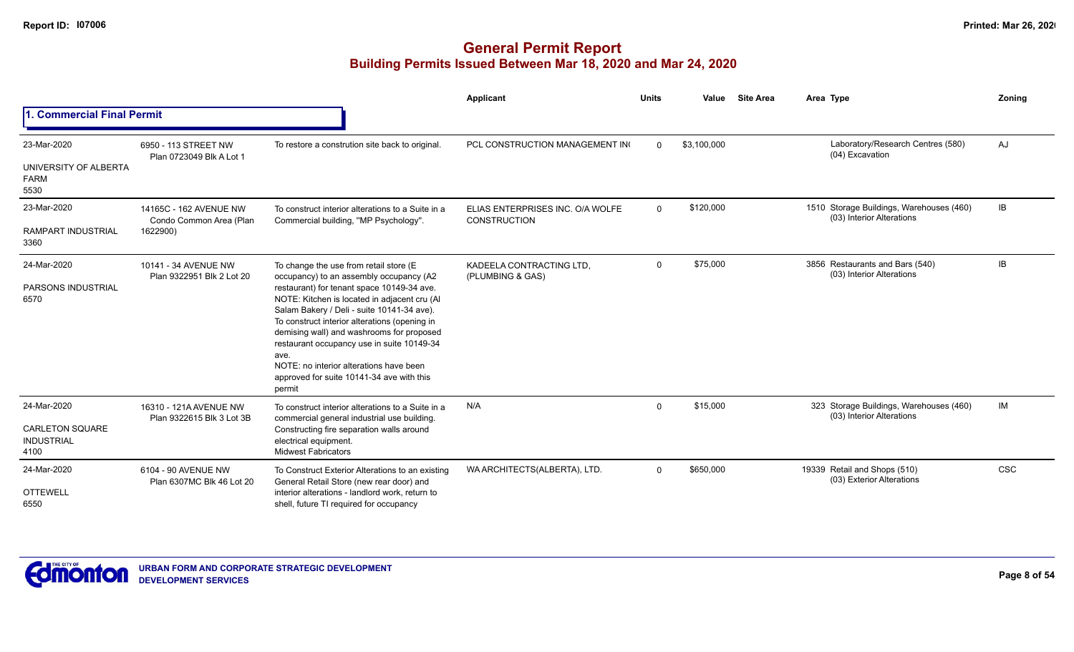|                                                                    |                                                               |                                                                                                                                                                                                                                                                                                                                                                                                                                                                                     | Applicant                                               | <b>Units</b> | Value       | <b>Site Area</b> | Area Type                                                             | Zoning     |
|--------------------------------------------------------------------|---------------------------------------------------------------|-------------------------------------------------------------------------------------------------------------------------------------------------------------------------------------------------------------------------------------------------------------------------------------------------------------------------------------------------------------------------------------------------------------------------------------------------------------------------------------|---------------------------------------------------------|--------------|-------------|------------------|-----------------------------------------------------------------------|------------|
| 1. Commercial Final Permit                                         |                                                               |                                                                                                                                                                                                                                                                                                                                                                                                                                                                                     |                                                         |              |             |                  |                                                                       |            |
| 23-Mar-2020<br>UNIVERSITY OF ALBERTA<br><b>FARM</b><br>5530        | 6950 - 113 STREET NW<br>Plan 0723049 Blk A Lot 1              | To restore a constrution site back to original.                                                                                                                                                                                                                                                                                                                                                                                                                                     | PCL CONSTRUCTION MANAGEMENT IN                          | $\Omega$     | \$3,100,000 |                  | Laboratory/Research Centres (580)<br>(04) Excavation                  | AJ         |
| 23-Mar-2020<br><b>RAMPART INDUSTRIAL</b><br>3360                   | 14165C - 162 AVENUE NW<br>Condo Common Area (Plan<br>1622900) | To construct interior alterations to a Suite in a<br>Commercial building, "MP Psychology".                                                                                                                                                                                                                                                                                                                                                                                          | ELIAS ENTERPRISES INC. O/A WOLFE<br><b>CONSTRUCTION</b> | $\Omega$     | \$120,000   |                  | 1510 Storage Buildings, Warehouses (460)<br>(03) Interior Alterations | IB         |
| 24-Mar-2020<br><b>PARSONS INDUSTRIAL</b><br>6570                   | 10141 - 34 AVENUE NW<br>Plan 9322951 Blk 2 Lot 20             | To change the use from retail store (E<br>occupancy) to an assembly occupancy (A2<br>restaurant) for tenant space 10149-34 ave.<br>NOTE: Kitchen is located in adjacent cru (Al<br>Salam Bakery / Deli - suite 10141-34 ave).<br>To construct interior alterations (opening in<br>demising wall) and washrooms for proposed<br>restaurant occupancy use in suite 10149-34<br>ave.<br>NOTE: no interior alterations have been<br>approved for suite 10141-34 ave with this<br>permit | KADEELA CONTRACTING LTD.<br>(PLUMBING & GAS)            | $\mathbf 0$  | \$75,000    |                  | 3856 Restaurants and Bars (540)<br>(03) Interior Alterations          | <b>IB</b>  |
| 24-Mar-2020<br><b>CARLETON SQUARE</b><br><b>INDUSTRIAL</b><br>4100 | 16310 - 121A AVENUE NW<br>Plan 9322615 Blk 3 Lot 3B           | To construct interior alterations to a Suite in a<br>commercial general industrial use building.<br>Constructing fire separation walls around<br>electrical equipment.<br><b>Midwest Fabricators</b>                                                                                                                                                                                                                                                                                | N/A                                                     | $\Omega$     | \$15,000    |                  | 323 Storage Buildings, Warehouses (460)<br>(03) Interior Alterations  | IM         |
| 24-Mar-2020<br><b>OTTEWELL</b><br>6550                             | 6104 - 90 AVENUE NW<br>Plan 6307MC Blk 46 Lot 20              | To Construct Exterior Alterations to an existing<br>General Retail Store (new rear door) and<br>interior alterations - landlord work, return to<br>shell, future TI required for occupancy                                                                                                                                                                                                                                                                                          | WA ARCHITECTS(ALBERTA), LTD.                            | $\mathbf 0$  | \$650,000   |                  | 19339 Retail and Shops (510)<br>(03) Exterior Alterations             | <b>CSC</b> |

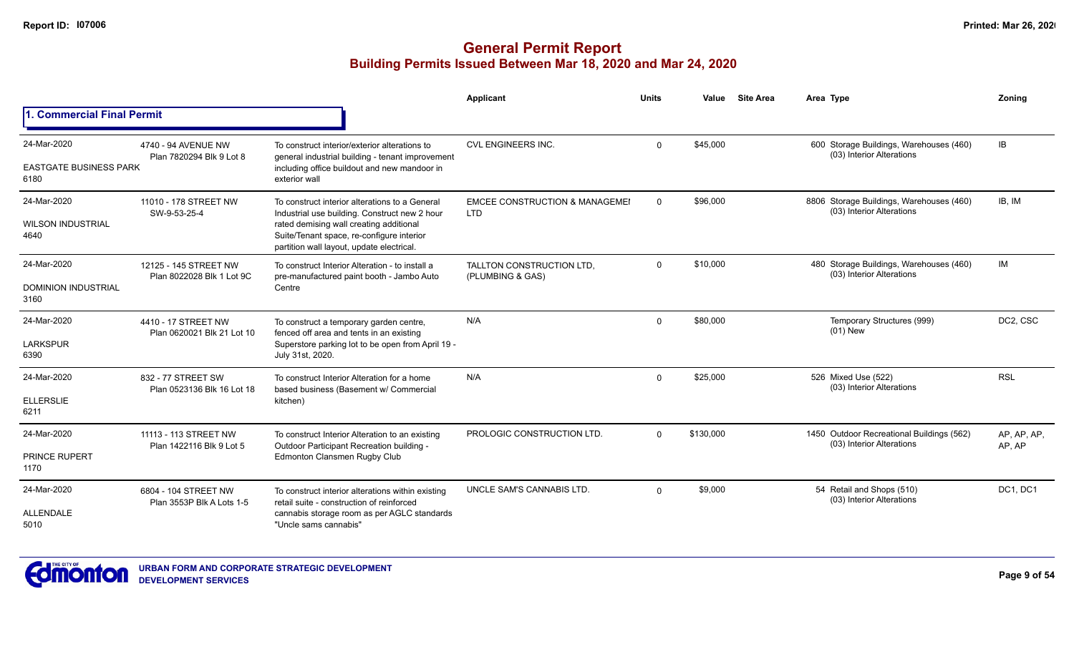## **General Permit Report Building Permits Issued Between Mar 18, 2020 and Mar 24, 2020**

|                                       |                                                   |                                                                                                                                   | <b>Applicant</b>                                        | <b>Units</b> | Value     | <b>Site Area</b> | Area Type                                                              | Zoning                |
|---------------------------------------|---------------------------------------------------|-----------------------------------------------------------------------------------------------------------------------------------|---------------------------------------------------------|--------------|-----------|------------------|------------------------------------------------------------------------|-----------------------|
| 1. Commercial Final Permit            |                                                   |                                                                                                                                   |                                                         |              |           |                  |                                                                        |                       |
| 24-Mar-2020                           | 4740 - 94 AVENUE NW<br>Plan 7820294 Blk 9 Lot 8   | To construct interior/exterior alterations to<br>general industrial building - tenant improvement                                 | <b>CVL ENGINEERS INC.</b>                               | $\Omega$     | \$45.000  |                  | 600 Storage Buildings, Warehouses (460)<br>(03) Interior Alterations   | IB                    |
| <b>EASTGATE BUSINESS PARK</b><br>6180 |                                                   | including office buildout and new mandoor in<br>exterior wall                                                                     |                                                         |              |           |                  |                                                                        |                       |
| 24-Mar-2020                           | 11010 - 178 STREET NW<br>SW-9-53-25-4             | To construct interior alterations to a General<br>Industrial use building. Construct new 2 hour                                   | <b>EMCEE CONSTRUCTION &amp; MANAGEMEI</b><br><b>LTD</b> | $\mathbf 0$  | \$96,000  |                  | 8806 Storage Buildings, Warehouses (460)<br>(03) Interior Alterations  | IB, IM                |
| <b>WILSON INDUSTRIAL</b><br>4640      | 12125 - 145 STREET NW                             | rated demising wall creating additional<br>Suite/Tenant space, re-configure interior<br>partition wall layout, update electrical. |                                                         |              |           |                  |                                                                        |                       |
| 24-Mar-2020                           | Plan 8022028 Blk 1 Lot 9C                         | To construct Interior Alteration - to install a<br>pre-manufactured paint booth - Jambo Auto                                      | TALLTON CONSTRUCTION LTD.<br>(PLUMBING & GAS)           | $\Omega$     | \$10,000  |                  | 480 Storage Buildings, Warehouses (460)<br>(03) Interior Alterations   | IM                    |
| <b>DOMINION INDUSTRIAL</b><br>3160    |                                                   | Centre                                                                                                                            |                                                         |              |           |                  |                                                                        |                       |
| 24-Mar-2020                           | 4410 - 17 STREET NW                               | To construct a temporary garden centre,<br>fenced off area and tents in an existing                                               | N/A                                                     | $\mathbf 0$  | \$80,000  |                  | Temporary Structures (999)<br>$(01)$ New                               | DC2, CSC              |
| <b>LARKSPUR</b><br>6390               | Plan 0620021 Blk 21 Lot 10                        | Superstore parking lot to be open from April 19 -<br>July 31st, 2020.                                                             |                                                         |              |           |                  |                                                                        |                       |
| 24-Mar-2020                           | 832 - 77 STREET SW<br>Plan 0523136 Blk 16 Lot 18  | To construct Interior Alteration for a home<br>based business (Basement w/ Commercial                                             | N/A                                                     | $\Omega$     | \$25,000  |                  | 526 Mixed Use (522)<br>(03) Interior Alterations                       | <b>RSL</b>            |
| <b>ELLERSLIE</b><br>6211              |                                                   | kitchen)                                                                                                                          |                                                         |              |           |                  |                                                                        |                       |
| 24-Mar-2020                           | 11113 - 113 STREET NW<br>Plan 1422116 Blk 9 Lot 5 | To construct Interior Alteration to an existing<br>Outdoor Participant Recreation building -                                      | PROLOGIC CONSTRUCTION LTD.                              | $\Omega$     | \$130,000 |                  | 1450 Outdoor Recreational Buildings (562)<br>(03) Interior Alterations | AP, AP, AP,<br>AP, AP |
| <b>PRINCE RUPERT</b><br>1170          |                                                   | Edmonton Clansmen Rugby Club                                                                                                      |                                                         |              |           |                  |                                                                        |                       |
| 24-Mar-2020                           | 6804 - 104 STREET NW<br>Plan 3553P Blk A Lots 1-5 | To construct interior alterations within existing<br>retail suite - construction of reinforced                                    | UNCLE SAM'S CANNABIS LTD.                               | $\Omega$     | \$9,000   |                  | 54 Retail and Shops (510)<br>(03) Interior Alterations                 | DC1, DC1              |
| <b>ALLENDALE</b><br>5010              |                                                   | cannabis storage room as per AGLC standards<br>"Uncle sams cannabis"                                                              |                                                         |              |           |                  |                                                                        |                       |



**Page 9 of 54**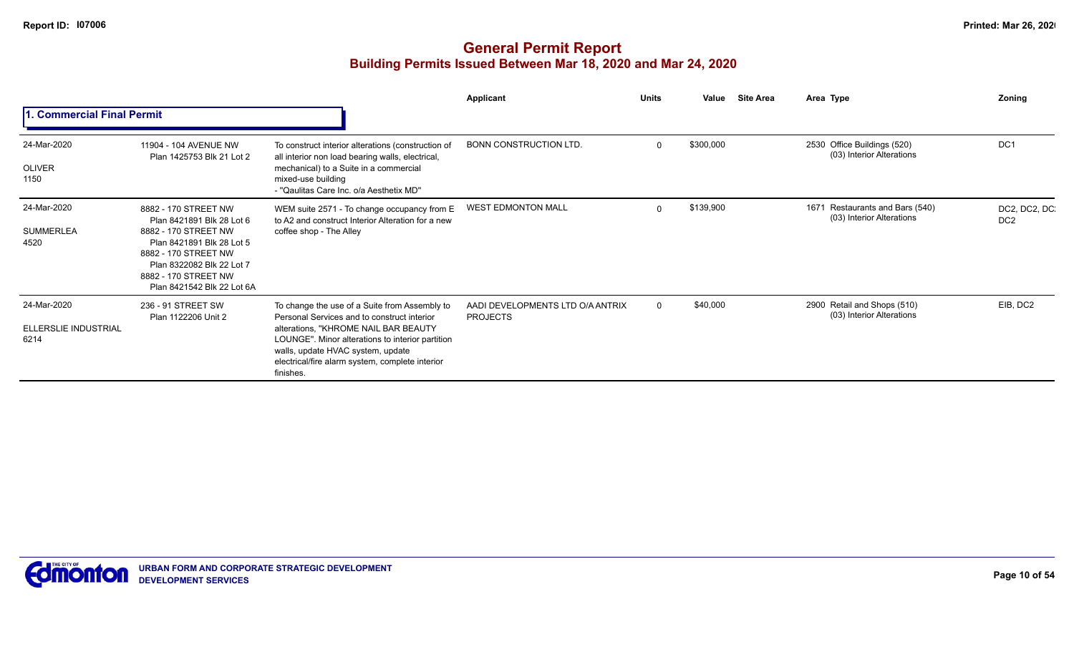|                                             |                                                                                                                                                                                                                   |                                                                                                                                                                                                                                                                                               | Applicant                                           | <b>Units</b> | Value<br><b>Site Area</b> | Area Type                                                    | Zoning                          |
|---------------------------------------------|-------------------------------------------------------------------------------------------------------------------------------------------------------------------------------------------------------------------|-----------------------------------------------------------------------------------------------------------------------------------------------------------------------------------------------------------------------------------------------------------------------------------------------|-----------------------------------------------------|--------------|---------------------------|--------------------------------------------------------------|---------------------------------|
| 1. Commercial Final Permit                  |                                                                                                                                                                                                                   |                                                                                                                                                                                                                                                                                               |                                                     |              |                           |                                                              |                                 |
| 24-Mar-2020<br>OLIVER<br>1150               | 11904 - 104 AVENUE NW<br>Plan 1425753 Blk 21 Lot 2                                                                                                                                                                | To construct interior alterations (construction of<br>all interior non load bearing walls, electrical,<br>mechanical) to a Suite in a commercial<br>mixed-use building<br>- "Qaulitas Care Inc. o/a Aesthetix MD"                                                                             | <b>BONN CONSTRUCTION LTD.</b>                       | $\Omega$     | \$300,000                 | 2530 Office Buildings (520)<br>(03) Interior Alterations     | DC <sub>1</sub>                 |
| 24-Mar-2020<br><b>SUMMERLEA</b><br>4520     | 8882 - 170 STREET NW<br>Plan 8421891 Blk 28 Lot 6<br>8882 - 170 STREET NW<br>Plan 8421891 Blk 28 Lot 5<br>8882 - 170 STREET NW<br>Plan 8322082 Blk 22 Lot 7<br>8882 - 170 STREET NW<br>Plan 8421542 Blk 22 Lot 6A | WEM suite 2571 - To change occupancy from E<br>to A2 and construct Interior Alteration for a new<br>coffee shop - The Alley                                                                                                                                                                   | <b>WEST EDMONTON MALL</b>                           | $\Omega$     | \$139,900                 | 1671 Restaurants and Bars (540)<br>(03) Interior Alterations | DC2, DC2, DC<br>DC <sub>2</sub> |
| 24-Mar-2020<br>ELLERSLIE INDUSTRIAL<br>6214 | 236 - 91 STREET SW<br>Plan 1122206 Unit 2                                                                                                                                                                         | To change the use of a Suite from Assembly to<br>Personal Services and to construct interior<br>alterations, "KHROME NAIL BAR BEAUTY<br>LOUNGE". Minor alterations to interior partition<br>walls, update HVAC system, update<br>electrical/fire alarm system, complete interior<br>finishes. | AADI DEVELOPMENTS LTD O/A ANTRIX<br><b>PROJECTS</b> | $\Omega$     | \$40,000                  | 2900 Retail and Shops (510)<br>(03) Interior Alterations     | EIB, DC2                        |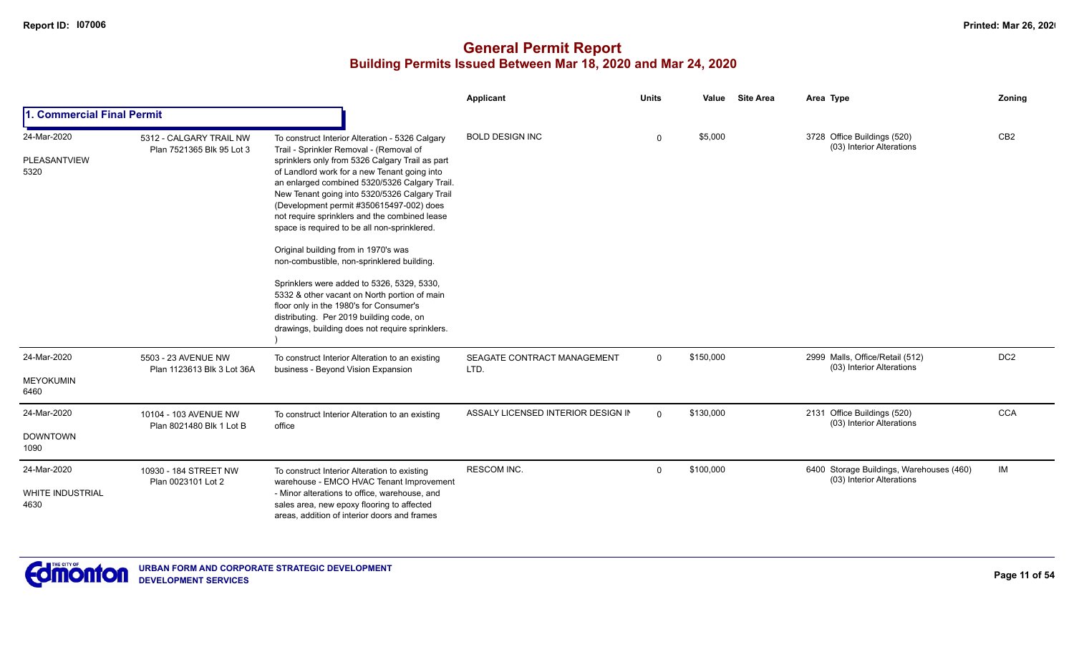|                                                |                                                      |                                                                                                                                                                                                                                                                                                                                                                                                                                                                                                                                                                                                                                                                                                                                                                            | <b>Applicant</b>                    | <b>Units</b> | Value     | <b>Site Area</b> | Area Type                                                             | Zoning          |
|------------------------------------------------|------------------------------------------------------|----------------------------------------------------------------------------------------------------------------------------------------------------------------------------------------------------------------------------------------------------------------------------------------------------------------------------------------------------------------------------------------------------------------------------------------------------------------------------------------------------------------------------------------------------------------------------------------------------------------------------------------------------------------------------------------------------------------------------------------------------------------------------|-------------------------------------|--------------|-----------|------------------|-----------------------------------------------------------------------|-----------------|
| I. Commercial Final Permit                     |                                                      |                                                                                                                                                                                                                                                                                                                                                                                                                                                                                                                                                                                                                                                                                                                                                                            |                                     |              |           |                  |                                                                       |                 |
| 24-Mar-2020<br>PLEASANTVIEW<br>5320            | 5312 - CALGARY TRAIL NW<br>Plan 7521365 Blk 95 Lot 3 | To construct Interior Alteration - 5326 Calgary<br>Trail - Sprinkler Removal - (Removal of<br>sprinklers only from 5326 Calgary Trail as part<br>of Landlord work for a new Tenant going into<br>an enlarged combined 5320/5326 Calgary Trail.<br>New Tenant going into 5320/5326 Calgary Trail<br>(Development permit #350615497-002) does<br>not require sprinklers and the combined lease<br>space is required to be all non-sprinklered.<br>Original building from in 1970's was<br>non-combustible, non-sprinklered building.<br>Sprinklers were added to 5326, 5329, 5330,<br>5332 & other vacant on North portion of main<br>floor only in the 1980's for Consumer's<br>distributing. Per 2019 building code, on<br>drawings, building does not require sprinklers. | <b>BOLD DESIGN INC</b>              | $\Omega$     | \$5,000   |                  | 3728 Office Buildings (520)<br>(03) Interior Alterations              | CB <sub>2</sub> |
| 24-Mar-2020<br><b>MEYOKUMIN</b><br>6460        | 5503 - 23 AVENUE NW<br>Plan 1123613 Blk 3 Lot 36A    | To construct Interior Alteration to an existing<br>business - Beyond Vision Expansion                                                                                                                                                                                                                                                                                                                                                                                                                                                                                                                                                                                                                                                                                      | SEAGATE CONTRACT MANAGEMENT<br>LTD. | $\mathbf 0$  | \$150,000 |                  | 2999 Malls, Office/Retail (512)<br>(03) Interior Alterations          | DC <sub>2</sub> |
| 24-Mar-2020<br><b>DOWNTOWN</b><br>1090         | 10104 - 103 AVENUE NW<br>Plan 8021480 Blk 1 Lot B    | To construct Interior Alteration to an existing<br>office                                                                                                                                                                                                                                                                                                                                                                                                                                                                                                                                                                                                                                                                                                                  | ASSALY LICENSED INTERIOR DESIGN IN  | $\mathbf{0}$ | \$130,000 |                  | 2131 Office Buildings (520)<br>(03) Interior Alterations              | <b>CCA</b>      |
| 24-Mar-2020<br><b>WHITE INDUSTRIAL</b><br>4630 | 10930 - 184 STREET NW<br>Plan 0023101 Lot 2          | To construct Interior Alteration to existing<br>warehouse - EMCO HVAC Tenant Improvement<br>- Minor alterations to office, warehouse, and<br>sales area, new epoxy flooring to affected<br>areas, addition of interior doors and frames                                                                                                                                                                                                                                                                                                                                                                                                                                                                                                                                    | <b>RESCOM INC.</b>                  | $\mathbf 0$  | \$100,000 |                  | 6400 Storage Buildings, Warehouses (460)<br>(03) Interior Alterations | IM              |

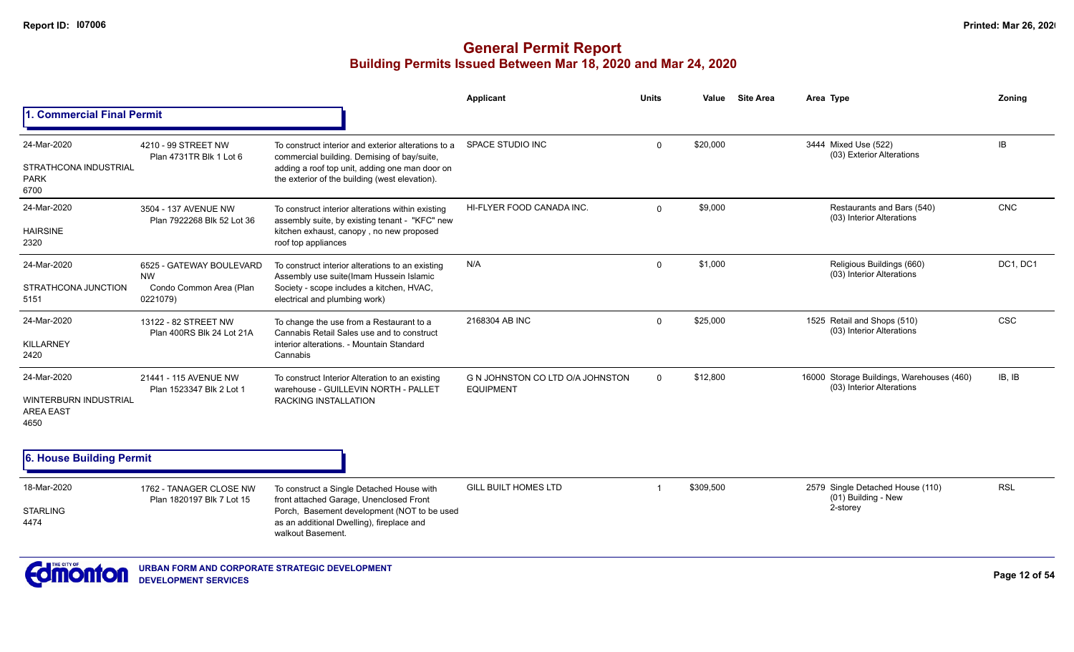## **General Permit Report Building Permits Issued Between Mar 18, 2020 and Mar 24, 2020**

|                                                                  |                                                                              |                                                                                                                                                                                                        | Applicant                                            | <b>Units</b> | Value     | <b>Site Area</b> | Area Type                                                              | Zoning     |
|------------------------------------------------------------------|------------------------------------------------------------------------------|--------------------------------------------------------------------------------------------------------------------------------------------------------------------------------------------------------|------------------------------------------------------|--------------|-----------|------------------|------------------------------------------------------------------------|------------|
| <b>Commercial Final Permit</b>                                   |                                                                              |                                                                                                                                                                                                        |                                                      |              |           |                  |                                                                        |            |
| 24-Mar-2020<br>STRATHCONA INDUSTRIAL<br><b>PARK</b><br>6700      | 4210 - 99 STREET NW<br>Plan 4731TR Blk 1 Lot 6                               | To construct interior and exterior alterations to a<br>commercial building. Demising of bay/suite,<br>adding a roof top unit, adding one man door on<br>the exterior of the building (west elevation). | SPACE STUDIO INC                                     | $\mathbf{0}$ | \$20,000  |                  | 3444 Mixed Use (522)<br>(03) Exterior Alterations                      | IB         |
| 24-Mar-2020<br><b>HAIRSINE</b><br>2320                           | 3504 - 137 AVENUE NW<br>Plan 7922268 Blk 52 Lot 36                           | To construct interior alterations within existing<br>assembly suite, by existing tenant - "KFC" new<br>kitchen exhaust, canopy, no new proposed<br>roof top appliances                                 | HI-FLYER FOOD CANADA INC.                            | $\Omega$     | \$9,000   |                  | Restaurants and Bars (540)<br>(03) Interior Alterations                | CNC        |
| 24-Mar-2020<br>STRATHCONA JUNCTION<br>5151                       | 6525 - GATEWAY BOULEVARD<br><b>NW</b><br>Condo Common Area (Plan<br>0221079) | To construct interior alterations to an existing<br>Assembly use suite(Imam Hussein Islamic<br>Society - scope includes a kitchen, HVAC,<br>electrical and plumbing work)                              | N/A                                                  | $\Omega$     | \$1,000   |                  | Religious Buildings (660)<br>(03) Interior Alterations                 | DC1, DC1   |
| 24-Mar-2020<br>KILLARNEY<br>2420                                 | 13122 - 82 STREET NW<br>Plan 400RS Blk 24 Lot 21A                            | To change the use from a Restaurant to a<br>Cannabis Retail Sales use and to construct<br>interior alterations. - Mountain Standard<br>Cannabis                                                        | 2168304 AB INC                                       | $\Omega$     | \$25,000  |                  | 1525 Retail and Shops (510)<br>(03) Interior Alterations               | CSC        |
| 24-Mar-2020<br>WINTERBURN INDUSTRIAL<br><b>AREA EAST</b><br>4650 | 21441 - 115 AVENUE NW<br>Plan 1523347 Blk 2 Lot 1                            | To construct Interior Alteration to an existing<br>warehouse - GUILLEVIN NORTH - PALLET<br><b>RACKING INSTALLATION</b>                                                                                 | G N JOHNSTON CO LTD O/A JOHNSTON<br><b>EQUIPMENT</b> | $\mathbf{0}$ | \$12,800  |                  | 16000 Storage Buildings, Warehouses (460)<br>(03) Interior Alterations | IB, IB     |
| 6. House Building Permit                                         |                                                                              |                                                                                                                                                                                                        |                                                      |              |           |                  |                                                                        |            |
| 18-Mar-2020<br><b>STARLING</b><br>4474                           | 1762 - TANAGER CLOSE NW<br>Plan 1820197 Blk 7 Lot 15                         | To construct a Single Detached House with<br>front attached Garage, Unenclosed Front<br>Porch, Basement development (NOT to be used<br>as an additional Dwelling), fireplace and<br>walkout Basement.  | <b>GILL BUILT HOMES LTD</b>                          |              | \$309,500 |                  | 2579 Single Detached House (110)<br>(01) Building - New<br>2-storey    | <b>RSL</b> |



**URBAN FORM AND CORPORATE STRATEGIC DEVELOPMENT DEVELOPMENT SERVICES**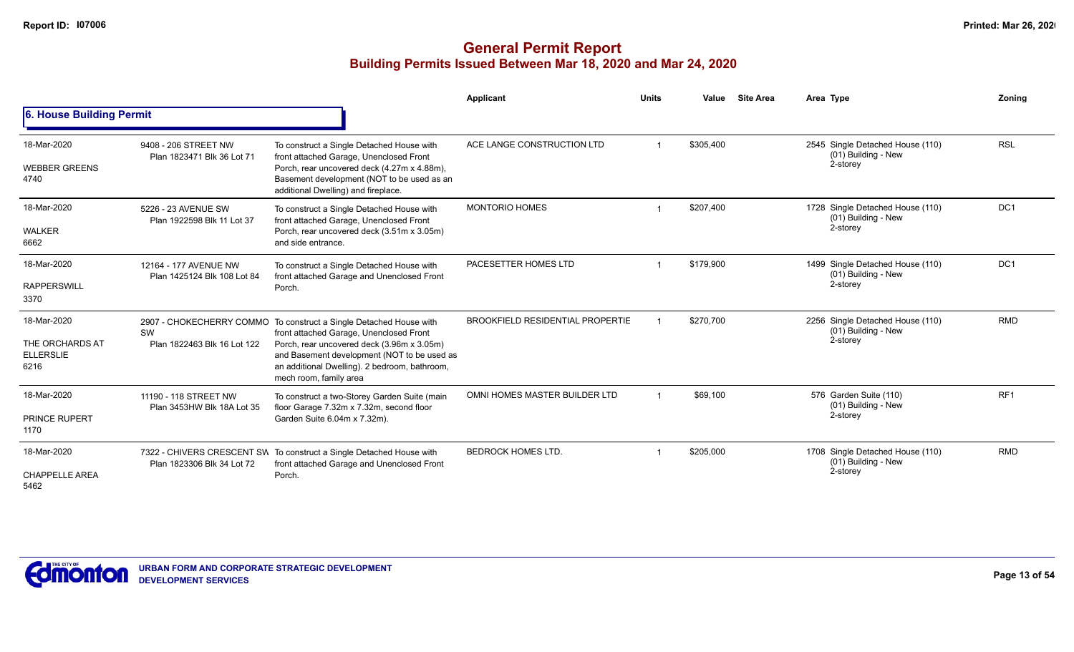|                                                            |                                                      |                                                                                                                                                                                                                                                                                       | <b>Applicant</b>                        | <b>Units</b> | Value     | <b>Site Area</b> | Area Type                                                             | Zoning          |
|------------------------------------------------------------|------------------------------------------------------|---------------------------------------------------------------------------------------------------------------------------------------------------------------------------------------------------------------------------------------------------------------------------------------|-----------------------------------------|--------------|-----------|------------------|-----------------------------------------------------------------------|-----------------|
| 6. House Building Permit                                   |                                                      |                                                                                                                                                                                                                                                                                       |                                         |              |           |                  |                                                                       |                 |
| 18-Mar-2020<br><b>WEBBER GREENS</b><br>4740                | 9408 - 206 STREET NW<br>Plan 1823471 Blk 36 Lot 71   | To construct a Single Detached House with<br>front attached Garage, Unenclosed Front<br>Porch, rear uncovered deck (4.27m x 4.88m),<br>Basement development (NOT to be used as an<br>additional Dwelling) and fireplace.                                                              | ACE LANGE CONSTRUCTION LTD              |              | \$305,400 |                  | 2545 Single Detached House (110)<br>(01) Building - New<br>2-storey   | <b>RSL</b>      |
| 18-Mar-2020<br><b>WALKER</b><br>6662                       | 5226 - 23 AVENUE SW<br>Plan 1922598 Blk 11 Lot 37    | To construct a Single Detached House with<br>front attached Garage, Unenclosed Front<br>Porch, rear uncovered deck (3.51m x 3.05m)<br>and side entrance.                                                                                                                              | <b>MONTORIO HOMES</b>                   |              | \$207,400 |                  | 1728 Single Detached House (110)<br>$(01)$ Building - New<br>2-storey | DC <sub>1</sub> |
| 18-Mar-2020<br><b>RAPPERSWILL</b><br>3370                  | 12164 - 177 AVENUE NW<br>Plan 1425124 Blk 108 Lot 84 | To construct a Single Detached House with<br>front attached Garage and Unenclosed Front<br>Porch.                                                                                                                                                                                     | PACESETTER HOMES LTD                    |              | \$179,900 |                  | 1499 Single Detached House (110)<br>(01) Building - New<br>2-storey   | DC <sub>1</sub> |
| 18-Mar-2020<br>THE ORCHARDS AT<br><b>ELLERSLIE</b><br>6216 | SW<br>Plan 1822463 Blk 16 Lot 122                    | 2907 - CHOKECHERRY COMMO To construct a Single Detached House with<br>front attached Garage, Unenclosed Front<br>Porch, rear uncovered deck (3.96m x 3.05m)<br>and Basement development (NOT to be used as<br>an additional Dwelling). 2 bedroom, bathroom,<br>mech room, family area | <b>BROOKFIELD RESIDENTIAL PROPERTIE</b> |              | \$270,700 |                  | 2256 Single Detached House (110)<br>(01) Building - New<br>2-storey   | <b>RMD</b>      |
| 18-Mar-2020<br><b>PRINCE RUPERT</b><br>1170                | 11190 - 118 STREET NW<br>Plan 3453HW Blk 18A Lot 35  | To construct a two-Storey Garden Suite (main<br>floor Garage 7.32m x 7.32m, second floor<br>Garden Suite 6.04m x 7.32m).                                                                                                                                                              | OMNI HOMES MASTER BUILDER LTD           |              | \$69,100  |                  | 576 Garden Suite (110)<br>(01) Building - New<br>2-storey             | RF <sub>1</sub> |
| 18-Mar-2020<br><b>CHAPPELLE AREA</b><br>5462               | Plan 1823306 Blk 34 Lot 72                           | 7322 - CHIVERS CRESCENT SW To construct a Single Detached House with<br>front attached Garage and Unenclosed Front<br>Porch.                                                                                                                                                          | <b>BEDROCK HOMES LTD.</b>               |              | \$205,000 |                  | 1708 Single Detached House (110)<br>(01) Building - New<br>2-storey   | <b>RMD</b>      |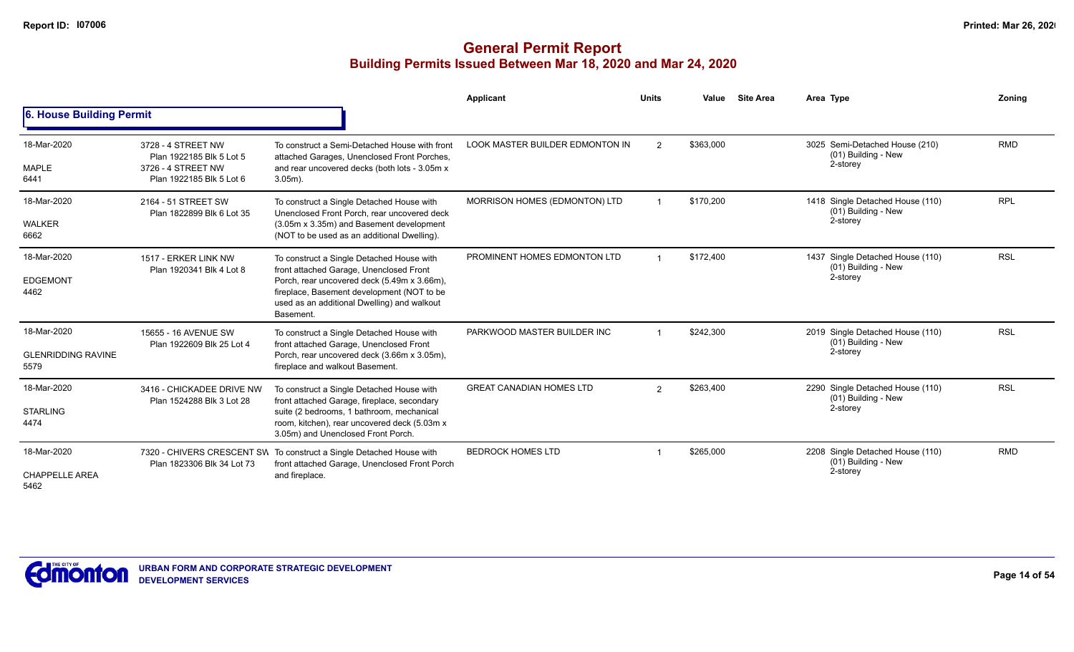|                                                  |                                                                                                  |                                                                                                                                                                                                                                               | Applicant                       | <b>Units</b>   | Value     | <b>Site Area</b> | Area Type                                                           | Zoning     |
|--------------------------------------------------|--------------------------------------------------------------------------------------------------|-----------------------------------------------------------------------------------------------------------------------------------------------------------------------------------------------------------------------------------------------|---------------------------------|----------------|-----------|------------------|---------------------------------------------------------------------|------------|
| 6. House Building Permit                         |                                                                                                  |                                                                                                                                                                                                                                               |                                 |                |           |                  |                                                                     |            |
| 18-Mar-2020<br>MAPLE<br>6441                     | 3728 - 4 STREET NW<br>Plan 1922185 Blk 5 Lot 5<br>3726 - 4 STREET NW<br>Plan 1922185 Blk 5 Lot 6 | To construct a Semi-Detached House with front<br>attached Garages, Unenclosed Front Porches,<br>and rear uncovered decks (both lots - 3.05m x<br>$3.05m$ ).                                                                                   | LOOK MASTER BUILDER EDMONTON IN | $\overline{2}$ | \$363,000 |                  | 3025 Semi-Detached House (210)<br>(01) Building - New<br>2-storey   | <b>RMD</b> |
| 18-Mar-2020<br><b>WALKER</b><br>6662             | 2164 - 51 STREET SW<br>Plan 1822899 Blk 6 Lot 35                                                 | To construct a Single Detached House with<br>Unenclosed Front Porch, rear uncovered deck<br>(3.05m x 3.35m) and Basement development<br>(NOT to be used as an additional Dwelling).                                                           | MORRISON HOMES (EDMONTON) LTD   |                | \$170,200 |                  | 1418 Single Detached House (110)<br>(01) Building - New<br>2-storey | <b>RPL</b> |
| 18-Mar-2020<br><b>EDGEMONT</b><br>4462           | 1517 - ERKER LINK NW<br>Plan 1920341 Blk 4 Lot 8                                                 | To construct a Single Detached House with<br>front attached Garage, Unenclosed Front<br>Porch, rear uncovered deck (5.49m x 3.66m),<br>fireplace, Basement development (NOT to be<br>used as an additional Dwelling) and walkout<br>Basement. | PROMINENT HOMES EDMONTON LTD    |                | \$172.400 |                  | 1437 Single Detached House (110)<br>(01) Building - New<br>2-storey | <b>RSL</b> |
| 18-Mar-2020<br><b>GLENRIDDING RAVINE</b><br>5579 | 15655 - 16 AVENUE SW<br>Plan 1922609 Blk 25 Lot 4                                                | To construct a Single Detached House with<br>front attached Garage, Unenclosed Front<br>Porch, rear uncovered deck (3.66m x 3.05m),<br>fireplace and walkout Basement.                                                                        | PARKWOOD MASTER BUILDER INC     |                | \$242,300 |                  | 2019 Single Detached House (110)<br>(01) Building - New<br>2-storey | <b>RSL</b> |
| 18-Mar-2020<br><b>STARLING</b><br>4474           | 3416 - CHICKADEE DRIVE NW<br>Plan 1524288 Blk 3 Lot 28                                           | To construct a Single Detached House with<br>front attached Garage, fireplace, secondary<br>suite (2 bedrooms, 1 bathroom, mechanical<br>room, kitchen), rear uncovered deck (5.03m x<br>3.05m) and Unenclosed Front Porch.                   | <b>GREAT CANADIAN HOMES LTD</b> | 2              | \$263,400 |                  | 2290 Single Detached House (110)<br>(01) Building - New<br>2-storey | <b>RSL</b> |
| 18-Mar-2020<br><b>CHAPPELLE AREA</b><br>5462     | Plan 1823306 Blk 34 Lot 73                                                                       | 7320 - CHIVERS CRESCENT SW To construct a Single Detached House with<br>front attached Garage, Unenclosed Front Porch<br>and fireplace.                                                                                                       | <b>BEDROCK HOMES LTD</b>        |                | \$265,000 |                  | 2208 Single Detached House (110)<br>(01) Building - New<br>2-storey | <b>RMD</b> |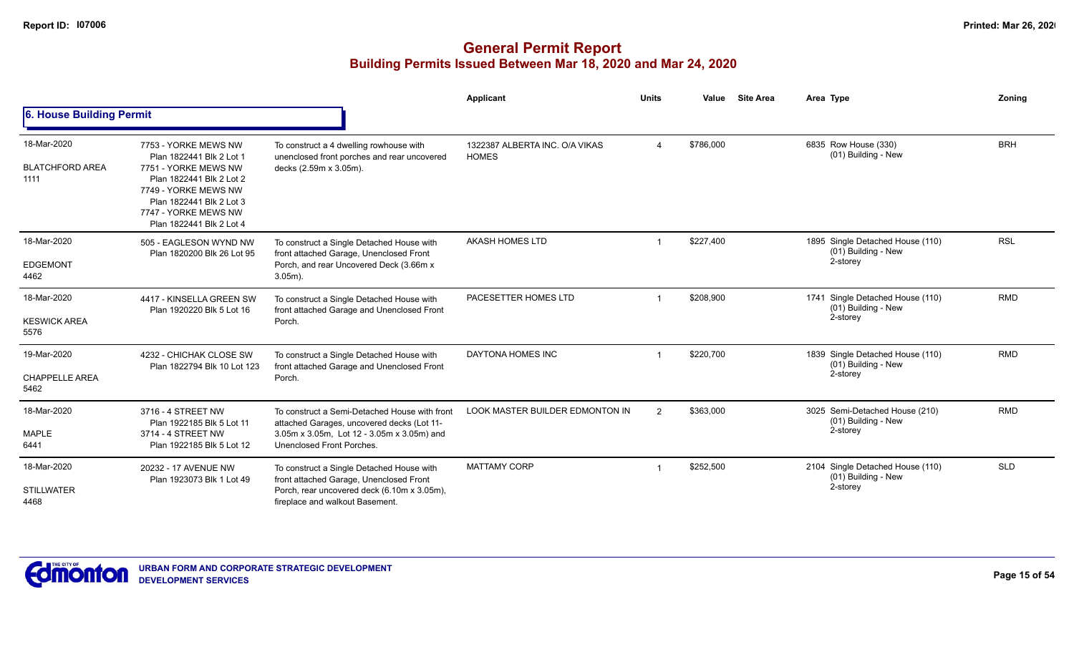|                                               |                                                                                                                                                                                                              |                                                                                                                                                                        | Applicant                                      | <b>Units</b>   | Value     | <b>Site Area</b> | Area Type                                                           | Zonina     |
|-----------------------------------------------|--------------------------------------------------------------------------------------------------------------------------------------------------------------------------------------------------------------|------------------------------------------------------------------------------------------------------------------------------------------------------------------------|------------------------------------------------|----------------|-----------|------------------|---------------------------------------------------------------------|------------|
| 6. House Building Permit                      |                                                                                                                                                                                                              |                                                                                                                                                                        |                                                |                |           |                  |                                                                     |            |
| 18-Mar-2020<br><b>BLATCHFORD AREA</b><br>1111 | 7753 - YORKE MEWS NW<br>Plan 1822441 Blk 2 Lot 1<br>7751 - YORKE MEWS NW<br>Plan 1822441 Blk 2 Lot 2<br>7749 - YORKE MEWS NW<br>Plan 1822441 Blk 2 Lot 3<br>7747 - YORKE MEWS NW<br>Plan 1822441 Blk 2 Lot 4 | To construct a 4 dwelling rowhouse with<br>unenclosed front porches and rear uncovered<br>decks (2.59m x 3.05m).                                                       | 1322387 ALBERTA INC. O/A VIKAS<br><b>HOMES</b> | 4              | \$786,000 |                  | 6835 Row House (330)<br>(01) Building - New                         | <b>BRH</b> |
| 18-Mar-2020<br><b>EDGEMONT</b><br>4462        | 505 - EAGLESON WYND NW<br>Plan 1820200 Blk 26 Lot 95                                                                                                                                                         | To construct a Single Detached House with<br>front attached Garage, Unenclosed Front<br>Porch, and rear Uncovered Deck (3.66m x<br>$3.05m$ ).                          | <b>AKASH HOMES LTD</b>                         | 1              | \$227.400 |                  | 1895 Single Detached House (110)<br>(01) Building - New<br>2-storey | <b>RSL</b> |
| 18-Mar-2020<br><b>KESWICK AREA</b><br>5576    | 4417 - KINSELLA GREEN SW<br>Plan 1920220 Blk 5 Lot 16                                                                                                                                                        | To construct a Single Detached House with<br>front attached Garage and Unenclosed Front<br>Porch.                                                                      | PACESETTER HOMES LTD                           | -1             | \$208,900 |                  | 1741 Single Detached House (110)<br>(01) Building - New<br>2-storey | <b>RMD</b> |
| 19-Mar-2020<br><b>CHAPPELLE AREA</b><br>5462  | 4232 - CHICHAK CLOSE SW<br>Plan 1822794 Blk 10 Lot 123                                                                                                                                                       | To construct a Single Detached House with<br>front attached Garage and Unenclosed Front<br>Porch.                                                                      | DAYTONA HOMES INC                              |                | \$220,700 |                  | 1839 Single Detached House (110)<br>(01) Building - New<br>2-storey | <b>RMD</b> |
| 18-Mar-2020<br><b>MAPLE</b><br>6441           | 3716 - 4 STREET NW<br>Plan 1922185 Blk 5 Lot 11<br>3714 - 4 STREET NW<br>Plan 1922185 Blk 5 Lot 12                                                                                                           | To construct a Semi-Detached House with front<br>attached Garages, uncovered decks (Lot 11-<br>3.05m x 3.05m, Lot 12 - 3.05m x 3.05m) and<br>Unenclosed Front Porches. | LOOK MASTER BUILDER EDMONTON IN                | $\overline{2}$ | \$363,000 |                  | 3025 Semi-Detached House (210)<br>(01) Building - New<br>2-storey   | <b>RMD</b> |
| 18-Mar-2020<br><b>STILLWATER</b><br>4468      | 20232 - 17 AVENUE NW<br>Plan 1923073 Blk 1 Lot 49                                                                                                                                                            | To construct a Single Detached House with<br>front attached Garage, Unenclosed Front<br>Porch, rear uncovered deck (6.10m x 3.05m),<br>fireplace and walkout Basement. | <b>MATTAMY CORP</b>                            |                | \$252,500 |                  | 2104 Single Detached House (110)<br>(01) Building - New<br>2-storey | <b>SLD</b> |

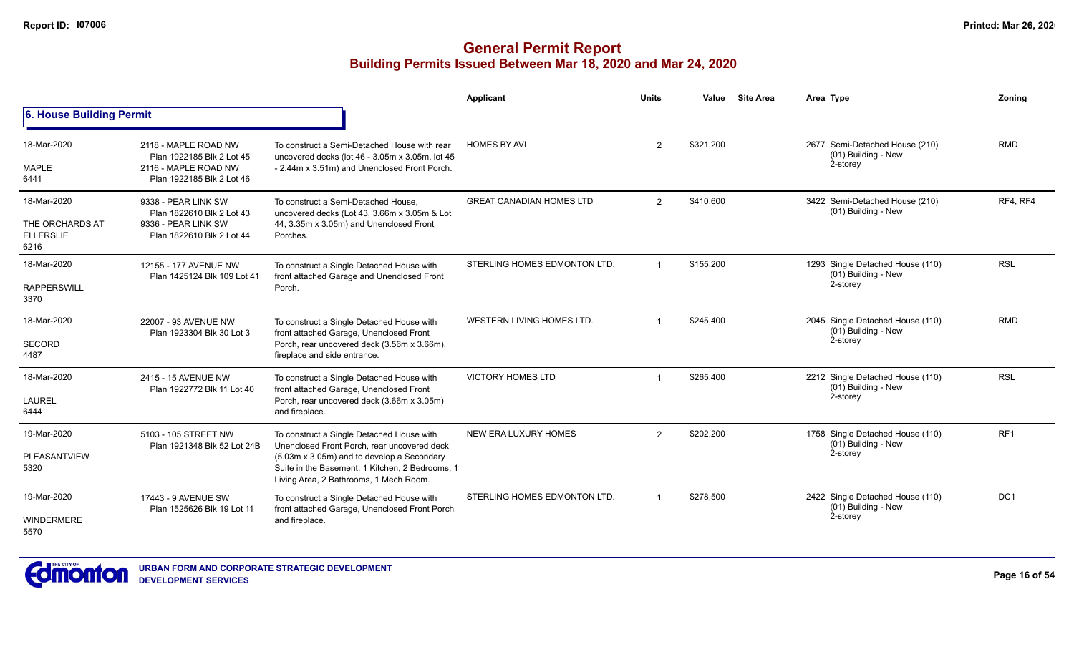|                                                            |                                                                                                        |                                                                                                                                                                                                                                     | Applicant                       | <b>Units</b> | Value     | <b>Site Area</b> | Area Type                                                             | Zoning          |
|------------------------------------------------------------|--------------------------------------------------------------------------------------------------------|-------------------------------------------------------------------------------------------------------------------------------------------------------------------------------------------------------------------------------------|---------------------------------|--------------|-----------|------------------|-----------------------------------------------------------------------|-----------------|
| <b>6. House Building Permit</b>                            |                                                                                                        |                                                                                                                                                                                                                                     |                                 |              |           |                  |                                                                       |                 |
| 18-Mar-2020<br>MAPLE<br>6441                               | 2118 - MAPLE ROAD NW<br>Plan 1922185 Blk 2 Lot 45<br>2116 - MAPLE ROAD NW<br>Plan 1922185 Blk 2 Lot 46 | To construct a Semi-Detached House with rear<br>uncovered decks (lot 46 - 3.05m x 3.05m, lot 45<br>- 2.44m x 3.51m) and Unenclosed Front Porch.                                                                                     | <b>HOMES BY AVI</b>             | 2            | \$321,200 |                  | 2677 Semi-Detached House (210)<br>(01) Building - New<br>2-storey     | <b>RMD</b>      |
| 18-Mar-2020<br>THE ORCHARDS AT<br><b>ELLERSLIE</b><br>6216 | 9338 - PEAR LINK SW<br>Plan 1822610 Blk 2 Lot 43<br>9336 - PEAR LINK SW<br>Plan 1822610 Blk 2 Lot 44   | To construct a Semi-Detached House.<br>uncovered decks (Lot 43, 3.66m x 3.05m & Lot<br>44, 3.35m x 3.05m) and Unenclosed Front<br>Porches.                                                                                          | <b>GREAT CANADIAN HOMES LTD</b> | 2            | \$410,600 |                  | 3422 Semi-Detached House (210)<br>(01) Building - New                 | RF4, RF4        |
| 18-Mar-2020<br><b>RAPPERSWILL</b><br>3370                  | 12155 - 177 AVENUE NW<br>Plan 1425124 Blk 109 Lot 41                                                   | To construct a Single Detached House with<br>front attached Garage and Unenclosed Front<br>Porch.                                                                                                                                   | STERLING HOMES EDMONTON LTD.    |              | \$155,200 |                  | 1293 Single Detached House (110)<br>(01) Building - New<br>2-storey   | <b>RSL</b>      |
| 18-Mar-2020<br><b>SECORD</b><br>4487                       | 22007 - 93 AVENUE NW<br>Plan 1923304 Blk 30 Lot 3                                                      | To construct a Single Detached House with<br>front attached Garage, Unenclosed Front<br>Porch, rear uncovered deck (3.56m x 3.66m),<br>fireplace and side entrance.                                                                 | WESTERN LIVING HOMES LTD.       |              | \$245,400 |                  | 2045 Single Detached House (110)<br>$(01)$ Building - New<br>2-storey | <b>RMD</b>      |
| 18-Mar-2020<br><b>LAUREL</b><br>6444                       | 2415 - 15 AVENUE NW<br>Plan 1922772 Blk 11 Lot 40                                                      | To construct a Single Detached House with<br>front attached Garage, Unenclosed Front<br>Porch, rear uncovered deck (3.66m x 3.05m)<br>and fireplace.                                                                                | <b>VICTORY HOMES LTD</b>        |              | \$265,400 |                  | 2212 Single Detached House (110)<br>(01) Building - New<br>2-storey   | <b>RSL</b>      |
| 19-Mar-2020<br>PLEASANTVIEW<br>5320                        | 5103 - 105 STREET NW<br>Plan 1921348 Blk 52 Lot 24B                                                    | To construct a Single Detached House with<br>Unenclosed Front Porch, rear uncovered deck<br>(5.03m x 3.05m) and to develop a Secondary<br>Suite in the Basement. 1 Kitchen, 2 Bedrooms, 1<br>Living Area, 2 Bathrooms, 1 Mech Room. | <b>NEW ERA LUXURY HOMES</b>     | 2            | \$202,200 |                  | 1758 Single Detached House (110)<br>(01) Building - New<br>2-storey   | RF <sub>1</sub> |
| 19-Mar-2020<br><b>WINDERMERE</b><br>5570                   | 17443 - 9 AVENUE SW<br>Plan 1525626 Blk 19 Lot 11                                                      | To construct a Single Detached House with<br>front attached Garage, Unenclosed Front Porch<br>and fireplace.                                                                                                                        | STERLING HOMES EDMONTON LTD.    |              | \$278.500 |                  | 2422 Single Detached House (110)<br>(01) Building - New<br>2-storey   | DC <sub>1</sub> |

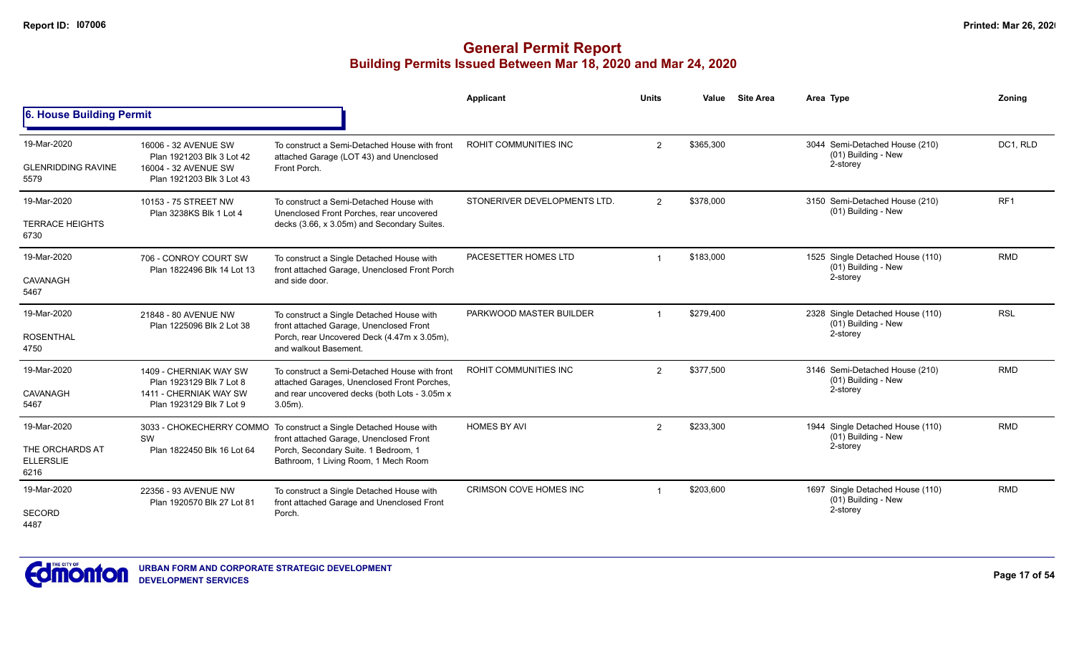|                                                            |                                                                                                          |                                                                                                                                                                                               | Applicant                     | <b>Units</b>  | Value     | <b>Site Area</b> | Area Type                                                             | Zonina          |
|------------------------------------------------------------|----------------------------------------------------------------------------------------------------------|-----------------------------------------------------------------------------------------------------------------------------------------------------------------------------------------------|-------------------------------|---------------|-----------|------------------|-----------------------------------------------------------------------|-----------------|
| 6. House Building Permit                                   |                                                                                                          |                                                                                                                                                                                               |                               |               |           |                  |                                                                       |                 |
| 19-Mar-2020<br><b>GLENRIDDING RAVINE</b><br>5579           | 16006 - 32 AVENUE SW<br>Plan 1921203 Blk 3 Lot 42<br>16004 - 32 AVENUE SW<br>Plan 1921203 Blk 3 Lot 43   | To construct a Semi-Detached House with front<br>attached Garage (LOT 43) and Unenclosed<br>Front Porch.                                                                                      | <b>ROHIT COMMUNITIES INC</b>  | 2             | \$365,300 |                  | 3044 Semi-Detached House (210)<br>(01) Building - New<br>2-storey     | DC1, RLD        |
| 19-Mar-2020<br><b>TERRACE HEIGHTS</b><br>6730              | 10153 - 75 STREET NW<br>Plan 3238KS Blk 1 Lot 4                                                          | To construct a Semi-Detached House with<br>Unenclosed Front Porches, rear uncovered<br>decks (3.66, x 3.05m) and Secondary Suites.                                                            | STONERIVER DEVELOPMENTS LTD.  | 2             | \$378,000 |                  | 3150 Semi-Detached House (210)<br>(01) Building - New                 | RF <sub>1</sub> |
| 19-Mar-2020<br>CAVANAGH<br>5467                            | 706 - CONROY COURT SW<br>Plan 1822496 Blk 14 Lot 13                                                      | To construct a Single Detached House with<br>front attached Garage, Unenclosed Front Porch<br>and side door.                                                                                  | PACESETTER HOMES LTD          |               | \$183,000 |                  | 1525 Single Detached House (110)<br>(01) Building - New<br>2-storey   | <b>RMD</b>      |
| 19-Mar-2020<br><b>ROSENTHAL</b><br>4750                    | 21848 - 80 AVENUE NW<br>Plan 1225096 Blk 2 Lot 38                                                        | To construct a Single Detached House with<br>front attached Garage, Unenclosed Front<br>Porch, rear Uncovered Deck (4.47m x 3.05m),<br>and walkout Basement.                                  | PARKWOOD MASTER BUILDER       |               | \$279,400 |                  | 2328 Single Detached House (110)<br>$(01)$ Building - New<br>2-storey | <b>RSL</b>      |
| 19-Mar-2020<br>CAVANAGH<br>5467                            | 1409 - CHERNIAK WAY SW<br>Plan 1923129 Blk 7 Lot 8<br>1411 - CHERNIAK WAY SW<br>Plan 1923129 Blk 7 Lot 9 | To construct a Semi-Detached House with front<br>attached Garages, Unenclosed Front Porches,<br>and rear uncovered decks (both Lots - 3.05m x<br>$3.05m$ ).                                   | <b>ROHIT COMMUNITIES INC</b>  | $\mathcal{P}$ | \$377,500 |                  | 3146 Semi-Detached House (210)<br>(01) Building - New<br>2-storey     | <b>RMD</b>      |
| 19-Mar-2020<br>THE ORCHARDS AT<br><b>ELLERSLIE</b><br>6216 | SW<br>Plan 1822450 Blk 16 Lot 64                                                                         | 3033 - CHOKECHERRY COMMO To construct a Single Detached House with<br>front attached Garage, Unenclosed Front<br>Porch, Secondary Suite. 1 Bedroom, 1<br>Bathroom, 1 Living Room, 1 Mech Room | <b>HOMES BY AVI</b>           | 2             | \$233,300 |                  | 1944 Single Detached House (110)<br>(01) Building - New<br>2-storey   | <b>RMD</b>      |
| 19-Mar-2020<br><b>SECORD</b><br>4487                       | 22356 - 93 AVENUE NW<br>Plan 1920570 Blk 27 Lot 81                                                       | To construct a Single Detached House with<br>front attached Garage and Unenclosed Front<br>Porch.                                                                                             | <b>CRIMSON COVE HOMES INC</b> |               | \$203,600 |                  | 1697 Single Detached House (110)<br>(01) Building - New<br>2-storey   | <b>RMD</b>      |

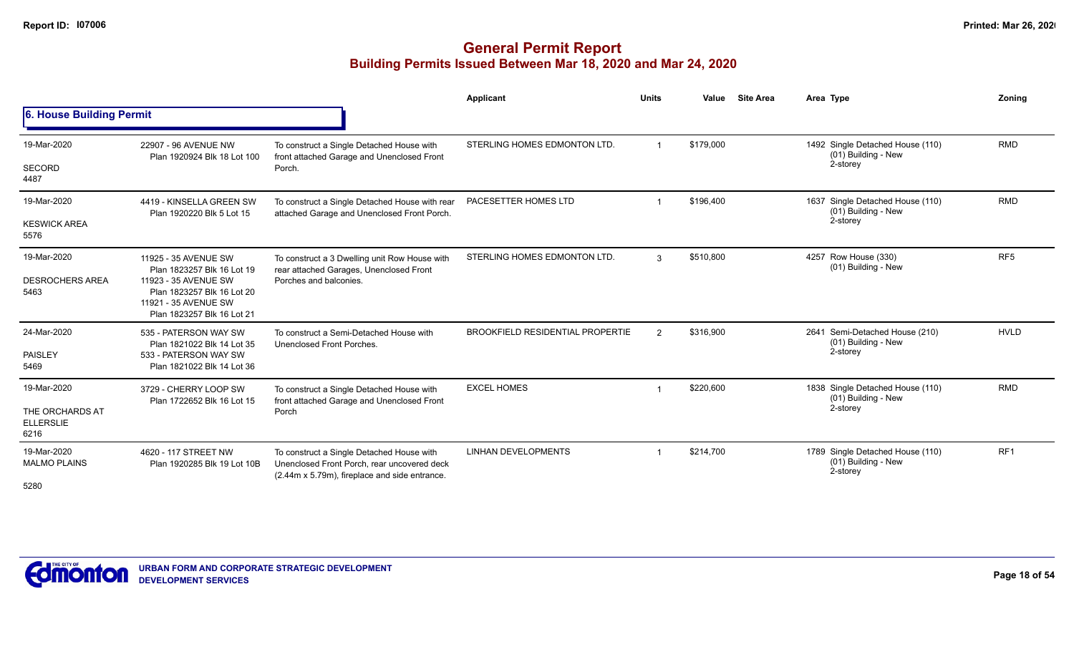|                                             |                                                                                  |                                                                                                                                           | Applicant                               | <b>Units</b>   | Value     | <b>Site Area</b> | Area Type                                                           | Zoning          |
|---------------------------------------------|----------------------------------------------------------------------------------|-------------------------------------------------------------------------------------------------------------------------------------------|-----------------------------------------|----------------|-----------|------------------|---------------------------------------------------------------------|-----------------|
| 6. House Building Permit                    |                                                                                  |                                                                                                                                           |                                         |                |           |                  |                                                                     |                 |
| 19-Mar-2020                                 | 22907 - 96 AVENUE NW<br>Plan 1920924 Blk 18 Lot 100                              | To construct a Single Detached House with<br>front attached Garage and Unenclosed Front                                                   | STERLING HOMES EDMONTON LTD.            |                | \$179,000 |                  | 1492 Single Detached House (110)<br>(01) Building - New             | <b>RMD</b>      |
| SECORD<br>4487                              |                                                                                  | Porch                                                                                                                                     |                                         |                |           |                  | 2-storey                                                            |                 |
| 19-Mar-2020                                 | 4419 - KINSELLA GREEN SW<br>Plan 1920220 Blk 5 Lot 15                            | To construct a Single Detached House with rear<br>attached Garage and Unenclosed Front Porch.                                             | PACESETTER HOMES LTD                    |                | \$196,400 |                  | 1637 Single Detached House (110)<br>(01) Building - New             | <b>RMD</b>      |
| <b>KESWICK AREA</b><br>5576                 |                                                                                  |                                                                                                                                           |                                         |                |           |                  | 2-storey                                                            |                 |
| 19-Mar-2020                                 | 11925 - 35 AVENUE SW<br>Plan 1823257 Blk 16 Lot 19                               | To construct a 3 Dwelling unit Row House with<br>rear attached Garages, Unenclosed Front                                                  | STERLING HOMES EDMONTON LTD.            | 3              | \$510,800 |                  | 4257 Row House (330)<br>(01) Building - New                         | RF <sub>5</sub> |
| <b>DESROCHERS AREA</b>                      | 11923 - 35 AVENUE SW                                                             | Porches and balconies.                                                                                                                    |                                         |                |           |                  |                                                                     |                 |
| 5463                                        | Plan 1823257 Blk 16 Lot 20<br>11921 - 35 AVENUE SW<br>Plan 1823257 Blk 16 Lot 21 |                                                                                                                                           |                                         |                |           |                  |                                                                     |                 |
| 24-Mar-2020                                 | 535 - PATERSON WAY SW<br>Plan 1821022 Blk 14 Lot 35                              | To construct a Semi-Detached House with<br>Unenclosed Front Porches.                                                                      | <b>BROOKFIELD RESIDENTIAL PROPERTIE</b> | $\overline{2}$ | \$316,900 |                  | 2641 Semi-Detached House (210)<br>(01) Building - New               | <b>HVLD</b>     |
| PAISLEY<br>5469                             | 533 - PATERSON WAY SW<br>Plan 1821022 Blk 14 Lot 36                              |                                                                                                                                           |                                         |                | 2-storey  |                  |                                                                     |                 |
| 19-Mar-2020                                 | 3729 - CHERRY LOOP SW<br>Plan 1722652 Blk 16 Lot 15                              | To construct a Single Detached House with<br>front attached Garage and Unenclosed Front                                                   | <b>EXCEL HOMES</b>                      |                | \$220,600 |                  | 1838 Single Detached House (110)<br>(01) Building - New             | <b>RMD</b>      |
| THE ORCHARDS AT<br><b>ELLERSLIE</b><br>6216 |                                                                                  | Porch                                                                                                                                     |                                         |                |           |                  | 2-storey                                                            |                 |
| 19-Mar-2020<br><b>MALMO PLAINS</b>          | 4620 - 117 STREET NW<br>Plan 1920285 Blk 19 Lot 10B                              | To construct a Single Detached House with<br>Unenclosed Front Porch, rear uncovered deck<br>(2.44m x 5.79m), fireplace and side entrance. | <b>LINHAN DEVELOPMENTS</b>              |                | \$214,700 |                  | 1789 Single Detached House (110)<br>(01) Building - New<br>2-storey | RF <sub>1</sub> |
| 5280                                        |                                                                                  |                                                                                                                                           |                                         |                |           |                  |                                                                     |                 |

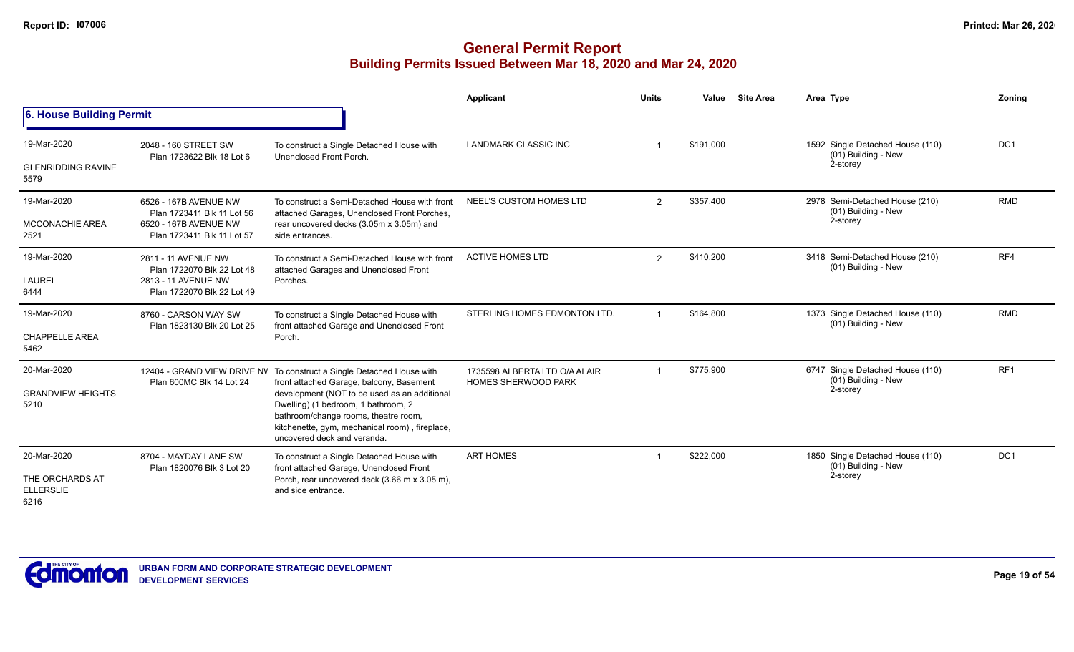|                                                            |                                                                                                            |                                                                                                                                                                                                                                                                                                       | Applicant                                                   | <b>Units</b> | Value     | <b>Site Area</b> | Area Type                                                           | Zoning          |
|------------------------------------------------------------|------------------------------------------------------------------------------------------------------------|-------------------------------------------------------------------------------------------------------------------------------------------------------------------------------------------------------------------------------------------------------------------------------------------------------|-------------------------------------------------------------|--------------|-----------|------------------|---------------------------------------------------------------------|-----------------|
| 6. House Building Permit                                   |                                                                                                            |                                                                                                                                                                                                                                                                                                       |                                                             |              |           |                  |                                                                     |                 |
| 19-Mar-2020<br><b>GLENRIDDING RAVINE</b><br>5579           | 2048 - 160 STREET SW<br>Plan 1723622 Blk 18 Lot 6                                                          | To construct a Single Detached House with<br>Unenclosed Front Porch.                                                                                                                                                                                                                                  | <b>LANDMARK CLASSIC INC</b>                                 |              | \$191,000 |                  | 1592 Single Detached House (110)<br>(01) Building - New<br>2-storey | DC <sub>1</sub> |
| 19-Mar-2020<br><b>MCCONACHIE AREA</b><br>2521              | 6526 - 167B AVENUE NW<br>Plan 1723411 Blk 11 Lot 56<br>6520 - 167B AVENUE NW<br>Plan 1723411 Blk 11 Lot 57 | To construct a Semi-Detached House with front<br>attached Garages, Unenclosed Front Porches,<br>rear uncovered decks (3.05m x 3.05m) and<br>side entrances.                                                                                                                                           | NEEL'S CUSTOM HOMES LTD                                     | 2            | \$357,400 |                  | 2978 Semi-Detached House (210)<br>(01) Building - New<br>2-storey   | <b>RMD</b>      |
| 19-Mar-2020<br><b>LAUREL</b><br>6444                       | 2811 - 11 AVENUE NW<br>Plan 1722070 Blk 22 Lot 48<br>2813 - 11 AVENUE NW<br>Plan 1722070 Blk 22 Lot 49     | To construct a Semi-Detached House with front<br>attached Garages and Unenclosed Front<br>Porches.                                                                                                                                                                                                    | <b>ACTIVE HOMES LTD</b>                                     | 2            | \$410,200 |                  | 3418 Semi-Detached House (210)<br>(01) Building - New               | RF4             |
| 19-Mar-2020<br><b>CHAPPELLE AREA</b><br>5462               | 8760 - CARSON WAY SW<br>Plan 1823130 Blk 20 Lot 25                                                         | To construct a Single Detached House with<br>front attached Garage and Unenclosed Front<br>Porch.                                                                                                                                                                                                     | STERLING HOMES EDMONTON LTD.                                |              | \$164.800 |                  | 1373 Single Detached House (110)<br>(01) Building - New             | <b>RMD</b>      |
| 20-Mar-2020<br><b>GRANDVIEW HEIGHTS</b><br>5210            | 12404 - GRAND VIEW DRIVE NV<br>Plan 600MC Blk 14 Lot 24                                                    | To construct a Single Detached House with<br>front attached Garage, balcony, Basement<br>development (NOT to be used as an additional<br>Dwelling) (1 bedroom, 1 bathroom, 2<br>bathroom/change rooms, theatre room,<br>kitchenette, gym, mechanical room), fireplace,<br>uncovered deck and veranda. | 1735598 ALBERTA LTD O/A ALAIR<br><b>HOMES SHERWOOD PARK</b> |              | \$775,900 |                  | 6747 Single Detached House (110)<br>(01) Building - New<br>2-storey | RF <sub>1</sub> |
| 20-Mar-2020<br>THE ORCHARDS AT<br><b>ELLERSLIE</b><br>6216 | 8704 - MAYDAY LANE SW<br>Plan 1820076 Blk 3 Lot 20                                                         | To construct a Single Detached House with<br>front attached Garage, Unenclosed Front<br>Porch, rear uncovered deck (3.66 m x 3.05 m),<br>and side entrance.                                                                                                                                           | <b>ART HOMES</b>                                            |              | \$222,000 |                  | 1850 Single Detached House (110)<br>(01) Building - New<br>2-storey | DC <sub>1</sub> |

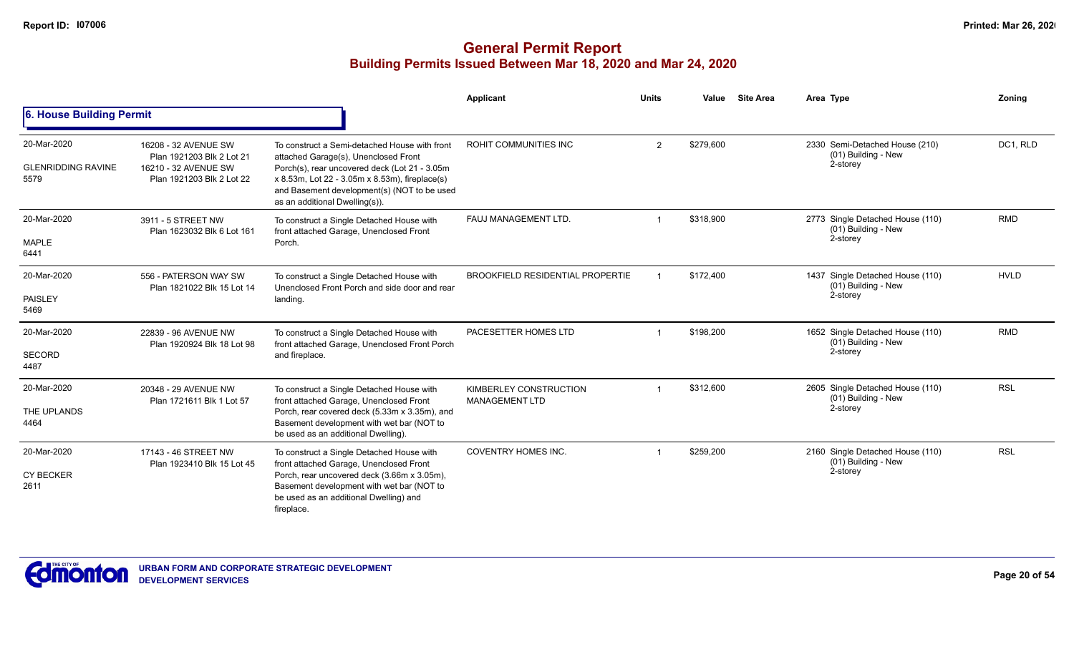|                                                  |                                                                                                        |                                                                                                                                                                                                                                                                           | <b>Applicant</b>                                       | <b>Units</b> | Value     | <b>Site Area</b> | Area Type                                                             | Zoning                                                                          |
|--------------------------------------------------|--------------------------------------------------------------------------------------------------------|---------------------------------------------------------------------------------------------------------------------------------------------------------------------------------------------------------------------------------------------------------------------------|--------------------------------------------------------|--------------|-----------|------------------|-----------------------------------------------------------------------|---------------------------------------------------------------------------------|
| 6. House Building Permit                         |                                                                                                        |                                                                                                                                                                                                                                                                           |                                                        |              |           |                  |                                                                       | DC1, RLD<br><b>RMD</b><br><b>HVLD</b><br><b>RMD</b><br><b>RSL</b><br><b>RSL</b> |
| 20-Mar-2020<br><b>GLENRIDDING RAVINE</b><br>5579 | 16208 - 32 AVENUE SW<br>Plan 1921203 Blk 2 Lot 21<br>16210 - 32 AVENUE SW<br>Plan 1921203 Blk 2 Lot 22 | To construct a Semi-detached House with front<br>attached Garage(s), Unenclosed Front<br>Porch(s), rear uncovered deck (Lot 21 - 3.05m<br>x 8.53m, Lot 22 - 3.05m x 8.53m), fireplace(s)<br>and Basement development(s) (NOT to be used<br>as an additional Dwelling(s)). | <b>ROHIT COMMUNITIES INC</b>                           | 2            | \$279,600 |                  | 2330 Semi-Detached House (210)<br>(01) Building - New<br>2-storey     |                                                                                 |
| 20-Mar-2020<br><b>MAPLE</b><br>6441              | 3911 - 5 STREET NW<br>Plan 1623032 Blk 6 Lot 161                                                       | To construct a Single Detached House with<br>front attached Garage, Unenclosed Front<br>Porch.                                                                                                                                                                            | FAUJ MANAGEMENT LTD.                                   |              | \$318.900 |                  | 2773 Single Detached House (110)<br>(01) Building - New<br>2-storey   |                                                                                 |
| 20-Mar-2020<br><b>PAISLEY</b><br>5469            | 556 - PATERSON WAY SW<br>Plan 1821022 Blk 15 Lot 14                                                    | To construct a Single Detached House with<br>Unenclosed Front Porch and side door and rear<br>landing.                                                                                                                                                                    | <b>BROOKFIELD RESIDENTIAL PROPERTIE</b>                |              | \$172,400 |                  | 1437 Single Detached House (110)<br>(01) Building - New<br>2-storey   |                                                                                 |
| 20-Mar-2020<br><b>SECORD</b><br>4487             | 22839 - 96 AVENUE NW<br>Plan 1920924 Blk 18 Lot 98                                                     | To construct a Single Detached House with<br>front attached Garage, Unenclosed Front Porch<br>and fireplace.                                                                                                                                                              | PACESETTER HOMES LTD                                   |              | \$198,200 |                  | 1652 Single Detached House (110)<br>(01) Building - New<br>2-storey   |                                                                                 |
| 20-Mar-2020<br>THE UPLANDS<br>4464               | 20348 - 29 AVENUE NW<br>Plan 1721611 Blk 1 Lot 57                                                      | To construct a Single Detached House with<br>front attached Garage, Unenclosed Front<br>Porch, rear covered deck (5.33m x 3.35m), and<br>Basement development with wet bar (NOT to<br>be used as an additional Dwelling).                                                 | <b>KIMBERLEY CONSTRUCTION</b><br><b>MANAGEMENT LTD</b> |              | \$312,600 |                  | 2605 Single Detached House (110)<br>(01) Building - New<br>2-storey   |                                                                                 |
| 20-Mar-2020<br><b>CY BECKER</b><br>2611          | 17143 - 46 STREET NW<br>Plan 1923410 Blk 15 Lot 45                                                     | To construct a Single Detached House with<br>front attached Garage, Unenclosed Front<br>Porch, rear uncovered deck (3.66m x 3.05m),<br>Basement development with wet bar (NOT to<br>be used as an additional Dwelling) and<br>fireplace.                                  | <b>COVENTRY HOMES INC.</b>                             |              | \$259,200 |                  | 2160 Single Detached House (110)<br>$(01)$ Building - New<br>2-storey |                                                                                 |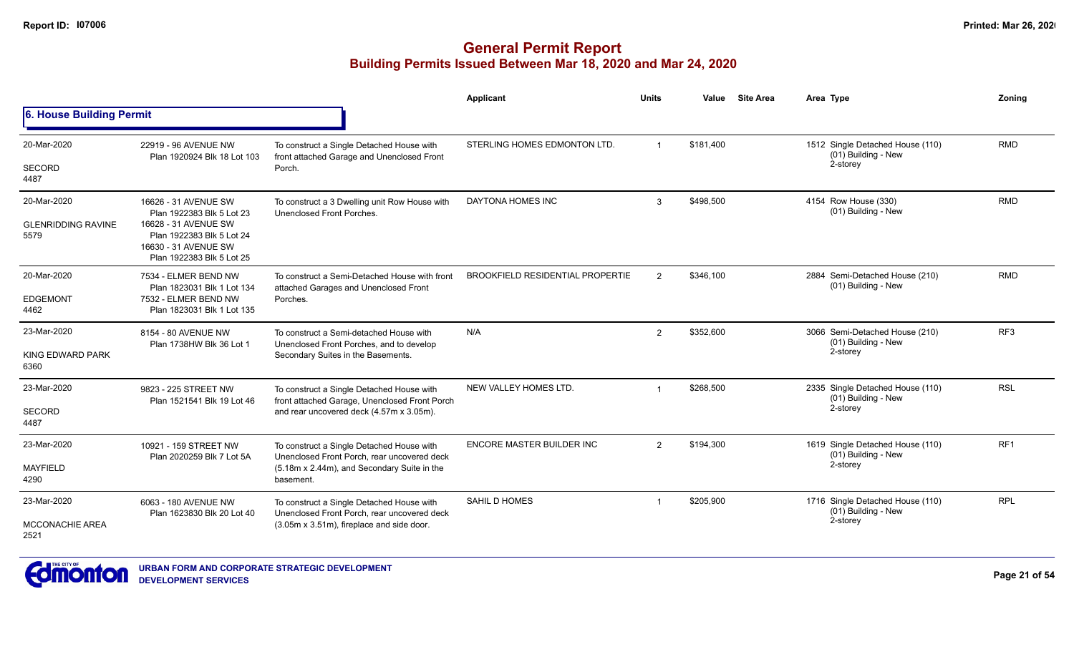|                                                  |                                                                                                                                                             |                                                                                                                           | <b>Applicant</b>                        | <b>Units</b>   | Value     | <b>Site Area</b> | Area Type                                                         | Zonina          |
|--------------------------------------------------|-------------------------------------------------------------------------------------------------------------------------------------------------------------|---------------------------------------------------------------------------------------------------------------------------|-----------------------------------------|----------------|-----------|------------------|-------------------------------------------------------------------|-----------------|
| 6. House Building Permit                         |                                                                                                                                                             |                                                                                                                           |                                         |                |           |                  |                                                                   |                 |
| 20-Mar-2020                                      | 22919 - 96 AVENUE NW<br>Plan 1920924 Blk 18 Lot 103                                                                                                         | To construct a Single Detached House with<br>front attached Garage and Unenclosed Front                                   | STERLING HOMES EDMONTON LTD.            | $\overline{1}$ | \$181,400 |                  | 1512 Single Detached House (110)<br>(01) Building - New           | <b>RMD</b>      |
| <b>SECORD</b><br>4487                            |                                                                                                                                                             | Porch.                                                                                                                    |                                         |                |           |                  | 2-storey                                                          |                 |
| 20-Mar-2020<br><b>GLENRIDDING RAVINE</b><br>5579 | 16626 - 31 AVENUE SW<br>Plan 1922383 Blk 5 Lot 23<br>16628 - 31 AVENUE SW<br>Plan 1922383 Blk 5 Lot 24<br>16630 - 31 AVENUE SW<br>Plan 1922383 Blk 5 Lot 25 | To construct a 3 Dwelling unit Row House with<br>Unenclosed Front Porches.                                                | <b>DAYTONA HOMES INC</b>                | 3              | \$498,500 |                  | 4154 Row House (330)<br>(01) Building - New                       | <b>RMD</b>      |
| 20-Mar-2020                                      | 7534 - ELMER BEND NW                                                                                                                                        | To construct a Semi-Detached House with front                                                                             | <b>BROOKFIELD RESIDENTIAL PROPERTIE</b> | $\overline{2}$ | \$346,100 |                  | 2884 Semi-Detached House (210)<br>(01) Building - New             | <b>RMD</b>      |
| <b>EDGEMONT</b><br>4462                          | Plan 1823031 Blk 1 Lot 134<br>7532 - ELMER BEND NW<br>Plan 1823031 Blk 1 Lot 135                                                                            | attached Garages and Unenclosed Front<br>Porches.                                                                         |                                         |                |           |                  |                                                                   |                 |
| 23-Mar-2020<br>KING EDWARD PARK<br>6360          | 8154 - 80 AVENUE NW<br>Plan 1738HW Blk 36 Lot 1                                                                                                             | To construct a Semi-detached House with<br>Unenclosed Front Porches, and to develop<br>Secondary Suites in the Basements. | N/A                                     | $\overline{2}$ | \$352,600 |                  | 3066 Semi-Detached House (210)<br>(01) Building - New<br>2-storey | RF <sub>3</sub> |
| 23-Mar-2020                                      | 9823 - 225 STREET NW<br>Plan 1521541 Blk 19 Lot 46                                                                                                          | To construct a Single Detached House with<br>front attached Garage, Unenclosed Front Porch                                | NEW VALLEY HOMES LTD.                   | $\overline{1}$ | \$268,500 |                  | 2335 Single Detached House (110)<br>(01) Building - New           | <b>RSL</b>      |
| <b>SECORD</b><br>4487                            |                                                                                                                                                             | and rear uncovered deck (4.57m x 3.05m).                                                                                  |                                         |                |           |                  | 2-storey                                                          |                 |
| 23-Mar-2020                                      | 10921 - 159 STREET NW                                                                                                                                       | To construct a Single Detached House with<br>Unenclosed Front Porch, rear uncovered deck                                  | <b>ENCORE MASTER BUILDER INC</b>        | $\overline{2}$ | \$194,300 |                  | 1619 Single Detached House (110)<br>(01) Building - New           | RF <sub>1</sub> |
| MAYFIELD<br>4290                                 | Plan 2020259 Blk 7 Lot 5A                                                                                                                                   | (5.18m x 2.44m), and Secondary Suite in the<br>basement.                                                                  |                                         |                |           |                  | 2-storey                                                          |                 |
| 23-Mar-2020                                      | 6063 - 180 AVENUE NW<br>Plan 1623830 Blk 20 Lot 40                                                                                                          | To construct a Single Detached House with<br>Unenclosed Front Porch, rear uncovered deck                                  | <b>SAHIL D HOMES</b>                    | $\overline{1}$ | \$205,900 |                  | 1716 Single Detached House (110)<br>(01) Building - New           | <b>RPL</b>      |
| <b>MCCONACHIE AREA</b><br>2521                   |                                                                                                                                                             | (3.05m x 3.51m), fireplace and side door.                                                                                 |                                         |                |           |                  | 2-storey                                                          |                 |

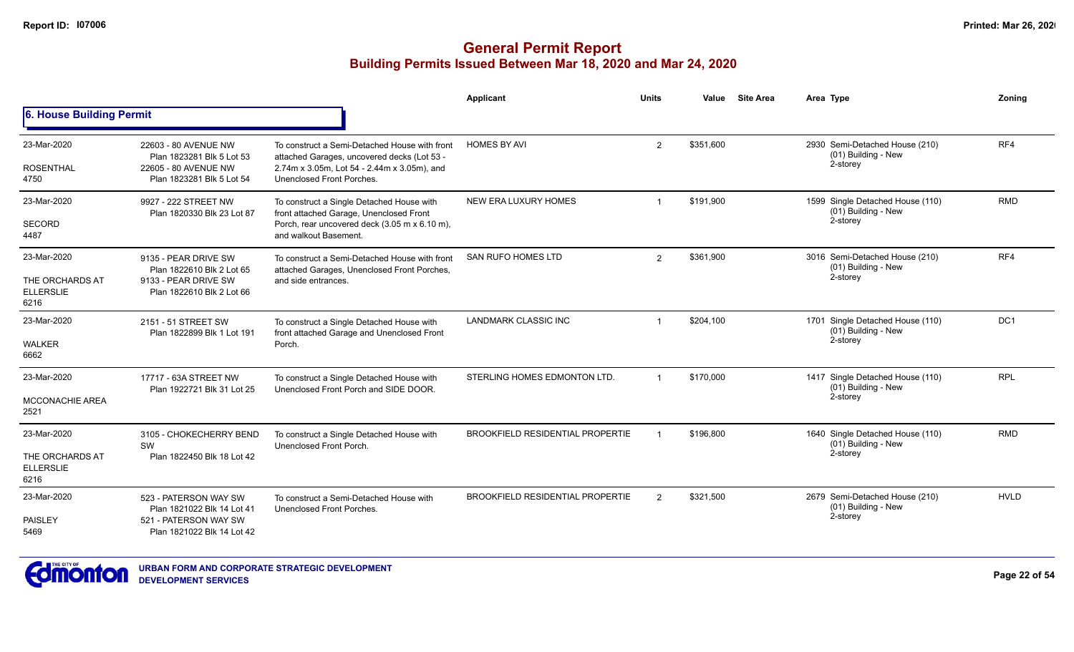## **General Permit Report Building Permits Issued Between Mar 18, 2020 and Mar 24, 2020**

|                                                            |                                                                                                            |                                                                                                                                                                          | <b>Applicant</b>                        | <b>Units</b>   | Value     | <b>Site Area</b> | Area Type                                                             | Zoning          |
|------------------------------------------------------------|------------------------------------------------------------------------------------------------------------|--------------------------------------------------------------------------------------------------------------------------------------------------------------------------|-----------------------------------------|----------------|-----------|------------------|-----------------------------------------------------------------------|-----------------|
| 6. House Building Permit                                   |                                                                                                            |                                                                                                                                                                          |                                         |                |           |                  |                                                                       |                 |
| 23-Mar-2020<br><b>ROSENTHAL</b><br>4750                    | 22603 - 80 AVENUE NW<br>Plan 1823281 Blk 5 Lot 53<br>22605 - 80 AVENUE NW<br>Plan 1823281 Blk 5 Lot 54     | To construct a Semi-Detached House with front<br>attached Garages, uncovered decks (Lot 53 -<br>2.74m x 3.05m, Lot 54 - 2.44m x 3.05m), and<br>Unenclosed Front Porches. | <b>HOMES BY AVI</b>                     | $\overline{2}$ | \$351,600 |                  | 2930 Semi-Detached House (210)<br>(01) Building - New<br>2-storey     | RF4             |
| 23-Mar-2020<br><b>SECORD</b><br>4487                       | 9927 - 222 STREET NW<br>Plan 1820330 Blk 23 Lot 87                                                         | To construct a Single Detached House with<br>front attached Garage, Unenclosed Front<br>Porch, rear uncovered deck (3.05 m x 6.10 m),<br>and walkout Basement.           | NEW ERA LUXURY HOMES                    |                | \$191,900 |                  | 1599 Single Detached House (110)<br>(01) Building - New<br>2-storey   | <b>RMD</b>      |
| 23-Mar-2020<br>THE ORCHARDS AT<br><b>ELLERSLIE</b><br>6216 | 9135 - PEAR DRIVE SW<br>Plan 1822610 Blk 2 Lot 65<br>9133 - PEAR DRIVE SW<br>Plan 1822610 Blk 2 Lot 66     | To construct a Semi-Detached House with front<br>attached Garages, Unenclosed Front Porches,<br>and side entrances.                                                      | <b>SAN RUFO HOMES LTD</b>               | $\overline{2}$ | \$361.900 |                  | 3016 Semi-Detached House (210)<br>(01) Building - New<br>2-storey     | RF4             |
| 23-Mar-2020<br><b>WALKER</b><br>6662                       | 2151 - 51 STREET SW<br>Plan 1822899 Blk 1 Lot 191                                                          | To construct a Single Detached House with<br>front attached Garage and Unenclosed Front<br>Porch.                                                                        | <b>LANDMARK CLASSIC INC</b>             |                | \$204,100 |                  | 1701 Single Detached House (110)<br>$(01)$ Building - New<br>2-storey | DC <sub>1</sub> |
| 23-Mar-2020<br><b>MCCONACHIE AREA</b><br>2521              | 17717 - 63A STREET NW<br>Plan 1922721 Blk 31 Lot 25                                                        | To construct a Single Detached House with<br>Unenclosed Front Porch and SIDE DOOR.                                                                                       | STERLING HOMES EDMONTON LTD.            |                | \$170,000 |                  | 1417 Single Detached House (110)<br>(01) Building - New<br>2-storey   | <b>RPL</b>      |
| 23-Mar-2020<br>THE ORCHARDS AT<br><b>ELLERSLIE</b><br>6216 | 3105 - CHOKECHERRY BEND<br>SW<br>Plan 1822450 Blk 18 Lot 42                                                | To construct a Single Detached House with<br>Unenclosed Front Porch.                                                                                                     | <b>BROOKFIELD RESIDENTIAL PROPERTIE</b> |                | \$196,800 |                  | 1640 Single Detached House (110)<br>$(01)$ Building - New<br>2-storey | <b>RMD</b>      |
| 23-Mar-2020<br><b>PAISLEY</b><br>5469                      | 523 - PATERSON WAY SW<br>Plan 1821022 Blk 14 Lot 41<br>521 - PATERSON WAY SW<br>Plan 1821022 Blk 14 Lot 42 | To construct a Semi-Detached House with<br>Unenclosed Front Porches.                                                                                                     | <b>BROOKFIELD RESIDENTIAL PROPERTIE</b> | $\overline{2}$ | \$321,500 |                  | 2679 Semi-Detached House (210)<br>(01) Building - New<br>2-storey     | <b>HVLD</b>     |



**URBAN FORM AND CORPORATE STRATEGIC DEVELOPMENT DEVELOPMENT SERVICES**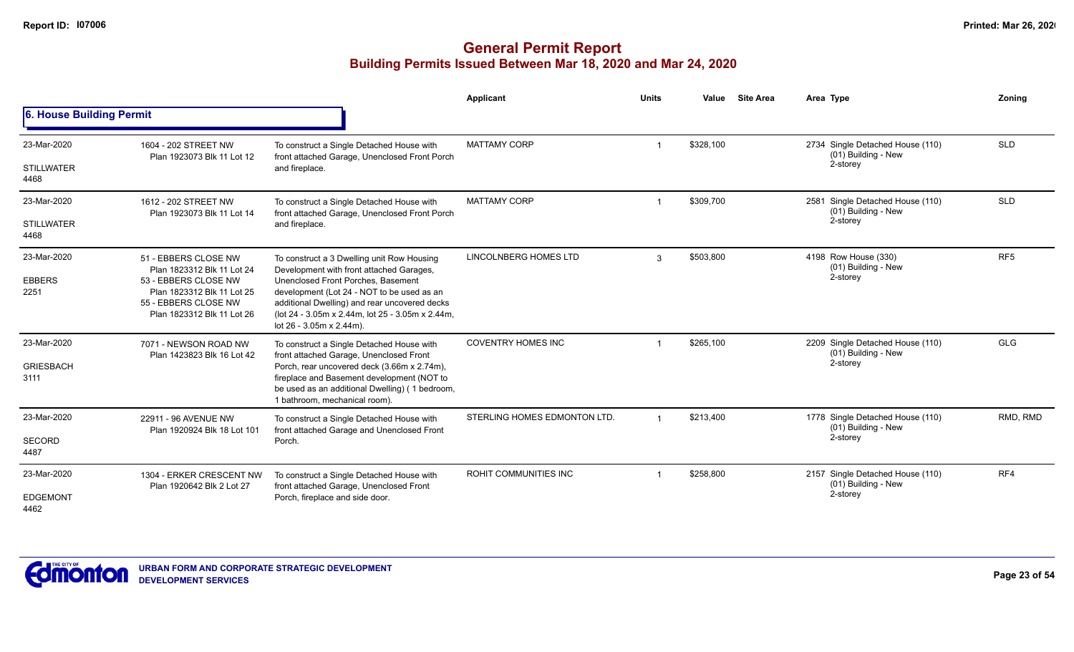|                                          |                                                                                                                                                                |                                                                                                                                                                                                                                                                                                             | Applicant                    | <b>Units</b>   | Value     | <b>Site Area</b>                                        | Area Type                                                           | Zoning          |
|------------------------------------------|----------------------------------------------------------------------------------------------------------------------------------------------------------------|-------------------------------------------------------------------------------------------------------------------------------------------------------------------------------------------------------------------------------------------------------------------------------------------------------------|------------------------------|----------------|-----------|---------------------------------------------------------|---------------------------------------------------------------------|-----------------|
| 6. House Building Permit                 |                                                                                                                                                                |                                                                                                                                                                                                                                                                                                             |                              |                |           |                                                         |                                                                     |                 |
| 23-Mar-2020<br><b>STILLWATER</b><br>4468 | 1604 - 202 STREET NW<br>Plan 1923073 Blk 11 Lot 12                                                                                                             | To construct a Single Detached House with<br>front attached Garage, Unenclosed Front Porch<br>and fireplace.                                                                                                                                                                                                | <b>MATTAMY CORP</b>          |                | \$328.100 |                                                         | 2734 Single Detached House (110)<br>(01) Building - New<br>2-storey | <b>SLD</b>      |
|                                          |                                                                                                                                                                |                                                                                                                                                                                                                                                                                                             |                              |                |           |                                                         |                                                                     |                 |
| 23-Mar-2020                              | 1612 - 202 STREET NW<br>Plan 1923073 Blk 11 Lot 14                                                                                                             | To construct a Single Detached House with<br>front attached Garage, Unenclosed Front Porch                                                                                                                                                                                                                  | <b>MATTAMY CORP</b>          | \$309,700      |           | 2581 Single Detached House (110)<br>(01) Building - New | <b>SLD</b>                                                          |                 |
| <b>STILLWATER</b><br>4468                |                                                                                                                                                                | and fireplace.                                                                                                                                                                                                                                                                                              |                              |                |           | 2-storey                                                |                                                                     |                 |
| 23-Mar-2020<br><b>EBBERS</b><br>2251     | 51 - EBBERS CLOSE NW<br>Plan 1823312 Blk 11 Lot 24<br>53 - EBBERS CLOSE NW<br>Plan 1823312 Blk 11 Lot 25<br>55 - EBBERS CLOSE NW<br>Plan 1823312 Blk 11 Lot 26 | To construct a 3 Dwelling unit Row Housing<br>Development with front attached Garages,<br>Unenclosed Front Porches, Basement<br>development (Lot 24 - NOT to be used as an<br>additional Dwelling) and rear uncovered decks<br>(lot 24 - 3.05m x 2.44m, lot 25 - 3.05m x 2.44m,<br>lot 26 - 3.05m x 2.44m). | LINCOLNBERG HOMES LTD        | 3              | \$503,800 |                                                         | 4198 Row House (330)<br>(01) Building - New<br>2-storey             | RF <sub>5</sub> |
| 23-Mar-2020<br><b>GRIESBACH</b><br>3111  | 7071 - NEWSON ROAD NW<br>Plan 1423823 Blk 16 Lot 42                                                                                                            | To construct a Single Detached House with<br>front attached Garage, Unenclosed Front<br>Porch, rear uncovered deck (3.66m x 2.74m),<br>fireplace and Basement development (NOT to<br>be used as an additional Dwelling) (1 bedroom,<br>1 bathroom, mechanical room).                                        | <b>COVENTRY HOMES INC</b>    |                | \$265,100 |                                                         | 2209 Single Detached House (110)<br>(01) Building - New<br>2-storey | <b>GLG</b>      |
| 23-Mar-2020<br><b>SECORD</b><br>4487     | 22911 - 96 AVENUE NW<br>Plan 1920924 Blk 18 Lot 101                                                                                                            | To construct a Single Detached House with<br>front attached Garage and Unenclosed Front<br>Porch.                                                                                                                                                                                                           | STERLING HOMES EDMONTON LTD. | $\overline{1}$ | \$213,400 |                                                         | 1778 Single Detached House (110)<br>(01) Building - New<br>2-storey | RMD, RMD        |
| 23-Mar-2020<br><b>EDGEMONT</b><br>4462   | 1304 - ERKER CRESCENT NW<br>Plan 1920642 Blk 2 Lot 27                                                                                                          | To construct a Single Detached House with<br>front attached Garage, Unenclosed Front<br>Porch, fireplace and side door.                                                                                                                                                                                     | ROHIT COMMUNITIES INC        |                | \$258,800 |                                                         | 2157 Single Detached House (110)<br>(01) Building - New<br>2-storey | RF4             |

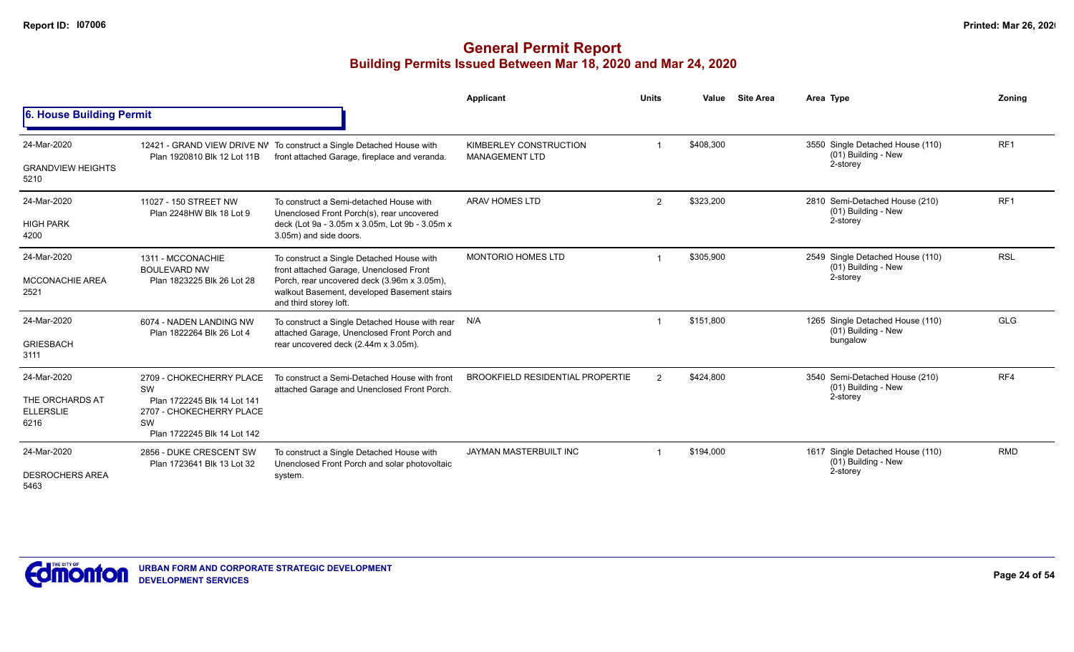|                                             |                                                               |                                                                                                                      | <b>Applicant</b>                        | <b>Units</b>   | Value     | <b>Site Area</b> | Area Type                                               | Zoning          |
|---------------------------------------------|---------------------------------------------------------------|----------------------------------------------------------------------------------------------------------------------|-----------------------------------------|----------------|-----------|------------------|---------------------------------------------------------|-----------------|
| 6. House Building Permit                    |                                                               |                                                                                                                      |                                         |                |           |                  |                                                         |                 |
| 24-Mar-2020                                 |                                                               | 12421 - GRAND VIEW DRIVE NV To construct a Single Detached House with                                                | KIMBERLEY CONSTRUCTION                  |                | \$408,300 |                  | 3550 Single Detached House (110)<br>(01) Building - New | RF <sub>1</sub> |
| <b>GRANDVIEW HEIGHTS</b><br>5210            | Plan 1920810 Blk 12 Lot 11B                                   | front attached Garage, fireplace and veranda.                                                                        | <b>MANAGEMENT LTD</b>                   |                |           |                  | 2-storey                                                |                 |
| 24-Mar-2020                                 | 11027 - 150 STREET NW<br>Plan 2248HW Blk 18 Lot 9             | To construct a Semi-detached House with<br>Unenclosed Front Porch(s), rear uncovered                                 | <b>ARAV HOMES LTD</b>                   | $\overline{2}$ | \$323,200 |                  | 2810 Semi-Detached House (210)<br>(01) Building - New   | RF <sub>1</sub> |
| <b>HIGH PARK</b><br>4200                    |                                                               | deck (Lot 9a - 3.05m x 3.05m, Lot 9b - 3.05m x<br>3.05m) and side doors.                                             |                                         |                |           |                  | 2-storey                                                |                 |
| 24-Mar-2020                                 | 1311 - MCCONACHIE<br><b>BOULEVARD NW</b>                      | To construct a Single Detached House with<br>front attached Garage, Unenclosed Front                                 | MONTORIO HOMES LTD                      |                | \$305,900 |                  | 2549 Single Detached House (110)<br>(01) Building - New | <b>RSL</b>      |
| <b>MCCONACHIE AREA</b><br>2521              | Plan 1823225 Blk 26 Lot 28                                    | Porch, rear uncovered deck (3.96m x 3.05m),<br>walkout Basement, developed Basement stairs<br>and third storey loft. |                                         |                |           | 2-storey         |                                                         |                 |
| 24-Mar-2020                                 | 6074 - NADEN LANDING NW<br>Plan 1822264 Blk 26 Lot 4          | To construct a Single Detached House with rear<br>attached Garage, Unenclosed Front Porch and                        | N/A                                     |                | \$151,800 |                  | 1265 Single Detached House (110)<br>(01) Building - New | <b>GLG</b>      |
| <b>GRIESBACH</b><br>3111                    |                                                               | rear uncovered deck (2.44m x 3.05m).                                                                                 |                                         |                |           |                  | bungalow                                                |                 |
| 24-Mar-2020                                 | 2709 - CHOKECHERRY PLACE<br>SW                                | To construct a Semi-Detached House with front<br>attached Garage and Unenclosed Front Porch.                         | <b>BROOKFIELD RESIDENTIAL PROPERTIE</b> | $\mathfrak{p}$ | \$424,800 |                  | 3540 Semi-Detached House (210)<br>(01) Building - New   | RF4             |
| THE ORCHARDS AT<br><b>ELLERSLIE</b><br>6216 | Plan 1722245 Blk 14 Lot 141<br>2707 - CHOKECHERRY PLACE<br>SW |                                                                                                                      |                                         |                |           |                  | 2-storey                                                |                 |
|                                             | Plan 1722245 Blk 14 Lot 142                                   |                                                                                                                      |                                         |                |           |                  |                                                         |                 |
| 24-Mar-2020                                 | 2856 - DUKE CRESCENT SW<br>Plan 1723641 Blk 13 Lot 32         | To construct a Single Detached House with<br>Unenclosed Front Porch and solar photovoltaic                           | JAYMAN MASTERBUILT INC                  |                | \$194,000 |                  | 1617 Single Detached House (110)<br>(01) Building - New | <b>RMD</b>      |
| <b>DESROCHERS AREA</b><br>5463              |                                                               | system.                                                                                                              |                                         |                |           |                  | 2-storey                                                |                 |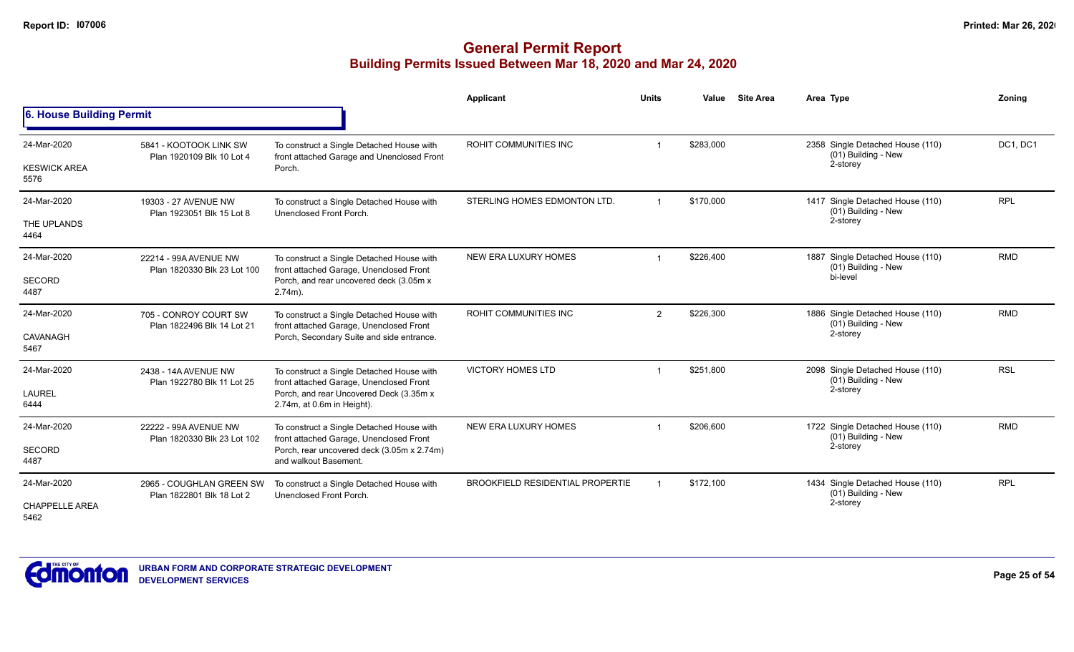|                               |                                                       |                                                                                                                | Applicant                               | <b>Units</b>   | Value     | <b>Site Area</b> | Area Type                                                           | Zonina     |
|-------------------------------|-------------------------------------------------------|----------------------------------------------------------------------------------------------------------------|-----------------------------------------|----------------|-----------|------------------|---------------------------------------------------------------------|------------|
| 6. House Building Permit      |                                                       |                                                                                                                |                                         |                |           |                  |                                                                     |            |
| 24-Mar-2020                   | 5841 - KOOTOOK LINK SW<br>Plan 1920109 Blk 10 Lot 4   | To construct a Single Detached House with<br>front attached Garage and Unenclosed Front                        | ROHIT COMMUNITIES INC                   |                | \$283,000 |                  | 2358 Single Detached House (110)<br>(01) Building - New<br>2-storey | DC1, DC1   |
| <b>KESWICK AREA</b><br>5576   |                                                       | Porch.                                                                                                         |                                         |                |           |                  |                                                                     |            |
| 24-Mar-2020                   | 19303 - 27 AVENUE NW<br>Plan 1923051 Blk 15 Lot 8     | To construct a Single Detached House with<br>Unenclosed Front Porch.                                           | STERLING HOMES EDMONTON LTD.            | $\mathbf 1$    | \$170,000 |                  | 1417 Single Detached House (110)<br>(01) Building - New             | <b>RPL</b> |
| THE UPLANDS<br>4464           |                                                       |                                                                                                                |                                         |                |           |                  | 2-storey                                                            |            |
| 24-Mar-2020                   | 22214 - 99A AVENUE NW<br>Plan 1820330 Blk 23 Lot 100  | To construct a Single Detached House with<br>front attached Garage, Unenclosed Front                           | NEW ERA LUXURY HOMES                    |                | \$226,400 |                  | 1887 Single Detached House (110)<br>(01) Building - New             | <b>RMD</b> |
| <b>SECORD</b><br>4487         |                                                       | Porch, and rear uncovered deck (3.05m x<br>$2.74m$ ).                                                          |                                         |                |           |                  | bi-level                                                            |            |
| 24-Mar-2020                   | 705 - CONROY COURT SW<br>Plan 1822496 Blk 14 Lot 21   | To construct a Single Detached House with<br>front attached Garage, Unenclosed Front                           | ROHIT COMMUNITIES INC                   | $\overline{2}$ | \$226,300 |                  | 1886 Single Detached House (110)<br>(01) Building - New             | <b>RMD</b> |
| CAVANAGH<br>5467              |                                                       | Porch, Secondary Suite and side entrance.                                                                      |                                         |                |           |                  | 2-storey                                                            |            |
| 24-Mar-2020                   | 2438 - 14A AVENUE NW<br>Plan 1922780 Blk 11 Lot 25    | To construct a Single Detached House with<br>front attached Garage, Unenclosed Front                           | <b>VICTORY HOMES LTD</b>                | $\overline{1}$ | \$251,800 |                  | 2098 Single Detached House (110)<br>(01) Building - New             | <b>RSL</b> |
| <b>LAUREL</b><br>6444         |                                                       | Porch, and rear Uncovered Deck (3.35m x<br>2.74m, at 0.6m in Height).                                          |                                         |                |           |                  | 2-storey                                                            |            |
| 24-Mar-2020                   | 22222 - 99A AVENUE NW                                 | To construct a Single Detached House with                                                                      | NEW ERA LUXURY HOMES                    |                | \$206,600 |                  | 1722 Single Detached House (110)<br>(01) Building - New             | <b>RMD</b> |
| <b>SECORD</b><br>4487         | Plan 1820330 Blk 23 Lot 102                           | front attached Garage, Unenclosed Front<br>Porch, rear uncovered deck (3.05m x 2.74m)<br>and walkout Basement. |                                         |                |           |                  | 2-storey                                                            |            |
| 24-Mar-2020                   | 2965 - COUGHLAN GREEN SW<br>Plan 1822801 Blk 18 Lot 2 | To construct a Single Detached House with<br>Unenclosed Front Porch.                                           | <b>BROOKFIELD RESIDENTIAL PROPERTIE</b> |                | \$172,100 |                  | 1434 Single Detached House (110)<br>(01) Building - New             | <b>RPL</b> |
| <b>CHAPPELLE AREA</b><br>5462 |                                                       |                                                                                                                |                                         |                |           |                  | 2-storey                                                            |            |

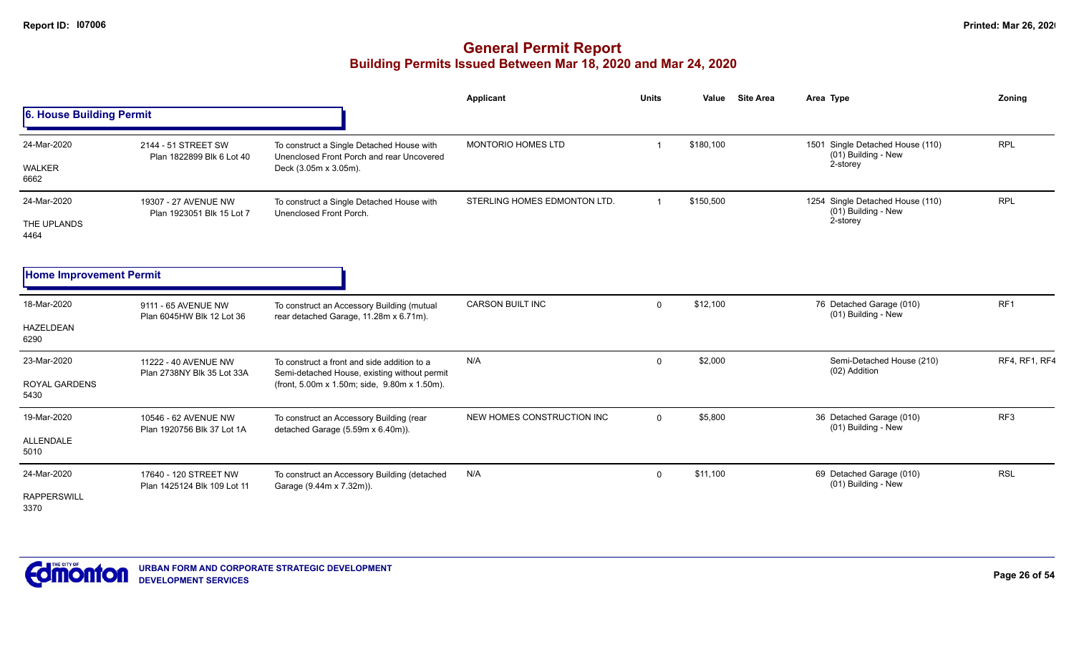|                                             |                                                      |                                                                                                                                             | <b>Applicant</b>             | <b>Units</b> | Value     | <b>Site Area</b> | Area Type                                                           | Zoning          |
|---------------------------------------------|------------------------------------------------------|---------------------------------------------------------------------------------------------------------------------------------------------|------------------------------|--------------|-----------|------------------|---------------------------------------------------------------------|-----------------|
| 6. House Building Permit                    |                                                      |                                                                                                                                             |                              |              |           |                  |                                                                     |                 |
| 24-Mar-2020<br>WALKER<br>6662               | 2144 - 51 STREET SW<br>Plan 1822899 Blk 6 Lot 40     | To construct a Single Detached House with<br>Unenclosed Front Porch and rear Uncovered<br>Deck (3.05m x 3.05m).                             | <b>MONTORIO HOMES LTD</b>    |              | \$180,100 |                  | 1501 Single Detached House (110)<br>(01) Building - New<br>2-storey | <b>RPL</b>      |
| 24-Mar-2020<br>THE UPLANDS<br>4464          | 19307 - 27 AVENUE NW<br>Plan 1923051 Blk 15 Lot 7    | To construct a Single Detached House with<br>Unenclosed Front Porch.                                                                        | STERLING HOMES EDMONTON LTD. |              | \$150,500 |                  | 1254 Single Detached House (110)<br>(01) Building - New<br>2-storey | <b>RPL</b>      |
| <b>Home Improvement Permit</b>              |                                                      |                                                                                                                                             |                              |              |           |                  |                                                                     |                 |
| 18-Mar-2020<br>HAZELDEAN<br>6290            | 9111 - 65 AVENUE NW<br>Plan 6045HW Blk 12 Lot 36     | To construct an Accessory Building (mutual<br>rear detached Garage, 11.28m x 6.71m).                                                        | <b>CARSON BUILT INC</b>      | $\Omega$     | \$12,100  |                  | 76 Detached Garage (010)<br>(01) Building - New                     | RF <sub>1</sub> |
| 23-Mar-2020<br><b>ROYAL GARDENS</b><br>5430 | 11222 - 40 AVENUE NW<br>Plan 2738NY Blk 35 Lot 33A   | To construct a front and side addition to a<br>Semi-detached House, existing without permit<br>(front, 5.00m x 1.50m; side, 9.80m x 1.50m). | N/A                          | $\mathbf 0$  | \$2,000   |                  | Semi-Detached House (210)<br>(02) Addition                          | RF4, RF1, RF4   |
| 19-Mar-2020<br>ALLENDALE<br>5010            | 10546 - 62 AVENUE NW<br>Plan 1920756 Blk 37 Lot 1A   | To construct an Accessory Building (rear<br>detached Garage (5.59m x 6.40m)).                                                               | NEW HOMES CONSTRUCTION INC   | $\Omega$     | \$5,800   |                  | 36 Detached Garage (010)<br>(01) Building - New                     | RF3             |
| 24-Mar-2020<br><b>RAPPERSWILL</b><br>3370   | 17640 - 120 STREET NW<br>Plan 1425124 Blk 109 Lot 11 | To construct an Accessory Building (detached<br>Garage (9.44m x 7.32m)).                                                                    | N/A                          | $\mathbf 0$  | \$11,100  |                  | 69 Detached Garage (010)<br>(01) Building - New                     | <b>RSL</b>      |

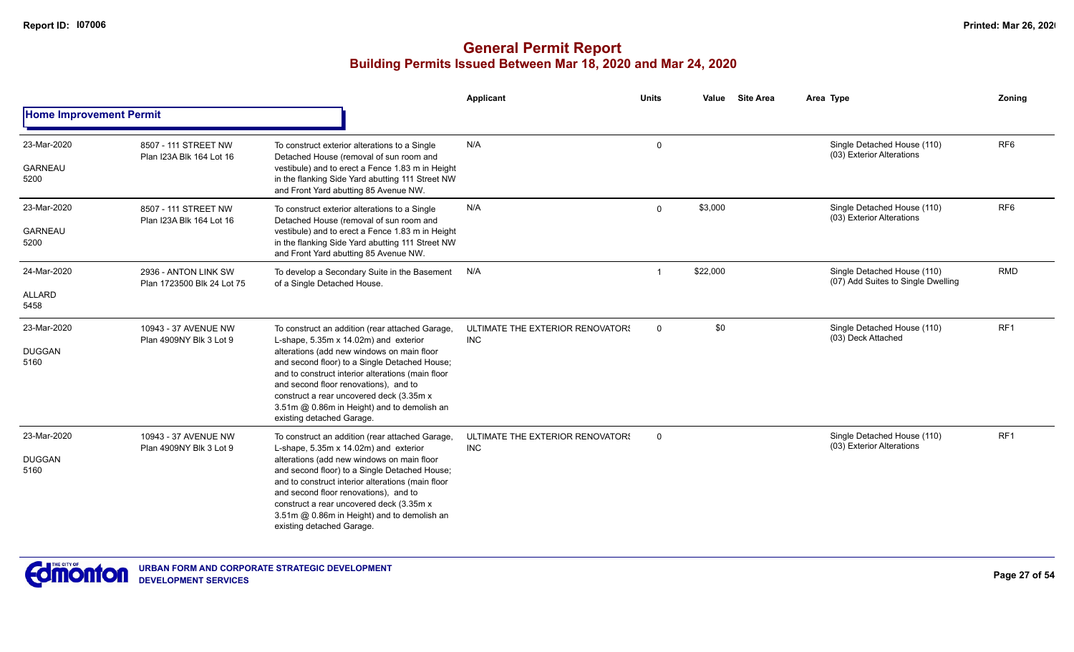|                                       |                                                    |                                                                                                                                                                                                                                                                                                                                                                                                               | <b>Applicant</b>                               | <b>Units</b> | <b>Site Area</b><br>Value | Area Type                                                         | Zoning          |
|---------------------------------------|----------------------------------------------------|---------------------------------------------------------------------------------------------------------------------------------------------------------------------------------------------------------------------------------------------------------------------------------------------------------------------------------------------------------------------------------------------------------------|------------------------------------------------|--------------|---------------------------|-------------------------------------------------------------------|-----------------|
| <b>Home Improvement Permit</b>        |                                                    |                                                                                                                                                                                                                                                                                                                                                                                                               |                                                |              |                           |                                                                   |                 |
| 23-Mar-2020<br><b>GARNEAU</b><br>5200 | 8507 - 111 STREET NW<br>Plan I23A Blk 164 Lot 16   | To construct exterior alterations to a Single<br>Detached House (removal of sun room and<br>vestibule) and to erect a Fence 1.83 m in Height<br>in the flanking Side Yard abutting 111 Street NW<br>and Front Yard abutting 85 Avenue NW.                                                                                                                                                                     | N/A                                            | $\mathbf 0$  |                           | Single Detached House (110)<br>(03) Exterior Alterations          | RF <sub>6</sub> |
| 23-Mar-2020<br><b>GARNEAU</b><br>5200 | 8507 - 111 STREET NW<br>Plan I23A Blk 164 Lot 16   | To construct exterior alterations to a Single<br>Detached House (removal of sun room and<br>vestibule) and to erect a Fence 1.83 m in Height<br>in the flanking Side Yard abutting 111 Street NW<br>and Front Yard abutting 85 Avenue NW.                                                                                                                                                                     | N/A                                            | $\Omega$     | \$3,000                   | Single Detached House (110)<br>(03) Exterior Alterations          | RF <sub>6</sub> |
| 24-Mar-2020<br><b>ALLARD</b><br>5458  | 2936 - ANTON LINK SW<br>Plan 1723500 Blk 24 Lot 75 | To develop a Secondary Suite in the Basement<br>of a Single Detached House.                                                                                                                                                                                                                                                                                                                                   | N/A                                            |              | \$22,000                  | Single Detached House (110)<br>(07) Add Suites to Single Dwelling | <b>RMD</b>      |
| 23-Mar-2020<br><b>DUGGAN</b><br>5160  | 10943 - 37 AVENUE NW<br>Plan 4909NY Blk 3 Lot 9    | To construct an addition (rear attached Garage,<br>L-shape, 5.35m x 14.02m) and exterior<br>alterations (add new windows on main floor<br>and second floor) to a Single Detached House;<br>and to construct interior alterations (main floor<br>and second floor renovations), and to<br>construct a rear uncovered deck (3.35m x<br>3.51m @ 0.86m in Height) and to demolish an<br>existing detached Garage. | ULTIMATE THE EXTERIOR RENOVATORS<br><b>INC</b> | $\mathbf 0$  | \$0                       | Single Detached House (110)<br>(03) Deck Attached                 | RF <sub>1</sub> |
| 23-Mar-2020<br><b>DUGGAN</b><br>5160  | 10943 - 37 AVENUE NW<br>Plan 4909NY Blk 3 Lot 9    | To construct an addition (rear attached Garage,<br>L-shape, 5.35m x 14.02m) and exterior<br>alterations (add new windows on main floor<br>and second floor) to a Single Detached House;<br>and to construct interior alterations (main floor<br>and second floor renovations), and to<br>construct a rear uncovered deck (3.35m x<br>3.51m @ 0.86m in Height) and to demolish an<br>existing detached Garage. | ULTIMATE THE EXTERIOR RENOVATOR!<br><b>INC</b> | 0            |                           | Single Detached House (110)<br>(03) Exterior Alterations          | RF1             |

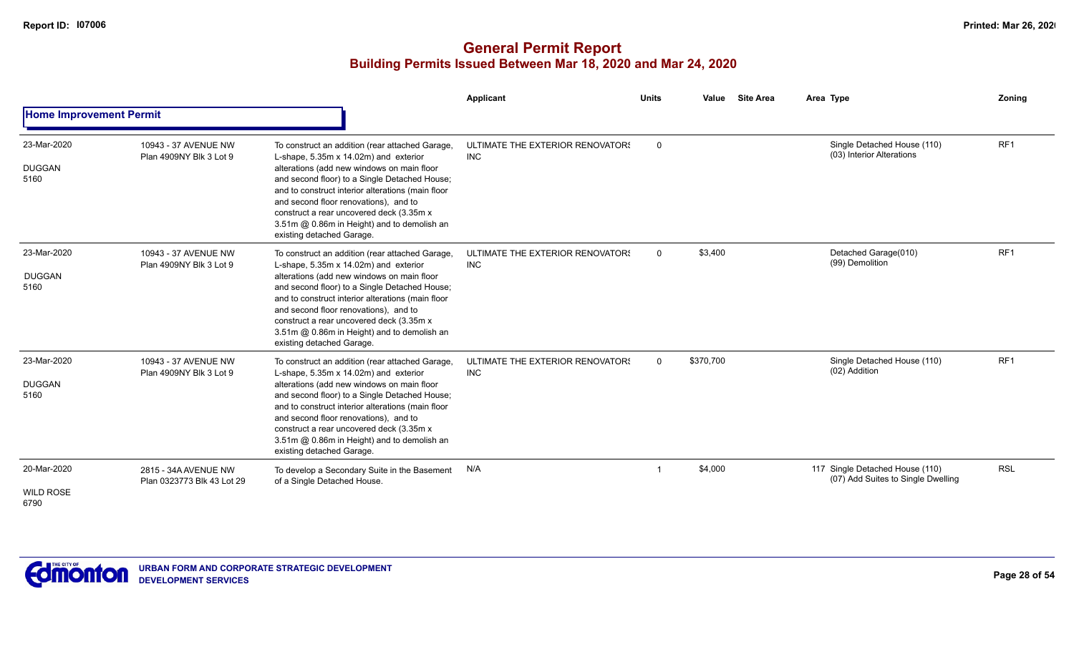|                                         |                                                    |                                                                                                                                                                                                                                                                                                                                                                                                               | Applicant                                      | <b>Units</b> | Value     | <b>Site Area</b> | Area Type                                                             | Zonina          |
|-----------------------------------------|----------------------------------------------------|---------------------------------------------------------------------------------------------------------------------------------------------------------------------------------------------------------------------------------------------------------------------------------------------------------------------------------------------------------------------------------------------------------------|------------------------------------------------|--------------|-----------|------------------|-----------------------------------------------------------------------|-----------------|
| <b>Home Improvement Permit</b>          |                                                    |                                                                                                                                                                                                                                                                                                                                                                                                               |                                                |              |           |                  |                                                                       |                 |
| 23-Mar-2020<br><b>DUGGAN</b><br>5160    | 10943 - 37 AVENUE NW<br>Plan 4909NY Blk 3 Lot 9    | To construct an addition (rear attached Garage,<br>L-shape, 5.35m x 14.02m) and exterior<br>alterations (add new windows on main floor<br>and second floor) to a Single Detached House;<br>and to construct interior alterations (main floor<br>and second floor renovations), and to<br>construct a rear uncovered deck (3.35m x<br>3.51m @ 0.86m in Height) and to demolish an<br>existing detached Garage. | ULTIMATE THE EXTERIOR RENOVATOR!<br><b>INC</b> | $\mathsf{O}$ |           |                  | Single Detached House (110)<br>(03) Interior Alterations              | RF <sub>1</sub> |
| 23-Mar-2020<br><b>DUGGAN</b><br>5160    | 10943 - 37 AVENUE NW<br>Plan 4909NY Blk 3 Lot 9    | To construct an addition (rear attached Garage,<br>L-shape, 5.35m x 14.02m) and exterior<br>alterations (add new windows on main floor<br>and second floor) to a Single Detached House;<br>and to construct interior alterations (main floor<br>and second floor renovations), and to<br>construct a rear uncovered deck (3.35m x<br>3.51m @ 0.86m in Height) and to demolish an<br>existing detached Garage. | ULTIMATE THE EXTERIOR RENOVATORS<br><b>INC</b> | $\mathbf 0$  | \$3,400   |                  | Detached Garage(010)<br>(99) Demolition                               | RF <sub>1</sub> |
| 23-Mar-2020<br><b>DUGGAN</b><br>5160    | 10943 - 37 AVENUE NW<br>Plan 4909NY Blk 3 Lot 9    | To construct an addition (rear attached Garage,<br>L-shape, 5.35m x 14.02m) and exterior<br>alterations (add new windows on main floor<br>and second floor) to a Single Detached House;<br>and to construct interior alterations (main floor<br>and second floor renovations), and to<br>construct a rear uncovered deck (3.35m x<br>3.51m @ 0.86m in Height) and to demolish an<br>existing detached Garage. | ULTIMATE THE EXTERIOR RENOVATORS<br><b>INC</b> | $\mathbf{0}$ | \$370,700 |                  | Single Detached House (110)<br>(02) Addition                          | RF <sub>1</sub> |
| 20-Mar-2020<br><b>WILD ROSE</b><br>6790 | 2815 - 34A AVENUE NW<br>Plan 0323773 Blk 43 Lot 29 | To develop a Secondary Suite in the Basement<br>of a Single Detached House.                                                                                                                                                                                                                                                                                                                                   | N/A                                            | -1           | \$4,000   |                  | 117 Single Detached House (110)<br>(07) Add Suites to Single Dwelling | <b>RSL</b>      |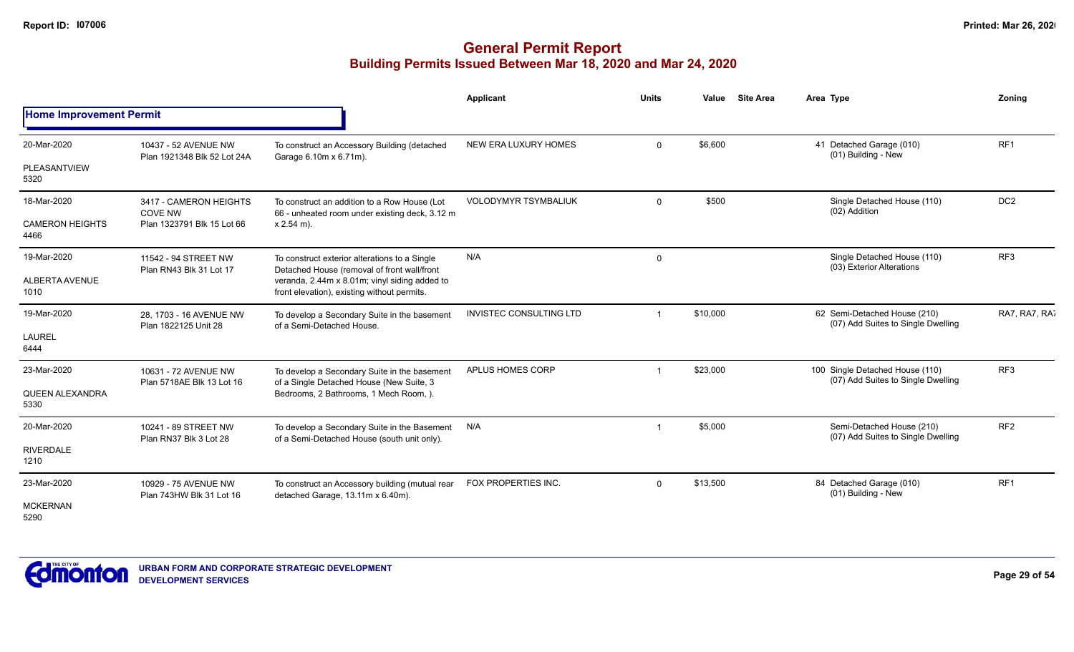|                                |                                                     |                                                                                                                                             | Applicant                      | <b>Units</b> | Value    | <b>Site Area</b> | Area Type                                                                                       | Zonina          |
|--------------------------------|-----------------------------------------------------|---------------------------------------------------------------------------------------------------------------------------------------------|--------------------------------|--------------|----------|------------------|-------------------------------------------------------------------------------------------------|-----------------|
| <b>Home Improvement Permit</b> |                                                     |                                                                                                                                             |                                |              |          |                  |                                                                                                 |                 |
| 20-Mar-2020                    | 10437 - 52 AVENUE NW<br>Plan 1921348 Blk 52 Lot 24A | To construct an Accessory Building (detached<br>Garage 6.10m x 6.71m).                                                                      | NEW ERA LUXURY HOMES           | $\Omega$     | \$6,600  |                  | 41 Detached Garage (010)<br>(01) Building - New                                                 | RF <sub>1</sub> |
| PLEASANTVIEW<br>5320           |                                                     |                                                                                                                                             |                                |              |          |                  |                                                                                                 |                 |
| 18-Mar-2020                    | 3417 - CAMERON HEIGHTS<br><b>COVE NW</b>            | To construct an addition to a Row House (Lot<br>66 - unheated room under existing deck, 3.12 m                                              | <b>VOLODYMYR TSYMBALIUK</b>    | $\Omega$     | \$500    |                  | Single Detached House (110)<br>(02) Addition                                                    | DC <sub>2</sub> |
| <b>CAMERON HEIGHTS</b><br>4466 | Plan 1323791 Blk 15 Lot 66                          | $x 2.54$ m).                                                                                                                                |                                |              |          |                  |                                                                                                 |                 |
| 19-Mar-2020                    | 11542 - 94 STREET NW                                | To construct exterior alterations to a Single                                                                                               | N/A                            | 0            |          |                  | Single Detached House (110)                                                                     | RF <sub>3</sub> |
| <b>ALBERTA AVENUE</b><br>1010  | Plan RN43 Blk 31 Lot 17                             | Detached House (removal of front wall/front<br>veranda, 2.44m x 8.01m; vinyl siding added to<br>front elevation), existing without permits. |                                |              |          |                  | (03) Exterior Alterations<br>62 Semi-Detached House (210)<br>(07) Add Suites to Single Dwelling |                 |
| 19-Mar-2020                    | 28, 1703 - 16 AVENUE NW<br>Plan 1822125 Unit 28     | To develop a Secondary Suite in the basement<br>of a Semi-Detached House.                                                                   | <b>INVISTEC CONSULTING LTD</b> | $\mathbf 1$  | \$10,000 |                  |                                                                                                 | RA7, RA7, RA7   |
| <b>LAUREL</b><br>6444          |                                                     |                                                                                                                                             |                                |              |          |                  |                                                                                                 |                 |
| 23-Mar-2020                    | 10631 - 72 AVENUE NW<br>Plan 5718AE Blk 13 Lot 16   | To develop a Secondary Suite in the basement<br>of a Single Detached House (New Suite, 3                                                    | APLUS HOMES CORP               |              | \$23,000 |                  | 100 Single Detached House (110)<br>(07) Add Suites to Single Dwelling                           | RF <sub>3</sub> |
| QUEEN ALEXANDRA<br>5330        |                                                     | Bedrooms, 2 Bathrooms, 1 Mech Room, ).                                                                                                      |                                |              |          |                  |                                                                                                 |                 |
| 20-Mar-2020                    | 10241 - 89 STREET NW<br>Plan RN37 Blk 3 Lot 28      | To develop a Secondary Suite in the Basement<br>of a Semi-Detached House (south unit only).                                                 | N/A                            | -1           | \$5,000  |                  | Semi-Detached House (210)<br>(07) Add Suites to Single Dwelling                                 | RF <sub>2</sub> |
| <b>RIVERDALE</b><br>1210       |                                                     |                                                                                                                                             |                                |              |          |                  |                                                                                                 |                 |
| 23-Mar-2020                    | 10929 - 75 AVENUE NW                                | To construct an Accessory building (mutual rear                                                                                             | FOX PROPERTIES INC.            | $\Omega$     | \$13,500 |                  | 84 Detached Garage (010)<br>(01) Building - New                                                 | RF <sub>1</sub> |
| <b>MCKERNAN</b><br>5290        | Plan 743HW Blk 31 Lot 16                            | detached Garage, 13.11m x 6.40m).                                                                                                           |                                |              |          |                  |                                                                                                 |                 |

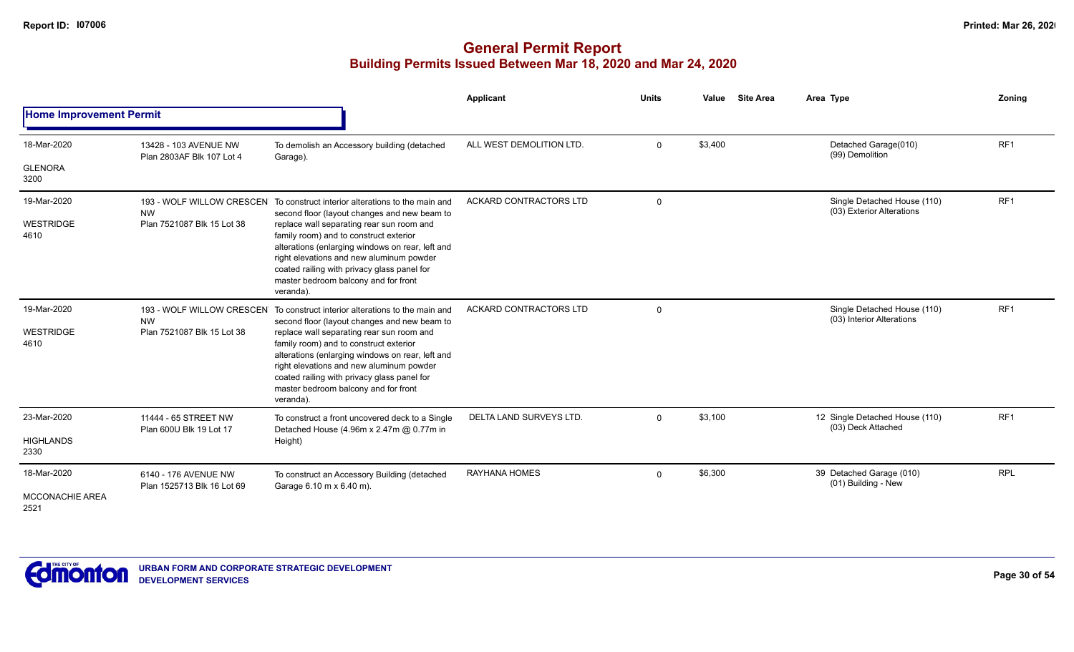|                                               |                                                    |                                                                                                                                                                                                                                                                                                                                                                                                                        | Applicant                     | <b>Units</b> | Value   | <b>Site Area</b> | Area Type                                                | Zoning          |
|-----------------------------------------------|----------------------------------------------------|------------------------------------------------------------------------------------------------------------------------------------------------------------------------------------------------------------------------------------------------------------------------------------------------------------------------------------------------------------------------------------------------------------------------|-------------------------------|--------------|---------|------------------|----------------------------------------------------------|-----------------|
| <b>Home Improvement Permit</b>                |                                                    |                                                                                                                                                                                                                                                                                                                                                                                                                        |                               |              |         |                  |                                                          |                 |
| 18-Mar-2020                                   | 13428 - 103 AVENUE NW<br>Plan 2803AF Blk 107 Lot 4 | To demolish an Accessory building (detached<br>Garage).                                                                                                                                                                                                                                                                                                                                                                | ALL WEST DEMOLITION LTD.      | $\mathbf{0}$ | \$3,400 |                  | Detached Garage(010)<br>(99) Demolition                  | RF <sub>1</sub> |
| <b>GLENORA</b><br>3200                        |                                                    |                                                                                                                                                                                                                                                                                                                                                                                                                        |                               |              |         |                  |                                                          |                 |
| 19-Mar-2020                                   | <b>NW</b>                                          | 193 - WOLF WILLOW CRESCEN To construct interior alterations to the main and<br>second floor (layout changes and new beam to                                                                                                                                                                                                                                                                                            | <b>ACKARD CONTRACTORS LTD</b> | $\Omega$     |         |                  | Single Detached House (110)<br>(03) Exterior Alterations | RF <sub>1</sub> |
| WESTRIDGE<br>4610                             | Plan 7521087 Blk 15 Lot 38                         | replace wall separating rear sun room and<br>family room) and to construct exterior<br>alterations (enlarging windows on rear, left and<br>right elevations and new aluminum powder<br>coated railing with privacy glass panel for<br>master bedroom balcony and for front<br>veranda).                                                                                                                                |                               |              |         |                  |                                                          |                 |
| 19-Mar-2020<br><b>WESTRIDGE</b><br>4610       | <b>NW</b><br>Plan 7521087 Blk 15 Lot 38            | 193 - WOLF WILLOW CRESCEN To construct interior alterations to the main and<br>second floor (layout changes and new beam to<br>replace wall separating rear sun room and<br>family room) and to construct exterior<br>alterations (enlarging windows on rear, left and<br>right elevations and new aluminum powder<br>coated railing with privacy glass panel for<br>master bedroom balcony and for front<br>veranda). | ACKARD CONTRACTORS LTD        | $\mathbf 0$  |         |                  | Single Detached House (110)<br>(03) Interior Alterations | RF <sub>1</sub> |
| 23-Mar-2020                                   | 11444 - 65 STREET NW                               | To construct a front uncovered deck to a Single<br>Detached House (4.96m x 2.47m @ 0.77m in                                                                                                                                                                                                                                                                                                                            | <b>DELTA LAND SURVEYS LTD</b> | 0            | \$3,100 |                  | 12 Single Detached House (110)<br>(03) Deck Attached     | RF <sub>1</sub> |
| <b>HIGHLANDS</b><br>2330                      | Plan 600U Blk 19 Lot 17                            | Height)                                                                                                                                                                                                                                                                                                                                                                                                                |                               |              |         |                  |                                                          |                 |
| 18-Mar-2020<br><b>MCCONACHIE AREA</b><br>2521 | 6140 - 176 AVENUE NW<br>Plan 1525713 Blk 16 Lot 69 | To construct an Accessory Building (detached<br>Garage 6.10 m x 6.40 m).                                                                                                                                                                                                                                                                                                                                               | <b>RAYHANA HOMES</b>          | $\Omega$     | \$6,300 |                  | 39 Detached Garage (010)<br>(01) Building - New          | <b>RPL</b>      |

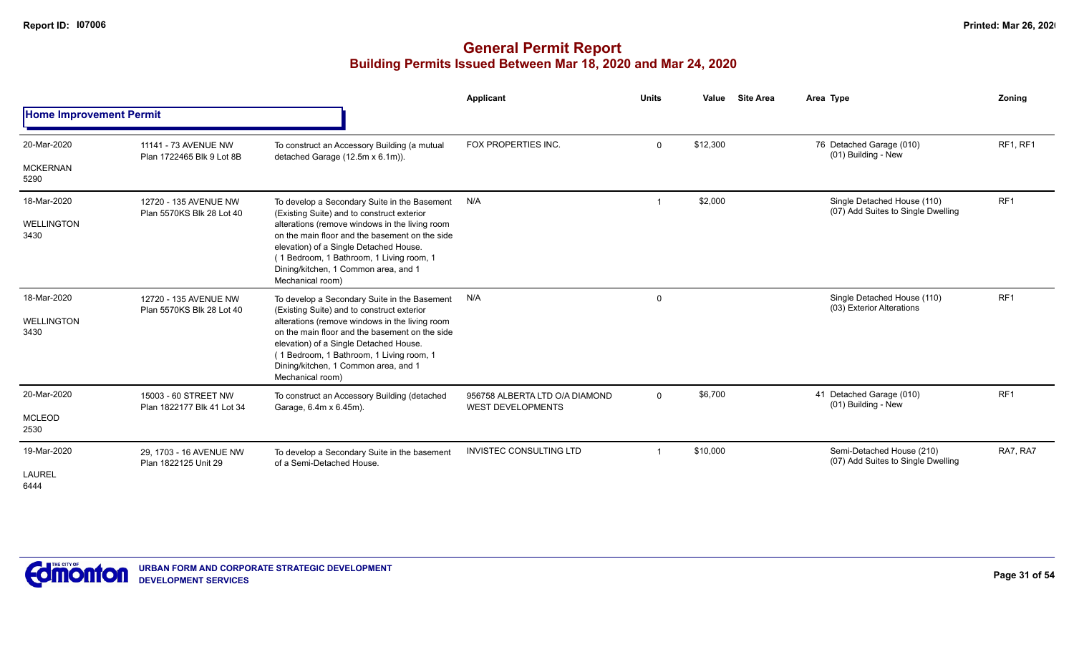|                                |                                                    |                                                                                                                                                                                                                                                    | Applicant                                                  | <b>Units</b> | Value    | <b>Site Area</b> | Area Type                                                         | Zoning          |
|--------------------------------|----------------------------------------------------|----------------------------------------------------------------------------------------------------------------------------------------------------------------------------------------------------------------------------------------------------|------------------------------------------------------------|--------------|----------|------------------|-------------------------------------------------------------------|-----------------|
| <b>Home Improvement Permit</b> |                                                    |                                                                                                                                                                                                                                                    |                                                            |              |          |                  |                                                                   |                 |
| 20-Mar-2020                    | 11141 - 73 AVENUE NW<br>Plan 1722465 Blk 9 Lot 8B  | To construct an Accessory Building (a mutual<br>detached Garage (12.5m x 6.1m)).                                                                                                                                                                   | FOX PROPERTIES INC.                                        | $\Omega$     | \$12,300 |                  | 76 Detached Garage (010)<br>(01) Building - New                   | <b>RF1, RF1</b> |
| <b>MCKERNAN</b><br>5290        |                                                    |                                                                                                                                                                                                                                                    |                                                            |              |          |                  |                                                                   |                 |
| 18-Mar-2020                    | 12720 - 135 AVENUE NW<br>Plan 5570KS Blk 28 Lot 40 | To develop a Secondary Suite in the Basement<br>(Existing Suite) and to construct exterior                                                                                                                                                         | N/A                                                        |              | \$2,000  |                  | Single Detached House (110)<br>(07) Add Suites to Single Dwelling | RF <sub>1</sub> |
| <b>WELLINGTON</b><br>3430      |                                                    | alterations (remove windows in the living room<br>on the main floor and the basement on the side<br>elevation) of a Single Detached House.<br>(1 Bedroom, 1 Bathroom, 1 Living room, 1<br>Dining/kitchen, 1 Common area, and 1<br>Mechanical room) |                                                            |              |          |                  |                                                                   |                 |
| 18-Mar-2020                    | 12720 - 135 AVENUE NW<br>Plan 5570KS Blk 28 Lot 40 | To develop a Secondary Suite in the Basement<br>(Existing Suite) and to construct exterior                                                                                                                                                         | N/A                                                        | $\Omega$     |          |                  | Single Detached House (110)<br>(03) Exterior Alterations          | RF <sub>1</sub> |
| WELLINGTON<br>3430             |                                                    | alterations (remove windows in the living room<br>on the main floor and the basement on the side<br>elevation) of a Single Detached House.<br>(1 Bedroom, 1 Bathroom, 1 Living room, 1<br>Dining/kitchen, 1 Common area, and 1<br>Mechanical room) |                                                            |              |          |                  |                                                                   |                 |
| 20-Mar-2020                    | 15003 - 60 STREET NW<br>Plan 1822177 Blk 41 Lot 34 | To construct an Accessory Building (detached<br>Garage, 6.4m x 6.45m).                                                                                                                                                                             | 956758 ALBERTA LTD O/A DIAMOND<br><b>WEST DEVELOPMENTS</b> | $\mathbf{0}$ | \$6,700  |                  | 41 Detached Garage (010)<br>(01) Building - New                   | RF <sub>1</sub> |
| <b>MCLEOD</b><br>2530          |                                                    |                                                                                                                                                                                                                                                    |                                                            |              |          |                  |                                                                   |                 |
| 19-Mar-2020                    | 29, 1703 - 16 AVENUE NW<br>Plan 1822125 Unit 29    | To develop a Secondary Suite in the basement<br>of a Semi-Detached House.                                                                                                                                                                          | <b>INVISTEC CONSULTING LTD</b>                             |              | \$10,000 |                  | Semi-Detached House (210)<br>(07) Add Suites to Single Dwelling   | RA7, RA7        |
| <b>LAUREL</b><br>6444          |                                                    |                                                                                                                                                                                                                                                    |                                                            |              |          |                  |                                                                   |                 |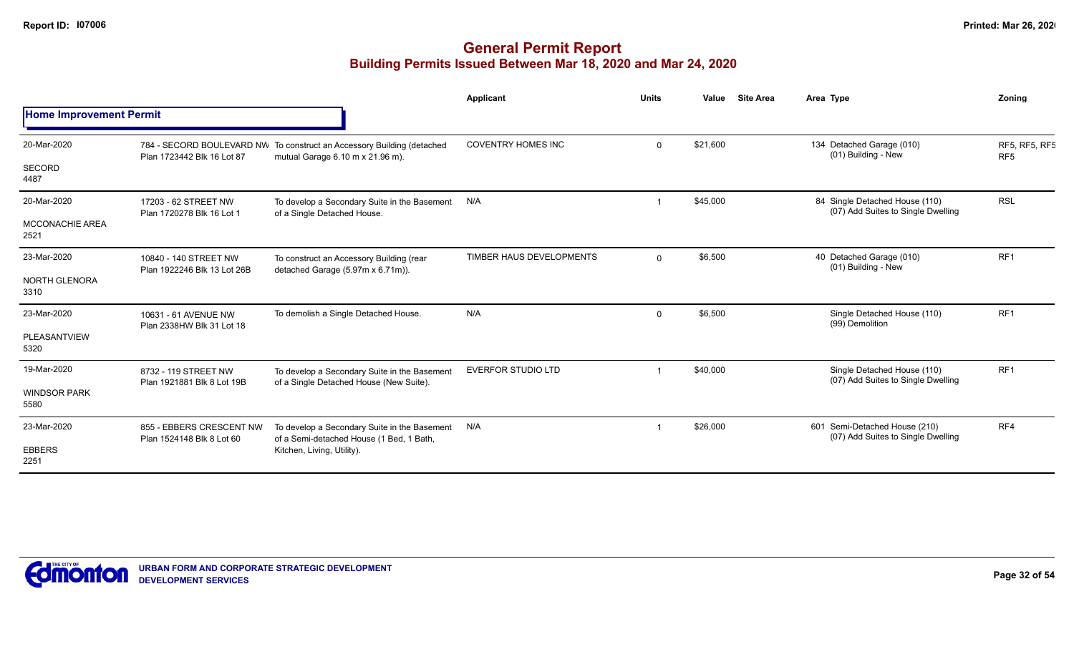|                                |                                                       |                                                                                                            | <b>Applicant</b>          | <b>Units</b> | Value    | <b>Site Area</b> | Area Type                                                            | Zoning                           |
|--------------------------------|-------------------------------------------------------|------------------------------------------------------------------------------------------------------------|---------------------------|--------------|----------|------------------|----------------------------------------------------------------------|----------------------------------|
| <b>Home Improvement Permit</b> |                                                       |                                                                                                            |                           |              |          |                  |                                                                      |                                  |
| 20-Mar-2020                    | Plan 1723442 Blk 16 Lot 87                            | 784 - SECORD BOULEVARD NW To construct an Accessory Building (detached<br>mutual Garage 6.10 m x 21.96 m). | <b>COVENTRY HOMES INC</b> | $\Omega$     | \$21,600 |                  | 134 Detached Garage (010)<br>(01) Building - New                     | RF5, RF5, RF5<br>RF <sub>5</sub> |
| SECORD<br>4487                 |                                                       |                                                                                                            |                           |              |          |                  |                                                                      |                                  |
| 20-Mar-2020                    | 17203 - 62 STREET NW<br>Plan 1720278 Blk 16 Lot 1     | To develop a Secondary Suite in the Basement<br>of a Single Detached House.                                | N/A                       |              | \$45,000 |                  | 84 Single Detached House (110)<br>(07) Add Suites to Single Dwelling | <b>RSL</b>                       |
| MCCONACHIE AREA<br>2521        |                                                       |                                                                                                            |                           |              |          |                  |                                                                      |                                  |
| 23-Mar-2020                    | 10840 - 140 STREET NW<br>Plan 1922246 Blk 13 Lot 26B  | To construct an Accessory Building (rear<br>detached Garage (5.97m x 6.71m)).                              | TIMBER HAUS DEVELOPMENTS  | $\Omega$     | \$6,500  |                  | 40 Detached Garage (010)<br>(01) Building - New                      | RF1                              |
| <b>NORTH GLENORA</b><br>3310   |                                                       |                                                                                                            |                           |              |          |                  |                                                                      |                                  |
| 23-Mar-2020                    | 10631 - 61 AVENUE NW<br>Plan 2338HW Blk 31 Lot 18     | To demolish a Single Detached House.                                                                       | N/A                       | $\Omega$     | \$6,500  |                  | Single Detached House (110)<br>(99) Demolition                       | RF1                              |
| PLEASANTVIEW<br>5320           |                                                       |                                                                                                            |                           |              |          |                  |                                                                      |                                  |
| 19-Mar-2020                    | 8732 - 119 STREET NW<br>Plan 1921881 Blk 8 Lot 19B    | To develop a Secondary Suite in the Basement<br>of a Single Detached House (New Suite).                    | EVERFOR STUDIO LTD        |              | \$40,000 |                  | Single Detached House (110)<br>(07) Add Suites to Single Dwelling    | RF <sub>1</sub>                  |
| <b>WINDSOR PARK</b><br>5580    |                                                       |                                                                                                            |                           |              |          |                  |                                                                      |                                  |
| 23-Mar-2020                    | 855 - EBBERS CRESCENT NW<br>Plan 1524148 Blk 8 Lot 60 | To develop a Secondary Suite in the Basement<br>of a Semi-detached House (1 Bed, 1 Bath,                   | N/A                       |              | \$26,000 |                  | 601 Semi-Detached House (210)<br>(07) Add Suites to Single Dwelling  | RF4                              |
| <b>EBBERS</b><br>2251          |                                                       | Kitchen, Living, Utility).                                                                                 |                           |              |          |                  |                                                                      |                                  |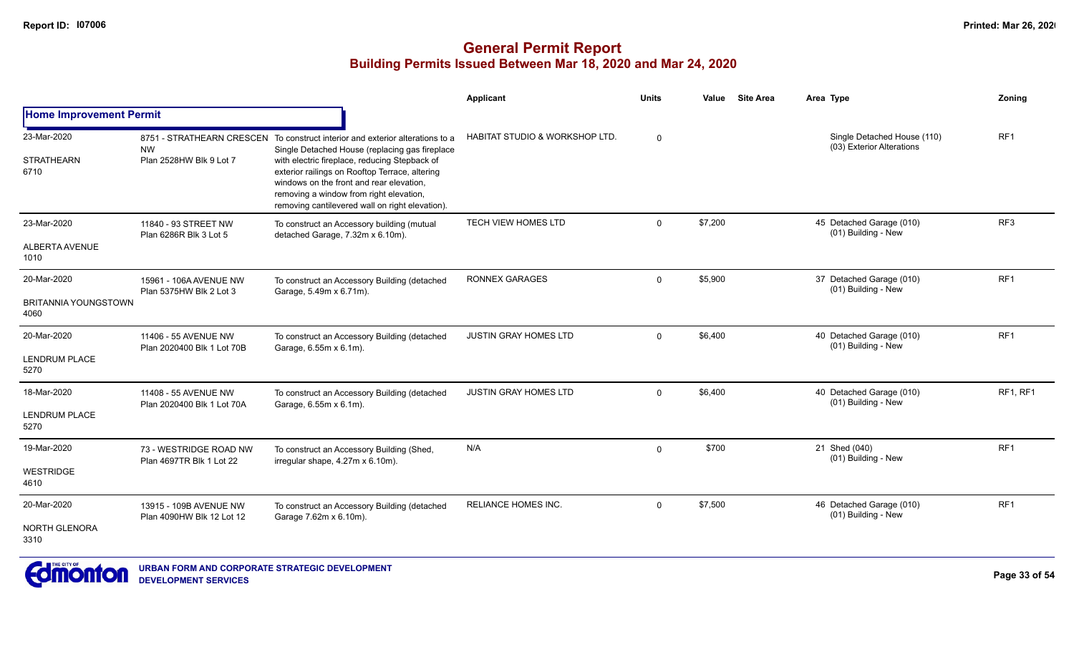|                                                    |                                                     |                                                                                                                                                                                                                                                                                                                                                                              | Applicant                                 | <b>Units</b> | <b>Site Area</b><br>Value | Area Type                                                | Zoning          |
|----------------------------------------------------|-----------------------------------------------------|------------------------------------------------------------------------------------------------------------------------------------------------------------------------------------------------------------------------------------------------------------------------------------------------------------------------------------------------------------------------------|-------------------------------------------|--------------|---------------------------|----------------------------------------------------------|-----------------|
| <b>Home Improvement Permit</b>                     |                                                     |                                                                                                                                                                                                                                                                                                                                                                              |                                           |              |                           |                                                          |                 |
| 23-Mar-2020<br><b>STRATHEARN</b><br>6710           | <b>NW</b><br>Plan 2528HW Blk 9 Lot 7                | 8751 - STRATHEARN CRESCEN To construct interior and exterior alterations to a<br>Single Detached House (replacing gas fireplace<br>with electric fireplace, reducing Stepback of<br>exterior railings on Rooftop Terrace, altering<br>windows on the front and rear elevation,<br>removing a window from right elevation,<br>removing cantilevered wall on right elevation). | <b>HABITAT STUDIO &amp; WORKSHOP LTD.</b> | $\Omega$     |                           | Single Detached House (110)<br>(03) Exterior Alterations | RF <sub>1</sub> |
| 23-Mar-2020<br><b>ALBERTA AVENUE</b><br>1010       | 11840 - 93 STREET NW<br>Plan 6286R Blk 3 Lot 5      | To construct an Accessory building (mutual<br>detached Garage, 7.32m x 6.10m).                                                                                                                                                                                                                                                                                               | TECH VIEW HOMES LTD                       | 0            | \$7,200                   | 45 Detached Garage (010)<br>(01) Building - New          | RF3             |
| 20-Mar-2020<br><b>BRITANNIA YOUNGSTOWN</b><br>4060 | 15961 - 106A AVENUE NW<br>Plan 5375HW Blk 2 Lot 3   | To construct an Accessory Building (detached<br>Garage, 5.49m x 6.71m).                                                                                                                                                                                                                                                                                                      | <b>RONNEX GARAGES</b>                     | $\mathbf{0}$ | \$5,900                   | 37 Detached Garage (010)<br>(01) Building - New          | RF <sub>1</sub> |
| 20-Mar-2020<br>LENDRUM PLACE<br>5270               | 11406 - 55 AVENUE NW<br>Plan 2020400 Blk 1 Lot 70B  | To construct an Accessory Building (detached<br>Garage, 6.55m x 6.1m).                                                                                                                                                                                                                                                                                                       | JUSTIN GRAY HOMES LTD                     | 0            | \$6,400                   | 40 Detached Garage (010)<br>(01) Building - New          | RF <sub>1</sub> |
| 18-Mar-2020<br><b>LENDRUM PLACE</b><br>5270        | 11408 - 55 AVENUE NW<br>Plan 2020400 Blk 1 Lot 70A  | To construct an Accessory Building (detached<br>Garage, 6.55m x 6.1m).                                                                                                                                                                                                                                                                                                       | <b>JUSTIN GRAY HOMES LTD</b>              | $\mathbf 0$  | \$6,400                   | 40 Detached Garage (010)<br>(01) Building - New          | RF1, RF1        |
| 19-Mar-2020<br><b>WESTRIDGE</b><br>4610            | 73 - WESTRIDGE ROAD NW<br>Plan 4697TR Blk 1 Lot 22  | To construct an Accessory Building (Shed,<br>irregular shape, 4.27m x 6.10m).                                                                                                                                                                                                                                                                                                | N/A                                       | $\Omega$     | \$700                     | 21 Shed (040)<br>(01) Building - New                     | RF <sub>1</sub> |
| 20-Mar-2020<br>NORTH GLENORA<br>3310               | 13915 - 109B AVENUE NW<br>Plan 4090HW Blk 12 Lot 12 | To construct an Accessory Building (detached<br>Garage 7.62m x 6.10m).                                                                                                                                                                                                                                                                                                       | <b>RELIANCE HOMES INC.</b>                | $\mathbf 0$  | \$7,500                   | 46 Detached Garage (010)<br>(01) Building - New          | RF <sub>1</sub> |

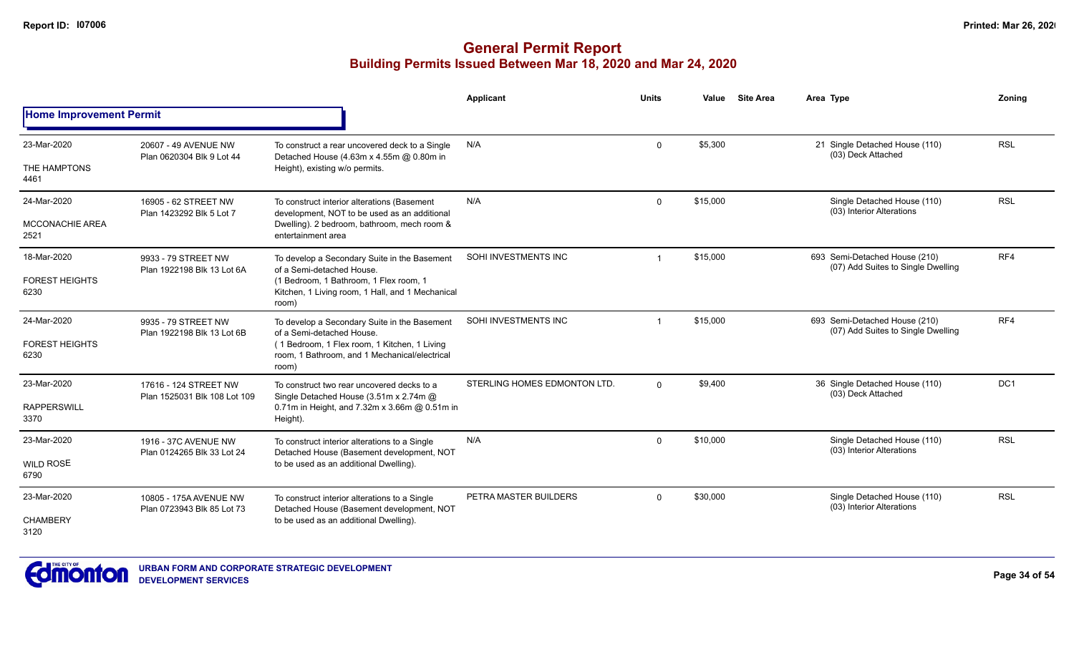|                                |                                                       |                                                                                                        | Applicant                    | <b>Units</b> | Value    | <b>Site Area</b> | Area Type                                                           | Zoning          |
|--------------------------------|-------------------------------------------------------|--------------------------------------------------------------------------------------------------------|------------------------------|--------------|----------|------------------|---------------------------------------------------------------------|-----------------|
| <b>Home Improvement Permit</b> |                                                       |                                                                                                        |                              |              |          |                  |                                                                     |                 |
| 23-Mar-2020                    | 20607 - 49 AVENUE NW<br>Plan 0620304 Blk 9 Lot 44     | To construct a rear uncovered deck to a Single<br>Detached House (4.63m x 4.55m @ 0.80m in             | N/A                          | $\Omega$     | \$5,300  |                  | 21 Single Detached House (110)<br>(03) Deck Attached                | <b>RSL</b>      |
| THE HAMPTONS<br>4461           |                                                       | Height), existing w/o permits.                                                                         |                              |              |          |                  |                                                                     |                 |
| 24-Mar-2020                    | 16905 - 62 STREET NW<br>Plan 1423292 Blk 5 Lot 7      | To construct interior alterations (Basement<br>development, NOT to be used as an additional            | N/A                          | $\mathbf 0$  | \$15,000 |                  | Single Detached House (110)<br>(03) Interior Alterations            | <b>RSL</b>      |
| <b>MCCONACHIE AREA</b><br>2521 |                                                       | Dwelling). 2 bedroom, bathroom, mech room &<br>entertainment area                                      |                              |              |          |                  |                                                                     |                 |
| 18-Mar-2020                    | 9933 - 79 STREET NW<br>Plan 1922198 Blk 13 Lot 6A     | To develop a Secondary Suite in the Basement<br>of a Semi-detached House.                              | SOHI INVESTMENTS INC         |              | \$15,000 |                  | 693 Semi-Detached House (210)<br>(07) Add Suites to Single Dwelling | RF4             |
| <b>FOREST HEIGHTS</b><br>6230  |                                                       | (1 Bedroom, 1 Bathroom, 1 Flex room, 1<br>Kitchen, 1 Living room, 1 Hall, and 1 Mechanical<br>room)    |                              |              |          |                  |                                                                     |                 |
| 24-Mar-2020                    | 9935 - 79 STREET NW<br>Plan 1922198 Blk 13 Lot 6B     | To develop a Secondary Suite in the Basement<br>of a Semi-detached House.                              | SOHI INVESTMENTS INC         |              | \$15,000 |                  | 693 Semi-Detached House (210)<br>(07) Add Suites to Single Dwelling | RF4             |
| <b>FOREST HEIGHTS</b><br>6230  |                                                       | (1 Bedroom, 1 Flex room, 1 Kitchen, 1 Living<br>room, 1 Bathroom, and 1 Mechanical/electrical<br>room) |                              |              |          |                  |                                                                     |                 |
| 23-Mar-2020                    | 17616 - 124 STREET NW<br>Plan 1525031 Blk 108 Lot 109 | To construct two rear uncovered decks to a<br>Single Detached House (3.51m x 2.74m @                   | STERLING HOMES EDMONTON LTD. | $\Omega$     | \$9,400  |                  | 36 Single Detached House (110)<br>(03) Deck Attached                | DC <sub>1</sub> |
| <b>RAPPERSWILL</b><br>3370     |                                                       | 0.71m in Height, and 7.32m x 3.66m @ 0.51m in<br>Height).                                              |                              |              |          |                  |                                                                     |                 |
| 23-Mar-2020                    | 1916 - 37C AVENUE NW                                  | To construct interior alterations to a Single<br>Detached House (Basement development, NOT             | N/A                          | $\Omega$     | \$10,000 |                  | Single Detached House (110)<br>(03) Interior Alterations            | <b>RSL</b>      |
| <b>WILD ROSE</b><br>6790       | Plan 0124265 Blk 33 Lot 24                            | to be used as an additional Dwelling).                                                                 |                              |              |          |                  |                                                                     |                 |
| 23-Mar-2020                    | 10805 - 175A AVENUE NW<br>Plan 0723943 Blk 85 Lot 73  | To construct interior alterations to a Single<br>Detached House (Basement development, NOT             | PETRA MASTER BUILDERS        | $\mathbf 0$  | \$30,000 |                  | Single Detached House (110)<br>(03) Interior Alterations            | <b>RSL</b>      |
| <b>CHAMBERY</b><br>3120        |                                                       | to be used as an additional Dwelling).                                                                 |                              |              |          |                  |                                                                     |                 |

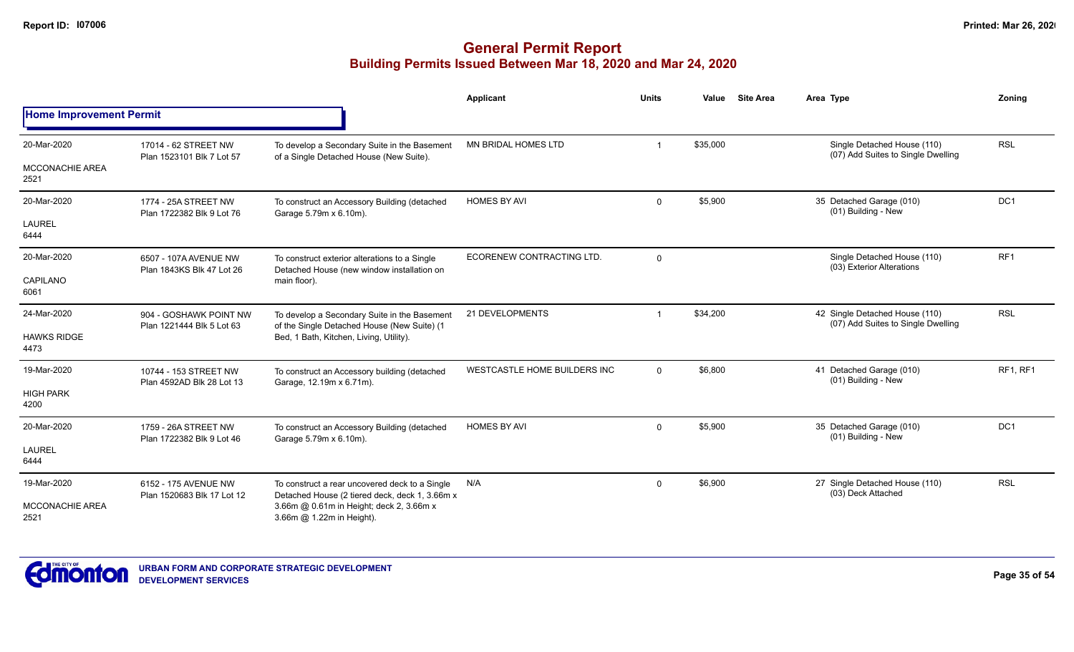|                                |                                                     |                                                                                                  | <b>Applicant</b>             | <b>Units</b>            | Value    | <b>Site Area</b> | Area Type                                                            | Zoning          |
|--------------------------------|-----------------------------------------------------|--------------------------------------------------------------------------------------------------|------------------------------|-------------------------|----------|------------------|----------------------------------------------------------------------|-----------------|
| <b>Home Improvement Permit</b> |                                                     |                                                                                                  |                              |                         |          |                  |                                                                      |                 |
| 20-Mar-2020                    | 17014 - 62 STREET NW<br>Plan 1523101 Blk 7 Lot 57   | To develop a Secondary Suite in the Basement<br>of a Single Detached House (New Suite).          | MN BRIDAL HOMES LTD          | -1                      | \$35,000 |                  | Single Detached House (110)<br>(07) Add Suites to Single Dwelling    | <b>RSL</b>      |
| <b>MCCONACHIE AREA</b><br>2521 |                                                     |                                                                                                  |                              |                         |          |                  |                                                                      |                 |
| 20-Mar-2020                    | 1774 - 25A STREET NW<br>Plan 1722382 Blk 9 Lot 76   | To construct an Accessory Building (detached<br>Garage 5.79m x 6.10m).                           | <b>HOMES BY AVI</b>          | $\mathbf 0$             | \$5,900  |                  | 35 Detached Garage (010)<br>(01) Building - New                      | DC <sub>1</sub> |
| <b>LAUREL</b><br>6444          |                                                     |                                                                                                  |                              |                         |          |                  |                                                                      |                 |
| 20-Mar-2020                    | 6507 - 107A AVENUE NW<br>Plan 1843KS Blk 47 Lot 26  | To construct exterior alterations to a Single<br>Detached House (new window installation on      | ECORENEW CONTRACTING LTD.    | $\mathbf 0$             |          |                  | Single Detached House (110)<br>(03) Exterior Alterations             | RF1             |
| CAPILANO<br>6061               |                                                     | main floor).                                                                                     |                              |                         |          |                  |                                                                      |                 |
| 24-Mar-2020                    | 904 - GOSHAWK POINT NW<br>Plan 1221444 Blk 5 Lot 63 | To develop a Secondary Suite in the Basement<br>of the Single Detached House (New Suite) (1      | 21 DEVELOPMENTS              | $\overline{\mathbf{1}}$ | \$34,200 |                  | 42 Single Detached House (110)<br>(07) Add Suites to Single Dwelling | <b>RSL</b>      |
| <b>HAWKS RIDGE</b><br>4473     |                                                     | Bed, 1 Bath, Kitchen, Living, Utility).                                                          |                              |                         |          |                  |                                                                      |                 |
| 19-Mar-2020                    | 10744 - 153 STREET NW<br>Plan 4592AD Blk 28 Lot 13  | To construct an Accessory building (detached<br>Garage, 12.19m x 6.71m).                         | WESTCASTLE HOME BUILDERS INC | $\Omega$                | \$6,800  |                  | 41 Detached Garage (010)<br>(01) Building - New                      | <b>RF1, RF1</b> |
| <b>HIGH PARK</b><br>4200       |                                                     |                                                                                                  |                              |                         |          |                  |                                                                      |                 |
| 20-Mar-2020                    | 1759 - 26A STREET NW<br>Plan 1722382 Blk 9 Lot 46   | To construct an Accessory Building (detached<br>Garage 5.79m x 6.10m).                           | <b>HOMES BY AVI</b>          | $\mathbf 0$             | \$5,900  |                  | 35 Detached Garage (010)<br>(01) Building - New                      | DC <sub>1</sub> |
| <b>LAUREL</b><br>6444          |                                                     |                                                                                                  |                              |                         |          |                  |                                                                      |                 |
| 19-Mar-2020                    | 6152 - 175 AVENUE NW<br>Plan 1520683 Blk 17 Lot 12  | To construct a rear uncovered deck to a Single<br>Detached House (2 tiered deck, deck 1, 3.66m x | N/A                          | $\mathbf 0$             | \$6,900  |                  | 27 Single Detached House (110)<br>(03) Deck Attached                 | <b>RSL</b>      |
| <b>MCCONACHIE AREA</b><br>2521 |                                                     | 3.66m @ 0.61m in Height; deck 2, 3.66m x<br>3.66m @ 1.22m in Height).                            |                              |                         |          |                  |                                                                      |                 |

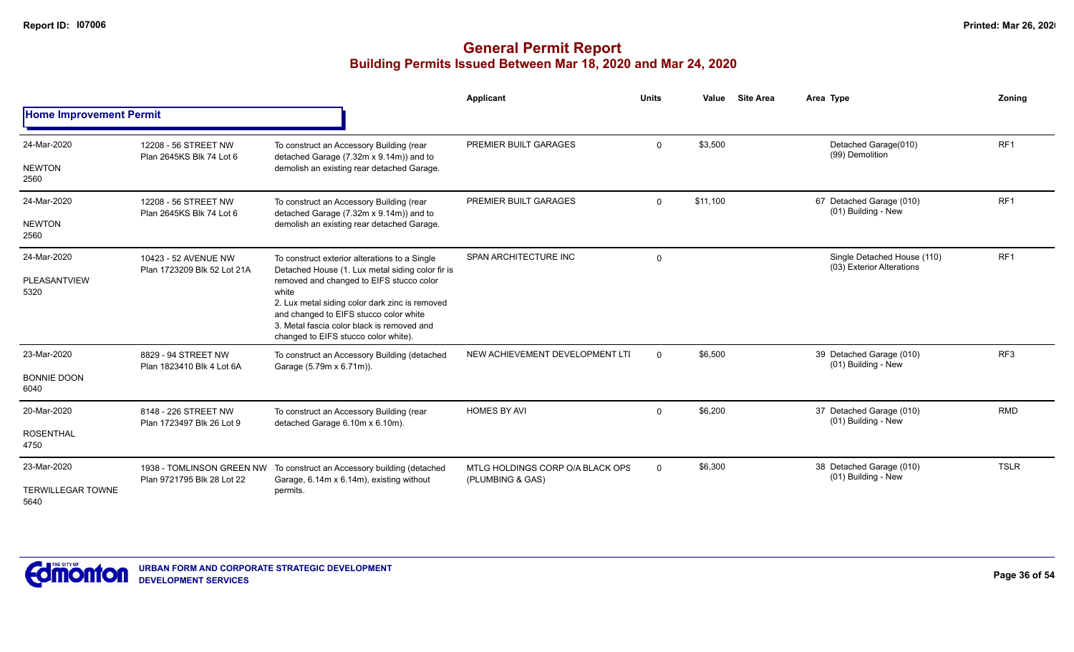|                                                 |                                                         |                                                                                                                                                                                                                                                                                                                                          | Applicant                                            | <b>Units</b> | Value    | <b>Site Area</b> | Area Type                                                | <b>Zoning</b>   |
|-------------------------------------------------|---------------------------------------------------------|------------------------------------------------------------------------------------------------------------------------------------------------------------------------------------------------------------------------------------------------------------------------------------------------------------------------------------------|------------------------------------------------------|--------------|----------|------------------|----------------------------------------------------------|-----------------|
| <b>Home Improvement Permit</b>                  |                                                         |                                                                                                                                                                                                                                                                                                                                          |                                                      |              |          |                  |                                                          |                 |
| 24-Mar-2020<br><b>NEWTON</b><br>2560            | 12208 - 56 STREET NW<br>Plan 2645KS Blk 74 Lot 6        | To construct an Accessory Building (rear<br>detached Garage (7.32m x 9.14m)) and to<br>demolish an existing rear detached Garage.                                                                                                                                                                                                        | PREMIER BUILT GARAGES                                | $\mathbf 0$  | \$3,500  |                  | Detached Garage(010)<br>(99) Demolition                  | RF1             |
| 24-Mar-2020<br><b>NEWTON</b><br>2560            | 12208 - 56 STREET NW<br>Plan 2645KS Blk 74 Lot 6        | To construct an Accessory Building (rear<br>detached Garage (7.32m x 9.14m)) and to<br>demolish an existing rear detached Garage.                                                                                                                                                                                                        | <b>PREMIER BUILT GARAGES</b>                         | $\mathbf 0$  | \$11,100 |                  | 67 Detached Garage (010)<br>(01) Building - New          | RF <sub>1</sub> |
| 24-Mar-2020<br>PLEASANTVIEW<br>5320             | 10423 - 52 AVENUE NW<br>Plan 1723209 Blk 52 Lot 21A     | To construct exterior alterations to a Single<br>Detached House (1. Lux metal siding color fir is<br>removed and changed to EIFS stucco color<br>white<br>2. Lux metal siding color dark zinc is removed<br>and changed to EIFS stucco color white<br>3. Metal fascia color black is removed and<br>changed to EIFS stucco color white). | SPAN ARCHITECTURE INC                                | $\mathbf 0$  |          |                  | Single Detached House (110)<br>(03) Exterior Alterations | RF <sub>1</sub> |
| 23-Mar-2020<br><b>BONNIE DOON</b><br>6040       | 8829 - 94 STREET NW<br>Plan 1823410 Blk 4 Lot 6A        | To construct an Accessory Building (detached<br>Garage (5.79m x 6.71m)).                                                                                                                                                                                                                                                                 | NEW ACHIEVEMENT DEVELOPMENT LTI                      | $\Omega$     | \$6,500  |                  | 39 Detached Garage (010)<br>(01) Building - New          | RF <sub>3</sub> |
| 20-Mar-2020<br><b>ROSENTHAL</b><br>4750         | 8148 - 226 STREET NW<br>Plan 1723497 Blk 26 Lot 9       | To construct an Accessory Building (rear<br>detached Garage 6.10m x 6.10m).                                                                                                                                                                                                                                                              | <b>HOMES BY AVI</b>                                  | $\Omega$     | \$6,200  |                  | 37 Detached Garage (010)<br>(01) Building - New          | <b>RMD</b>      |
| 23-Mar-2020<br><b>TERWILLEGAR TOWNE</b><br>5640 | 1938 - TOMLINSON GREEN NW<br>Plan 9721795 Blk 28 Lot 22 | To construct an Accessory building (detached<br>Garage, 6.14m x 6.14m), existing without<br>permits.                                                                                                                                                                                                                                     | MTLG HOLDINGS CORP O/A BLACK OPS<br>(PLUMBING & GAS) | 0            | \$6,300  |                  | 38 Detached Garage (010)<br>(01) Building - New          | <b>TSLR</b>     |

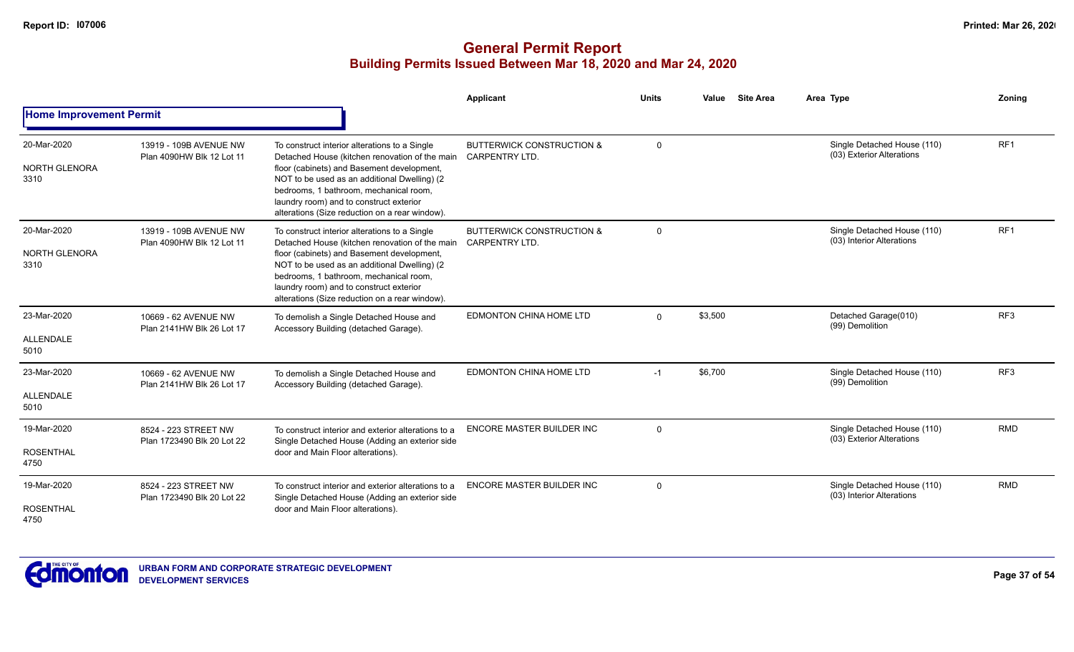|                                         |                                                     |                                                                                                                                                                                                                                                                                                                                      | Applicant                                                     | <b>Units</b> | <b>Site Area</b><br>Value | Area Type                                                | Zoning          |
|-----------------------------------------|-----------------------------------------------------|--------------------------------------------------------------------------------------------------------------------------------------------------------------------------------------------------------------------------------------------------------------------------------------------------------------------------------------|---------------------------------------------------------------|--------------|---------------------------|----------------------------------------------------------|-----------------|
| <b>Home Improvement Permit</b>          |                                                     |                                                                                                                                                                                                                                                                                                                                      |                                                               |              |                           |                                                          |                 |
| 20-Mar-2020<br>NORTH GLENORA<br>3310    | 13919 - 109B AVENUE NW<br>Plan 4090HW Blk 12 Lot 11 | To construct interior alterations to a Single<br>Detached House (kitchen renovation of the main<br>floor (cabinets) and Basement development,<br>NOT to be used as an additional Dwelling) (2<br>bedrooms, 1 bathroom, mechanical room,<br>laundry room) and to construct exterior<br>alterations (Size reduction on a rear window). | <b>BUTTERWICK CONSTRUCTION &amp;</b><br><b>CARPENTRY LTD.</b> | $\Omega$     |                           | Single Detached House (110)<br>(03) Exterior Alterations | RF <sub>1</sub> |
| 20-Mar-2020<br>NORTH GLENORA<br>3310    | 13919 - 109B AVENUE NW<br>Plan 4090HW Blk 12 Lot 11 | To construct interior alterations to a Single<br>Detached House (kitchen renovation of the main<br>floor (cabinets) and Basement development,<br>NOT to be used as an additional Dwelling) (2<br>bedrooms, 1 bathroom, mechanical room,<br>laundry room) and to construct exterior<br>alterations (Size reduction on a rear window). | <b>BUTTERWICK CONSTRUCTION &amp;</b><br><b>CARPENTRY LTD.</b> | $\Omega$     |                           | Single Detached House (110)<br>(03) Interior Alterations | RF1             |
| 23-Mar-2020<br>ALLENDALE<br>5010        | 10669 - 62 AVENUE NW<br>Plan 2141HW Blk 26 Lot 17   | To demolish a Single Detached House and<br>Accessory Building (detached Garage).                                                                                                                                                                                                                                                     | EDMONTON CHINA HOME LTD                                       | $\Omega$     | \$3,500                   | Detached Garage(010)<br>(99) Demolition                  | RF <sub>3</sub> |
| 23-Mar-2020<br><b>ALLENDALE</b><br>5010 | 10669 - 62 AVENUE NW<br>Plan 2141HW Blk 26 Lot 17   | To demolish a Single Detached House and<br>Accessory Building (detached Garage).                                                                                                                                                                                                                                                     | EDMONTON CHINA HOME LTD                                       | $-1$         | \$6,700                   | Single Detached House (110)<br>(99) Demolition           | RF3             |
| 19-Mar-2020<br><b>ROSENTHAL</b><br>4750 | 8524 - 223 STREET NW<br>Plan 1723490 Blk 20 Lot 22  | To construct interior and exterior alterations to a<br>Single Detached House (Adding an exterior side<br>door and Main Floor alterations).                                                                                                                                                                                           | <b>ENCORE MASTER BUILDER INC</b>                              | $\Omega$     |                           | Single Detached House (110)<br>(03) Exterior Alterations | <b>RMD</b>      |
| 19-Mar-2020<br><b>ROSENTHAL</b><br>4750 | 8524 - 223 STREET NW<br>Plan 1723490 Blk 20 Lot 22  | To construct interior and exterior alterations to a<br>Single Detached House (Adding an exterior side<br>door and Main Floor alterations).                                                                                                                                                                                           | <b>ENCORE MASTER BUILDER INC</b>                              | $\Omega$     |                           | Single Detached House (110)<br>(03) Interior Alterations | <b>RMD</b>      |

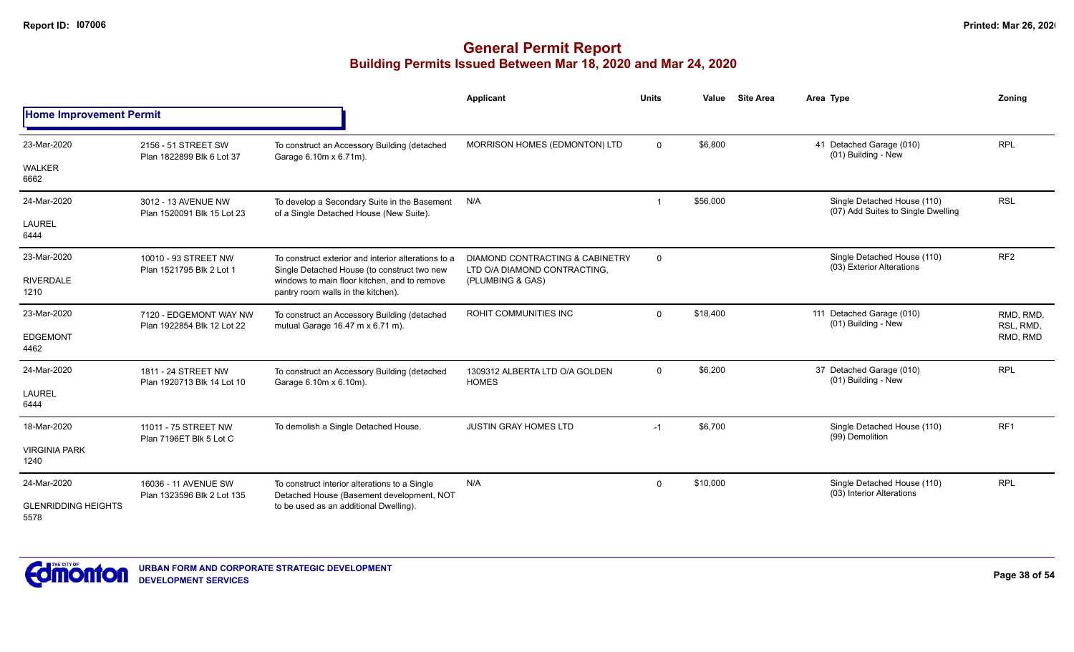|                                    |                                                      |                                                                                                    | Applicant                                                       | <b>Units</b> | Value    | <b>Site Area</b> | Area Type                                                         | Zonina                 |
|------------------------------------|------------------------------------------------------|----------------------------------------------------------------------------------------------------|-----------------------------------------------------------------|--------------|----------|------------------|-------------------------------------------------------------------|------------------------|
| <b>Home Improvement Permit</b>     |                                                      |                                                                                                    |                                                                 |              |          |                  |                                                                   |                        |
| 23-Mar-2020                        | 2156 - 51 STREET SW<br>Plan 1822899 Blk 6 Lot 37     | To construct an Accessory Building (detached<br>Garage 6.10m x 6.71m).                             | MORRISON HOMES (EDMONTON) LTD                                   | $\Omega$     | \$6,800  |                  | 41 Detached Garage (010)<br>(01) Building - New                   | <b>RPL</b>             |
| <b>WALKER</b><br>6662              |                                                      |                                                                                                    |                                                                 |              |          |                  |                                                                   |                        |
| 24-Mar-2020                        | 3012 - 13 AVENUE NW<br>Plan 1520091 Blk 15 Lot 23    | To develop a Secondary Suite in the Basement<br>of a Single Detached House (New Suite).            | N/A                                                             |              | \$56,000 |                  | Single Detached House (110)<br>(07) Add Suites to Single Dwelling | <b>RSL</b>             |
| <b>LAUREL</b><br>6444              |                                                      |                                                                                                    |                                                                 |              |          |                  |                                                                   |                        |
| 23-Mar-2020                        | 10010 - 93 STREET NW<br>Plan 1521795 Blk 2 Lot 1     | To construct exterior and interior alterations to a<br>Single Detached House (to construct two new | DIAMOND CONTRACTING & CABINETRY<br>LTD O/A DIAMOND CONTRACTING, | $\mathbf 0$  |          |                  | Single Detached House (110)<br>(03) Exterior Alterations          | RF <sub>2</sub>        |
| <b>RIVERDALE</b><br>1210           |                                                      | windows to main floor kitchen, and to remove<br>pantry room walls in the kitchen).                 | (PLUMBING & GAS)                                                |              |          |                  |                                                                   |                        |
| 23-Mar-2020                        | 7120 - EDGEMONT WAY NW<br>Plan 1922854 Blk 12 Lot 22 | To construct an Accessory Building (detached<br>mutual Garage 16.47 m x 6.71 m).                   | <b>ROHIT COMMUNITIES INC</b>                                    | $\Omega$     | \$18,400 |                  | 111 Detached Garage (010)<br>(01) Building - New                  | RMD, RMD,<br>RSL, RMD, |
| <b>EDGEMONT</b><br>4462            |                                                      |                                                                                                    |                                                                 |              |          |                  |                                                                   | RMD, RMD               |
| 24-Mar-2020                        | 1811 - 24 STREET NW<br>Plan 1920713 Blk 14 Lot 10    | To construct an Accessory Building (detached<br>Garage 6.10m x 6.10m).                             | 1309312 ALBERTA LTD O/A GOLDEN<br><b>HOMES</b>                  | $\mathbf{0}$ | \$6,200  |                  | 37 Detached Garage (010)<br>(01) Building - New                   | <b>RPL</b>             |
| <b>LAUREL</b><br>6444              |                                                      |                                                                                                    |                                                                 |              |          |                  |                                                                   |                        |
| 18-Mar-2020                        | 11011 - 75 STREET NW<br>Plan 7196ET Blk 5 Lot C      | To demolish a Single Detached House.                                                               | <b>JUSTIN GRAY HOMES LTD</b>                                    | $-1$         | \$6,700  |                  | Single Detached House (110)<br>(99) Demolition                    | RF <sub>1</sub>        |
| <b>VIRGINIA PARK</b><br>1240       |                                                      |                                                                                                    |                                                                 |              |          |                  |                                                                   |                        |
| 24-Mar-2020                        | 16036 - 11 AVENUE SW<br>Plan 1323596 Blk 2 Lot 135   | To construct interior alterations to a Single<br>Detached House (Basement development, NOT         | N/A                                                             | $\mathbf 0$  | \$10,000 |                  | Single Detached House (110)<br>(03) Interior Alterations          | <b>RPL</b>             |
| <b>GLENRIDDING HEIGHTS</b><br>5578 |                                                      | to be used as an additional Dwelling).                                                             |                                                                 |              |          |                  |                                                                   |                        |

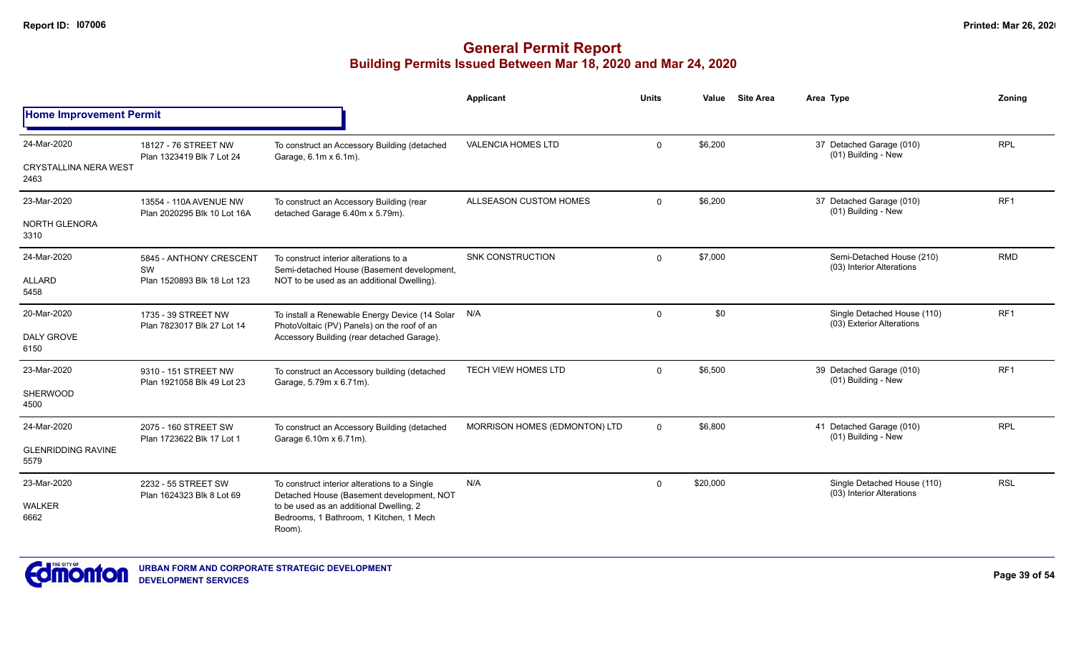|                                      |                                                       |                                                                                                   | Applicant                     | Units       | Value    | <b>Site Area</b>                                         | Area Type                                                | Zoning          |
|--------------------------------------|-------------------------------------------------------|---------------------------------------------------------------------------------------------------|-------------------------------|-------------|----------|----------------------------------------------------------|----------------------------------------------------------|-----------------|
| <b>Home Improvement Permit</b>       |                                                       |                                                                                                   |                               |             |          |                                                          |                                                          |                 |
| 24-Mar-2020                          | 18127 - 76 STREET NW<br>Plan 1323419 Blk 7 Lot 24     | To construct an Accessory Building (detached                                                      | <b>VALENCIA HOMES LTD</b>     | 0           | \$6,200  |                                                          | 37 Detached Garage (010)<br>(01) Building - New          | <b>RPL</b>      |
| <b>CRYSTALLINA NERA WEST</b><br>2463 |                                                       | Garage, 6.1m x 6.1m).                                                                             |                               |             |          |                                                          |                                                          |                 |
| 23-Mar-2020                          | 13554 - 110A AVENUE NW<br>Plan 2020295 Blk 10 Lot 16A | To construct an Accessory Building (rear<br>detached Garage 6.40m x 5.79m).                       | ALLSEASON CUSTOM HOMES        | $\Omega$    | \$6,200  |                                                          | 37 Detached Garage (010)<br>(01) Building - New          | RF <sub>1</sub> |
| NORTH GLENORA<br>3310                |                                                       |                                                                                                   |                               |             |          |                                                          |                                                          |                 |
| 24-Mar-2020                          | 5845 - ANTHONY CRESCENT<br>SW                         | To construct interior alterations to a<br>Semi-detached House (Basement development,              | <b>SNK CONSTRUCTION</b>       | $\Omega$    | \$7,000  | Semi-Detached House (210)<br>(03) Interior Alterations   | <b>RMD</b>                                               |                 |
| ALLARD<br>5458                       | Plan 1520893 Blk 18 Lot 123                           | NOT to be used as an additional Dwelling).                                                        |                               |             |          |                                                          |                                                          |                 |
| 20-Mar-2020                          | 1735 - 39 STREET NW<br>Plan 7823017 Blk 27 Lot 14     | To install a Renewable Energy Device (14 Solar N/A<br>PhotoVoltaic (PV) Panels) on the roof of an |                               | $\Omega$    | \$0      | Single Detached House (110)<br>(03) Exterior Alterations | RF <sub>1</sub>                                          |                 |
| <b>DALY GROVE</b><br>6150            |                                                       | Accessory Building (rear detached Garage).                                                        |                               |             |          |                                                          |                                                          |                 |
| 23-Mar-2020                          | 9310 - 151 STREET NW<br>Plan 1921058 Blk 49 Lot 23    | To construct an Accessory building (detached<br>Garage, 5.79m x 6.71m).                           | <b>TECH VIEW HOMES LTD</b>    | $\Omega$    | \$6,500  |                                                          | 39 Detached Garage (010)<br>(01) Building - New          | RF <sub>1</sub> |
| <b>SHERWOOD</b><br>4500              |                                                       |                                                                                                   |                               |             |          |                                                          |                                                          |                 |
| 24-Mar-2020                          | 2075 - 160 STREET SW                                  | To construct an Accessory Building (detached<br>Garage 6.10m x 6.71m).                            | MORRISON HOMES (EDMONTON) LTD | $\mathbf 0$ | \$6,800  |                                                          | 41 Detached Garage (010)<br>(01) Building - New          | <b>RPL</b>      |
| <b>GLENRIDDING RAVINE</b><br>5579    | Plan 1723622 Blk 17 Lot 1                             |                                                                                                   |                               |             |          |                                                          |                                                          |                 |
| 23-Mar-2020                          | 2232 - 55 STREET SW<br>Plan 1624323 Blk 8 Lot 69      | To construct interior alterations to a Single<br>Detached House (Basement development, NOT        | N/A                           | $\Omega$    | \$20,000 |                                                          | Single Detached House (110)<br>(03) Interior Alterations | <b>RSL</b>      |
| <b>WALKER</b><br>6662                |                                                       | to be used as an additional Dwelling, 2<br>Bedrooms, 1 Bathroom, 1 Kitchen, 1 Mech<br>Room).      |                               |             |          |                                                          |                                                          |                 |

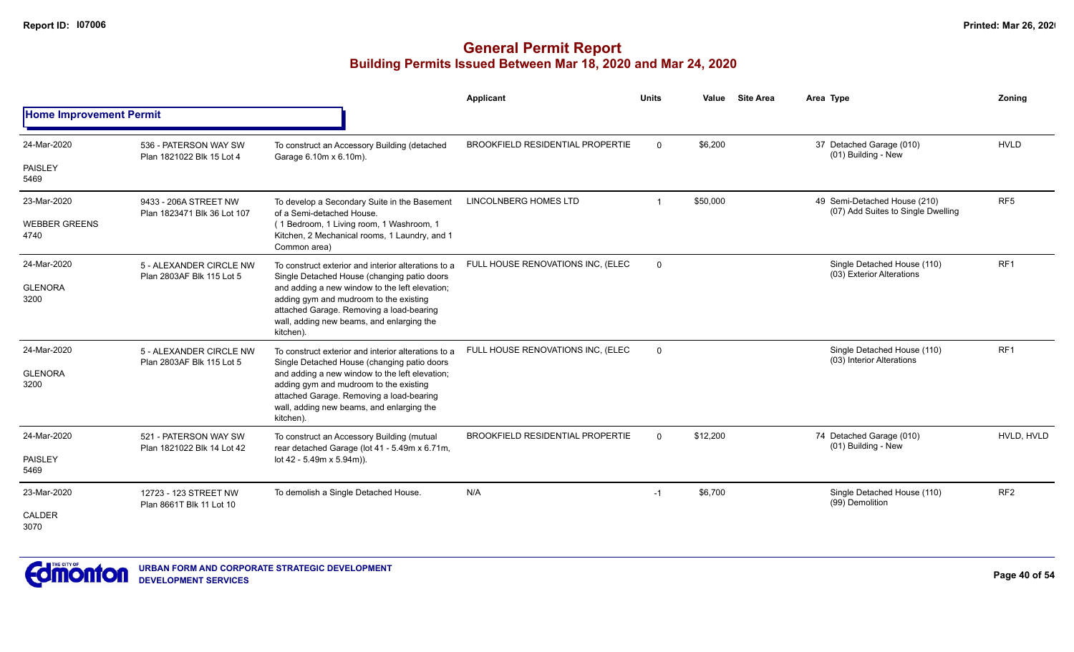|                                |                                                      |                                                                                                                                                                                                | Applicant                               | <b>Units</b>   | Value    | <b>Site Area</b> | Area Type                                                          | Zonina          |
|--------------------------------|------------------------------------------------------|------------------------------------------------------------------------------------------------------------------------------------------------------------------------------------------------|-----------------------------------------|----------------|----------|------------------|--------------------------------------------------------------------|-----------------|
| <b>Home Improvement Permit</b> |                                                      |                                                                                                                                                                                                |                                         |                |          |                  |                                                                    |                 |
| 24-Mar-2020                    | 536 - PATERSON WAY SW<br>Plan 1821022 Blk 15 Lot 4   | To construct an Accessory Building (detached<br>Garage 6.10m x 6.10m).                                                                                                                         | <b>BROOKFIELD RESIDENTIAL PROPERTIE</b> | $\Omega$       | \$6,200  |                  | 37 Detached Garage (010)<br>(01) Building - New                    | <b>HVLD</b>     |
| <b>PAISLEY</b><br>5469         |                                                      |                                                                                                                                                                                                |                                         |                |          |                  |                                                                    |                 |
| 23-Mar-2020                    | 9433 - 206A STREET NW<br>Plan 1823471 Blk 36 Lot 107 | To develop a Secondary Suite in the Basement<br>of a Semi-detached House.                                                                                                                      | LINCOLNBERG HOMES LTD                   | $\overline{1}$ | \$50,000 |                  | 49 Semi-Detached House (210)<br>(07) Add Suites to Single Dwelling | RF <sub>5</sub> |
| <b>WEBBER GREENS</b><br>4740   | 5 - ALEXANDER CIRCLE NW                              | (1 Bedroom, 1 Living room, 1 Washroom, 1<br>Kitchen, 2 Mechanical rooms, 1 Laundry, and 1<br>Common area)                                                                                      |                                         |                |          |                  |                                                                    |                 |
| 24-Mar-2020                    | Plan 2803AF Blk 115 Lot 5                            | To construct exterior and interior alterations to a<br>Single Detached House (changing patio doors                                                                                             | FULL HOUSE RENOVATIONS INC, (ELEC       | $\Omega$       |          |                  | Single Detached House (110)<br>(03) Exterior Alterations           | RF <sub>1</sub> |
| <b>GLENORA</b><br>3200         |                                                      | and adding a new window to the left elevation;<br>adding gym and mudroom to the existing<br>attached Garage. Removing a load-bearing<br>wall, adding new beams, and enlarging the<br>kitchen). |                                         |                |          |                  |                                                                    |                 |
| 24-Mar-2020                    | 5 - ALEXANDER CIRCLE NW<br>Plan 2803AF Blk 115 Lot 5 | To construct exterior and interior alterations to a<br>Single Detached House (changing patio doors                                                                                             | FULL HOUSE RENOVATIONS INC, (ELEC       | $\mathbf 0$    |          |                  | Single Detached House (110)<br>(03) Interior Alterations           | RF <sub>1</sub> |
| <b>GLENORA</b><br>3200         |                                                      | and adding a new window to the left elevation;<br>adding gym and mudroom to the existing<br>attached Garage. Removing a load-bearing<br>wall, adding new beams, and enlarging the<br>kitchen). |                                         |                |          |                  |                                                                    |                 |
| 24-Mar-2020                    | 521 - PATERSON WAY SW                                | To construct an Accessory Building (mutual<br>rear detached Garage (lot 41 - 5.49m x 6.71m,                                                                                                    | <b>BROOKFIELD RESIDENTIAL PROPERTIE</b> | $\Omega$       | \$12,200 |                  | 74 Detached Garage (010)<br>(01) Building - New                    | HVLD. HVLD      |
| <b>PAISLEY</b><br>5469         | Plan 1821022 Blk 14 Lot 42                           | lot 42 - 5.49m x 5.94m)).                                                                                                                                                                      |                                         |                |          |                  |                                                                    |                 |
| 23-Mar-2020                    | 12723 - 123 STREET NW<br>Plan 8661T Blk 11 Lot 10    | To demolish a Single Detached House.                                                                                                                                                           | N/A                                     | $-1$           | \$6,700  |                  | Single Detached House (110)<br>(99) Demolition                     | RF <sub>2</sub> |
| CALDER<br>3070                 |                                                      |                                                                                                                                                                                                |                                         |                |          |                  |                                                                    |                 |

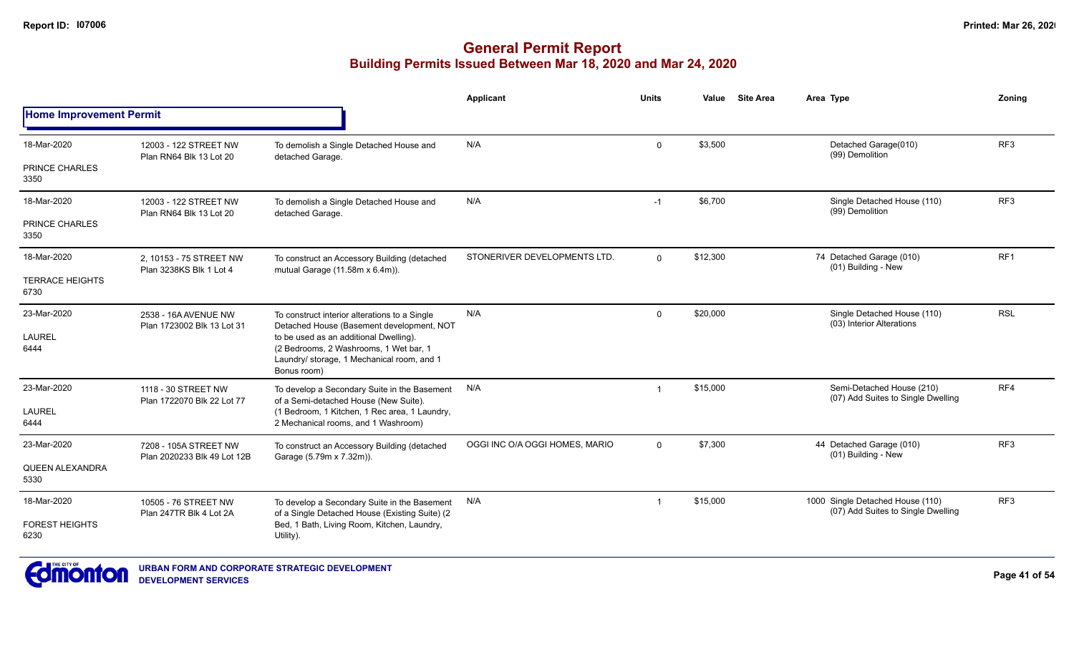|                                |                                                      |                                                                                                                                               | <b>Applicant</b>               | <b>Units</b> | Value    | <b>Site Area</b> | Area Type                                                              | Zoning          |
|--------------------------------|------------------------------------------------------|-----------------------------------------------------------------------------------------------------------------------------------------------|--------------------------------|--------------|----------|------------------|------------------------------------------------------------------------|-----------------|
| <b>Home Improvement Permit</b> |                                                      |                                                                                                                                               |                                |              |          |                  |                                                                        |                 |
| 18-Mar-2020                    | 12003 - 122 STREET NW<br>Plan RN64 Blk 13 Lot 20     | To demolish a Single Detached House and<br>detached Garage.                                                                                   | N/A                            | $\mathbf 0$  | \$3,500  |                  | Detached Garage(010)<br>(99) Demolition                                | RF <sub>3</sub> |
| PRINCE CHARLES<br>3350         |                                                      |                                                                                                                                               |                                |              |          |                  |                                                                        |                 |
| 18-Mar-2020                    | 12003 - 122 STREET NW<br>Plan RN64 Blk 13 Lot 20     | To demolish a Single Detached House and<br>detached Garage.                                                                                   | N/A                            | $-1$         | \$6,700  |                  | Single Detached House (110)<br>(99) Demolition                         | RF <sub>3</sub> |
| PRINCE CHARLES<br>3350         |                                                      |                                                                                                                                               |                                |              |          |                  |                                                                        |                 |
| 18-Mar-2020                    | 2, 10153 - 75 STREET NW<br>Plan 3238KS Blk 1 Lot 4   | To construct an Accessory Building (detached<br>mutual Garage (11.58m x 6.4m)).                                                               | STONERIVER DEVELOPMENTS LTD.   | $\Omega$     | \$12,300 |                  | 74 Detached Garage (010)<br>(01) Building - New                        | RF <sub>1</sub> |
| <b>TERRACE HEIGHTS</b><br>6730 |                                                      |                                                                                                                                               |                                |              |          |                  |                                                                        |                 |
| 23-Mar-2020                    | 2538 - 16A AVENUE NW<br>Plan 1723002 Blk 13 Lot 31   | To construct interior alterations to a Single<br>Detached House (Basement development, NOT                                                    | N/A                            | $\mathbf 0$  | \$20,000 |                  | Single Detached House (110)<br>(03) Interior Alterations               | <b>RSL</b>      |
| <b>LAUREL</b><br>6444          |                                                      | to be used as an additional Dwelling).<br>(2 Bedrooms, 2 Washrooms, 1 Wet bar, 1<br>Laundry/ storage, 1 Mechanical room, and 1<br>Bonus room) |                                |              |          |                  |                                                                        |                 |
| 23-Mar-2020                    | 1118 - 30 STREET NW<br>Plan 1722070 Blk 22 Lot 77    | To develop a Secondary Suite in the Basement<br>of a Semi-detached House (New Suite).                                                         | N/A                            | -1           | \$15,000 |                  | Semi-Detached House (210)<br>(07) Add Suites to Single Dwelling        | RF4             |
| <b>LAUREL</b><br>6444          |                                                      | (1 Bedroom, 1 Kitchen, 1 Rec area, 1 Laundry,<br>2 Mechanical rooms, and 1 Washroom)                                                          |                                |              |          |                  |                                                                        |                 |
| 23-Mar-2020                    | 7208 - 105A STREET NW<br>Plan 2020233 Blk 49 Lot 12B | To construct an Accessory Building (detached<br>Garage (5.79m x 7.32m)).                                                                      | OGGI INC O/A OGGI HOMES, MARIO | $\Omega$     | \$7,300  |                  | 44 Detached Garage (010)<br>(01) Building - New                        | RF <sub>3</sub> |
| <b>QUEEN ALEXANDRA</b><br>5330 |                                                      |                                                                                                                                               |                                |              |          |                  |                                                                        |                 |
| 18-Mar-2020                    | 10505 - 76 STREET NW<br>Plan 247TR Blk 4 Lot 2A      | To develop a Secondary Suite in the Basement<br>of a Single Detached House (Existing Suite) (2                                                | N/A                            |              | \$15,000 |                  | 1000 Single Detached House (110)<br>(07) Add Suites to Single Dwelling | RF <sub>3</sub> |
| <b>FOREST HEIGHTS</b><br>6230  |                                                      | Bed, 1 Bath, Living Room, Kitchen, Laundry,<br>Utility).                                                                                      |                                |              |          |                  |                                                                        |                 |

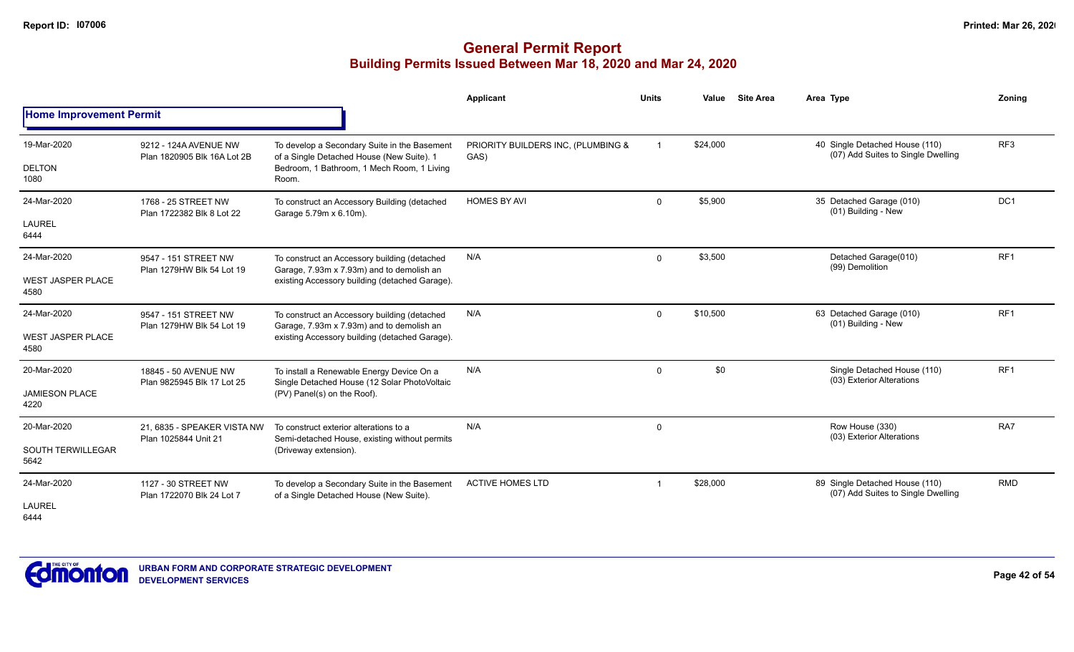|                                                 |                                                      |                                                                                                                                                  | Applicant                                  | <b>Units</b> | Value    | <b>Site Area</b> | Area Type                                                            | Zonina          |
|-------------------------------------------------|------------------------------------------------------|--------------------------------------------------------------------------------------------------------------------------------------------------|--------------------------------------------|--------------|----------|------------------|----------------------------------------------------------------------|-----------------|
| <b>Home Improvement Permit</b>                  |                                                      |                                                                                                                                                  |                                            |              |          |                  |                                                                      |                 |
| 19-Mar-2020<br><b>DELTON</b><br>1080            | 9212 - 124A AVENUE NW<br>Plan 1820905 Blk 16A Lot 2B | To develop a Secondary Suite in the Basement<br>of a Single Detached House (New Suite). 1<br>Bedroom, 1 Bathroom, 1 Mech Room, 1 Living<br>Room. | PRIORITY BUILDERS INC, (PLUMBING &<br>GAS) |              | \$24,000 |                  | 40 Single Detached House (110)<br>(07) Add Suites to Single Dwelling | RF3             |
| 24-Mar-2020<br><b>LAUREL</b><br>6444            | 1768 - 25 STREET NW<br>Plan 1722382 Blk 8 Lot 22     | To construct an Accessory Building (detached<br>Garage 5.79m x 6.10m).                                                                           | <b>HOMES BY AVI</b>                        | $\mathbf 0$  | \$5,900  |                  | 35 Detached Garage (010)<br>(01) Building - New                      | DC <sub>1</sub> |
| 24-Mar-2020<br><b>WEST JASPER PLACE</b><br>4580 | 9547 - 151 STREET NW<br>Plan 1279HW Blk 54 Lot 19    | To construct an Accessory building (detached<br>Garage, 7.93m x 7.93m) and to demolish an<br>existing Accessory building (detached Garage).      | N/A                                        | 0            | \$3,500  |                  | Detached Garage(010)<br>(99) Demolition                              | RF1             |
| 24-Mar-2020<br><b>WEST JASPER PLACE</b><br>4580 | 9547 - 151 STREET NW<br>Plan 1279HW Blk 54 Lot 19    | To construct an Accessory building (detached<br>Garage, 7.93m x 7.93m) and to demolish an<br>existing Accessory building (detached Garage).      | N/A                                        | $\mathbf 0$  | \$10,500 |                  | 63 Detached Garage (010)<br>(01) Building - New                      | RF1             |
| 20-Mar-2020<br><b>JAMIESON PLACE</b><br>4220    | 18845 - 50 AVENUE NW<br>Plan 9825945 Blk 17 Lot 25   | To install a Renewable Energy Device On a<br>Single Detached House (12 Solar PhotoVoltaic<br>(PV) Panel(s) on the Roof).                         | N/A                                        | $\mathbf 0$  | \$0      |                  | Single Detached House (110)<br>(03) Exterior Alterations             | RF <sub>1</sub> |
| 20-Mar-2020<br>SOUTH TERWILLEGAR<br>5642        | 21, 6835 - SPEAKER VISTA NW<br>Plan 1025844 Unit 21  | To construct exterior alterations to a<br>Semi-detached House, existing without permits<br>(Driveway extension).                                 | N/A                                        | 0            |          |                  | Row House (330)<br>(03) Exterior Alterations                         | RA7             |
| 24-Mar-2020<br><b>LAUREL</b><br>6444            | 1127 - 30 STREET NW<br>Plan 1722070 Blk 24 Lot 7     | To develop a Secondary Suite in the Basement<br>of a Single Detached House (New Suite).                                                          | <b>ACTIVE HOMES LTD</b>                    |              | \$28,000 |                  | 89 Single Detached House (110)<br>(07) Add Suites to Single Dwelling | <b>RMD</b>      |

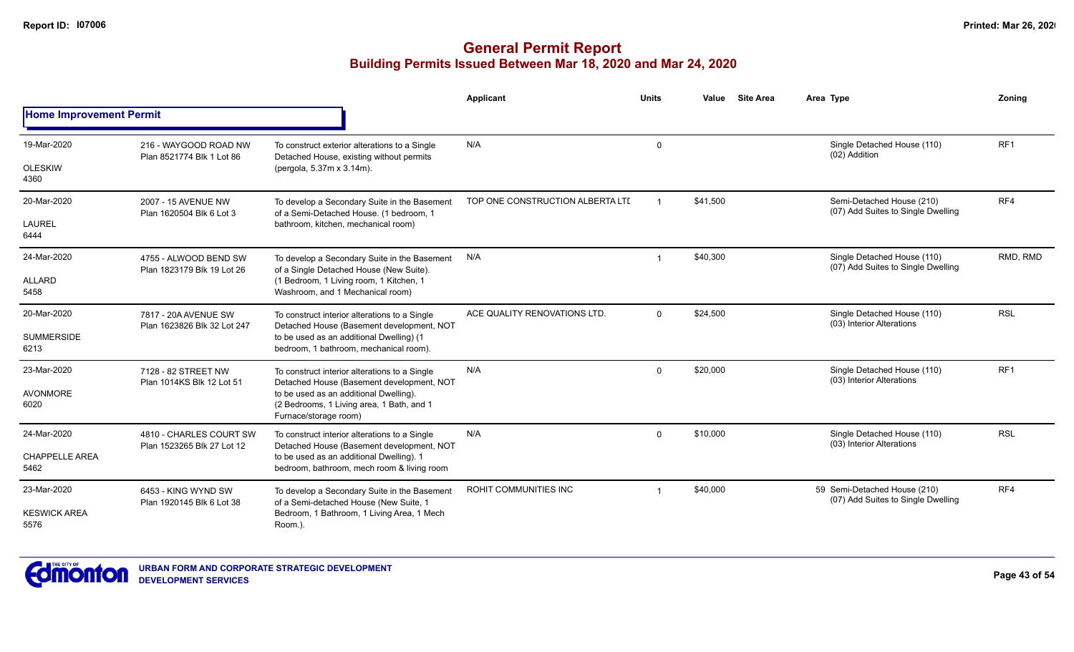## **General Permit Report Building Permits Issued Between Mar 18, 2020 and Mar 24, 2020**

|                                |                                                     |                                                                                                              | Applicant                        | Units          | Value    | <b>Site Area</b> | Area Type                                                          | Zonina          |
|--------------------------------|-----------------------------------------------------|--------------------------------------------------------------------------------------------------------------|----------------------------------|----------------|----------|------------------|--------------------------------------------------------------------|-----------------|
| <b>Home Improvement Permit</b> |                                                     |                                                                                                              |                                  |                |          |                  |                                                                    |                 |
| 19-Mar-2020                    | 216 - WAYGOOD ROAD NW<br>Plan 8521774 Blk 1 Lot 86  | To construct exterior alterations to a Single<br>Detached House, existing without permits                    | N/A                              | $\Omega$       |          |                  | Single Detached House (110)<br>(02) Addition                       | RF <sub>1</sub> |
| <b>OLESKIW</b><br>4360         |                                                     | (pergola, 5.37m x 3.14m).                                                                                    |                                  |                |          |                  |                                                                    |                 |
| 20-Mar-2020                    | 2007 - 15 AVENUE NW<br>Plan 1620504 Blk 6 Lot 3     | To develop a Secondary Suite in the Basement<br>of a Semi-Detached House. (1 bedroom, 1                      | TOP ONE CONSTRUCTION ALBERTA LTD | $\mathbf 1$    | \$41,500 |                  | Semi-Detached House (210)<br>(07) Add Suites to Single Dwelling    | RF4             |
| LAUREL<br>6444                 |                                                     | bathroom, kitchen, mechanical room)                                                                          |                                  |                |          |                  |                                                                    |                 |
| 24-Mar-2020                    | 4755 - ALWOOD BEND SW<br>Plan 1823179 Blk 19 Lot 26 | To develop a Secondary Suite in the Basement<br>of a Single Detached House (New Suite).                      | N/A                              | $\overline{1}$ | \$40,300 |                  | Single Detached House (110)<br>(07) Add Suites to Single Dwelling  | RMD, RMD        |
| ALLARD<br>5458                 |                                                     | (1 Bedroom, 1 Living room, 1 Kitchen, 1<br>Washroom, and 1 Mechanical room)                                  |                                  |                |          |                  |                                                                    |                 |
| 20-Mar-2020                    | 7817 - 20A AVENUE SW<br>Plan 1623826 Blk 32 Lot 247 | To construct interior alterations to a Single<br>Detached House (Basement development, NOT                   | ACE QUALITY RENOVATIONS LTD.     | $\Omega$       | \$24,500 |                  | Single Detached House (110)<br>(03) Interior Alterations           | <b>RSL</b>      |
| <b>SUMMERSIDE</b><br>6213      |                                                     | to be used as an additional Dwelling) (1<br>bedroom, 1 bathroom, mechanical room).                           |                                  |                |          |                  |                                                                    |                 |
| 23-Mar-2020                    | 7128 - 82 STREET NW<br>Plan 1014KS Blk 12 Lot 51    | To construct interior alterations to a Single<br>Detached House (Basement development, NOT                   | N/A                              | $\Omega$       | \$20,000 |                  | Single Detached House (110)<br>(03) Interior Alterations           | RF <sub>1</sub> |
| <b>AVONMORE</b><br>6020        |                                                     | to be used as an additional Dwelling).<br>(2 Bedrooms, 1 Living area, 1 Bath, and 1<br>Furnace/storage room) |                                  |                |          |                  |                                                                    |                 |
| 24-Mar-2020                    | 4810 - CHARLES COURT SW                             | To construct interior alterations to a Single<br>Detached House (Basement development, NOT                   | N/A                              | $\Omega$       | \$10,000 |                  | Single Detached House (110)<br>(03) Interior Alterations           | <b>RSL</b>      |
| <b>CHAPPELLE AREA</b><br>5462  | Plan 1523265 Blk 27 Lot 12                          | to be used as an additional Dwelling). 1<br>bedroom, bathroom, mech room & living room                       |                                  |                |          |                  |                                                                    |                 |
| 23-Mar-2020                    | 6453 - KING WYND SW<br>Plan 1920145 Blk 6 Lot 38    | To develop a Secondary Suite in the Basement<br>of a Semi-detached House (New Suite, 1                       | ROHIT COMMUNITIES INC            |                | \$40,000 |                  | 59 Semi-Detached House (210)<br>(07) Add Suites to Single Dwelling | RF4             |
| <b>KESWICK AREA</b><br>5576    |                                                     | Bedroom, 1 Bathroom, 1 Living Area, 1 Mech<br>Room.).                                                        |                                  |                |          |                  |                                                                    |                 |



**Page 43 of 54**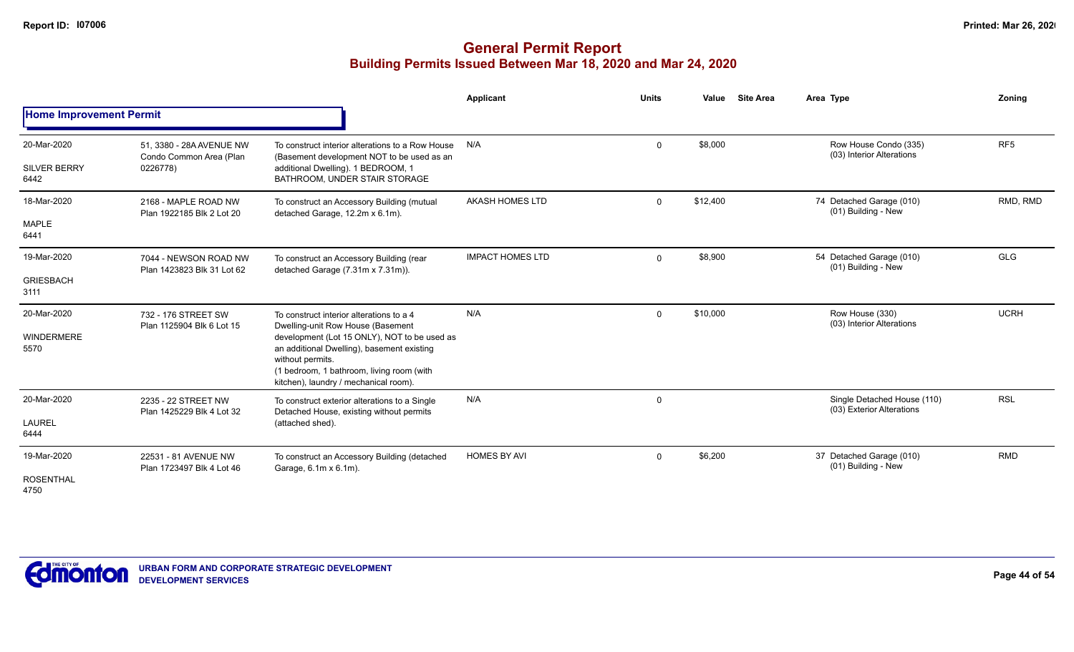|                                |                                                     |                                                                                                                                                                                                      | Applicant               | Units       | Value    | <b>Site Area</b> | Area Type                                                | Zoning          |
|--------------------------------|-----------------------------------------------------|------------------------------------------------------------------------------------------------------------------------------------------------------------------------------------------------------|-------------------------|-------------|----------|------------------|----------------------------------------------------------|-----------------|
| <b>Home Improvement Permit</b> |                                                     |                                                                                                                                                                                                      |                         |             |          |                  |                                                          |                 |
| 20-Mar-2020                    | 51, 3380 - 28A AVENUE NW<br>Condo Common Area (Plan | To construct interior alterations to a Row House<br>(Basement development NOT to be used as an                                                                                                       | N/A                     | $\mathbf 0$ | \$8,000  |                  | Row House Condo (335)<br>(03) Interior Alterations       | RF <sub>5</sub> |
| <b>SILVER BERRY</b><br>6442    | 0226778)                                            | additional Dwelling). 1 BEDROOM, 1<br>BATHROOM, UNDER STAIR STORAGE                                                                                                                                  |                         |             |          |                  |                                                          |                 |
| 18-Mar-2020                    | 2168 - MAPLE ROAD NW<br>Plan 1922185 Blk 2 Lot 20   | To construct an Accessory Building (mutual<br>detached Garage, 12.2m x 6.1m).                                                                                                                        | AKASH HOMES LTD         | $\Omega$    | \$12,400 |                  | 74 Detached Garage (010)<br>(01) Building - New          | RMD, RMD        |
| MAPLE<br>6441                  |                                                     |                                                                                                                                                                                                      |                         |             |          |                  |                                                          |                 |
| 19-Mar-2020                    | 7044 - NEWSON ROAD NW<br>Plan 1423823 Blk 31 Lot 62 | To construct an Accessory Building (rear<br>detached Garage (7.31m x 7.31m)).                                                                                                                        | <b>IMPACT HOMES LTD</b> | $\Omega$    | \$8,900  |                  | 54 Detached Garage (010)<br>(01) Building - New          | <b>GLG</b>      |
| <b>GRIESBACH</b><br>3111       |                                                     |                                                                                                                                                                                                      |                         |             |          |                  |                                                          |                 |
| 20-Mar-2020                    | 732 - 176 STREET SW<br>Plan 1125904 Blk 6 Lot 15    | To construct interior alterations to a 4<br>Dwelling-unit Row House (Basement                                                                                                                        | N/A                     | $\Omega$    | \$10,000 |                  | Row House (330)<br>(03) Interior Alterations             | <b>UCRH</b>     |
| <b>WINDERMERE</b><br>5570      |                                                     | development (Lot 15 ONLY), NOT to be used as<br>an additional Dwelling), basement existing<br>without permits.<br>(1 bedroom, 1 bathroom, living room (with<br>kitchen), laundry / mechanical room). |                         |             |          |                  |                                                          |                 |
| 20-Mar-2020                    | 2235 - 22 STREET NW<br>Plan 1425229 Blk 4 Lot 32    | To construct exterior alterations to a Single<br>Detached House, existing without permits                                                                                                            | N/A                     | $\Omega$    |          |                  | Single Detached House (110)<br>(03) Exterior Alterations | <b>RSL</b>      |
| <b>LAUREL</b><br>6444          |                                                     | (attached shed).                                                                                                                                                                                     |                         |             |          |                  |                                                          |                 |
| 19-Mar-2020                    | 22531 - 81 AVENUE NW<br>Plan 1723497 Blk 4 Lot 46   | To construct an Accessory Building (detached<br>Garage, 6.1m x 6.1m).                                                                                                                                | <b>HOMES BY AVI</b>     | $\Omega$    | \$6,200  |                  | 37 Detached Garage (010)<br>(01) Building - New          | <b>RMD</b>      |
| <b>ROSENTHAL</b><br>4750       |                                                     |                                                                                                                                                                                                      |                         |             |          |                  |                                                          |                 |

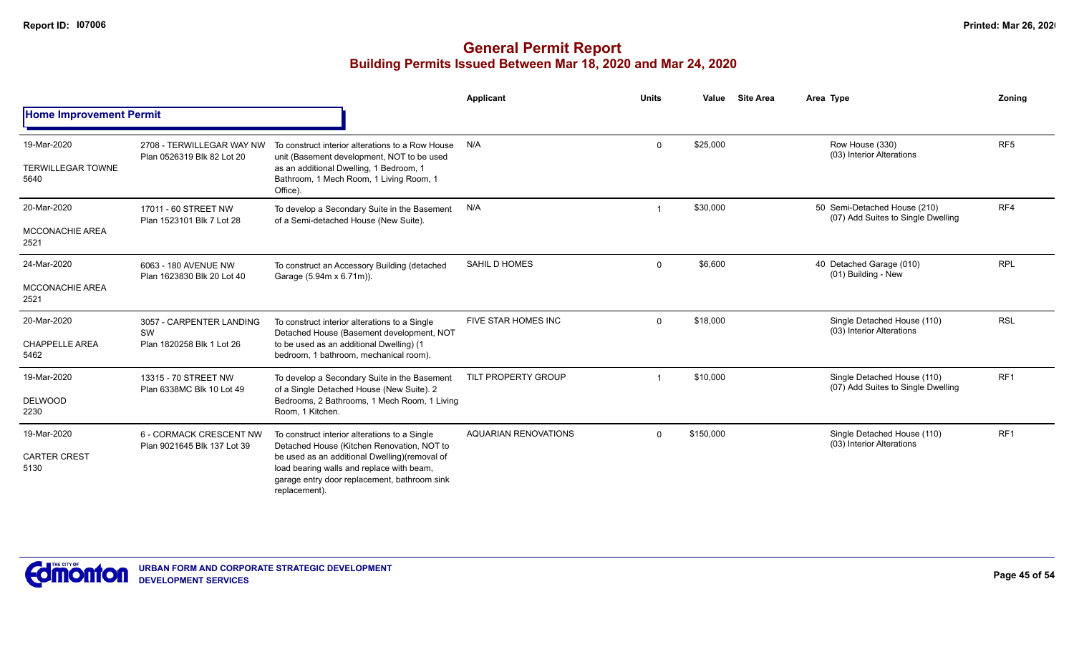|                                                 |                                                             |                                                                                                                                                                                                                                                            | Applicant                   | <b>Units</b> | Value     | <b>Site Area</b> | Area Type                                                          | <b>Zoning</b>   |
|-------------------------------------------------|-------------------------------------------------------------|------------------------------------------------------------------------------------------------------------------------------------------------------------------------------------------------------------------------------------------------------------|-----------------------------|--------------|-----------|------------------|--------------------------------------------------------------------|-----------------|
| <b>Home Improvement Permit</b>                  |                                                             |                                                                                                                                                                                                                                                            |                             |              |           |                  |                                                                    |                 |
| 19-Mar-2020<br><b>TERWILLEGAR TOWNE</b><br>5640 | 2708 - TERWILLEGAR WAY NW<br>Plan 0526319 Blk 82 Lot 20     | To construct interior alterations to a Row House<br>unit (Basement development, NOT to be used<br>as an additional Dwelling, 1 Bedroom, 1<br>Bathroom, 1 Mech Room, 1 Living Room, 1<br>Office).                                                           | N/A                         | $\Omega$     | \$25,000  |                  | Row House (330)<br>(03) Interior Alterations                       | RF <sub>5</sub> |
| 20-Mar-2020<br><b>MCCONACHIE AREA</b><br>2521   | 17011 - 60 STREET NW<br>Plan 1523101 Blk 7 Lot 28           | To develop a Secondary Suite in the Basement<br>of a Semi-detached House (New Suite).                                                                                                                                                                      | N/A                         |              | \$30,000  |                  | 50 Semi-Detached House (210)<br>(07) Add Suites to Single Dwelling | RF4             |
| 24-Mar-2020<br><b>MCCONACHIE AREA</b><br>2521   | 6063 - 180 AVENUE NW<br>Plan 1623830 Blk 20 Lot 40          | To construct an Accessory Building (detached<br>Garage (5.94m x 6.71m)).                                                                                                                                                                                   | <b>SAHIL D HOMES</b>        | $\mathbf{0}$ | \$6,600   |                  | 40 Detached Garage (010)<br>(01) Building - New                    | <b>RPL</b>      |
| 20-Mar-2020<br><b>CHAPPELLE AREA</b><br>5462    | 3057 - CARPENTER LANDING<br>SW<br>Plan 1820258 Blk 1 Lot 26 | To construct interior alterations to a Single<br>Detached House (Basement development, NOT<br>to be used as an additional Dwelling) (1<br>bedroom, 1 bathroom, mechanical room).                                                                           | <b>FIVE STAR HOMES INC</b>  | $\Omega$     | \$18,000  |                  | Single Detached House (110)<br>(03) Interior Alterations           | <b>RSL</b>      |
| 19-Mar-2020<br><b>DELWOOD</b><br>2230           | 13315 - 70 STREET NW<br>Plan 6338MC Blk 10 Lot 49           | To develop a Secondary Suite in the Basement<br>of a Single Detached House (New Suite). 2<br>Bedrooms, 2 Bathrooms, 1 Mech Room, 1 Living<br>Room, 1 Kitchen.                                                                                              | <b>TILT PROPERTY GROUP</b>  |              | \$10,000  |                  | Single Detached House (110)<br>(07) Add Suites to Single Dwelling  | RF <sub>1</sub> |
| 19-Mar-2020<br><b>CARTER CREST</b><br>5130      | 6 - CORMACK CRESCENT NW<br>Plan 9021645 Blk 137 Lot 39      | To construct interior alterations to a Single<br>Detached House (Kitchen Renovation, NOT to<br>be used as an additional Dwelling)(removal of<br>load bearing walls and replace with beam,<br>garage entry door replacement, bathroom sink<br>replacement). | <b>AQUARIAN RENOVATIONS</b> | $\Omega$     | \$150,000 |                  | Single Detached House (110)<br>(03) Interior Alterations           | RF <sub>1</sub> |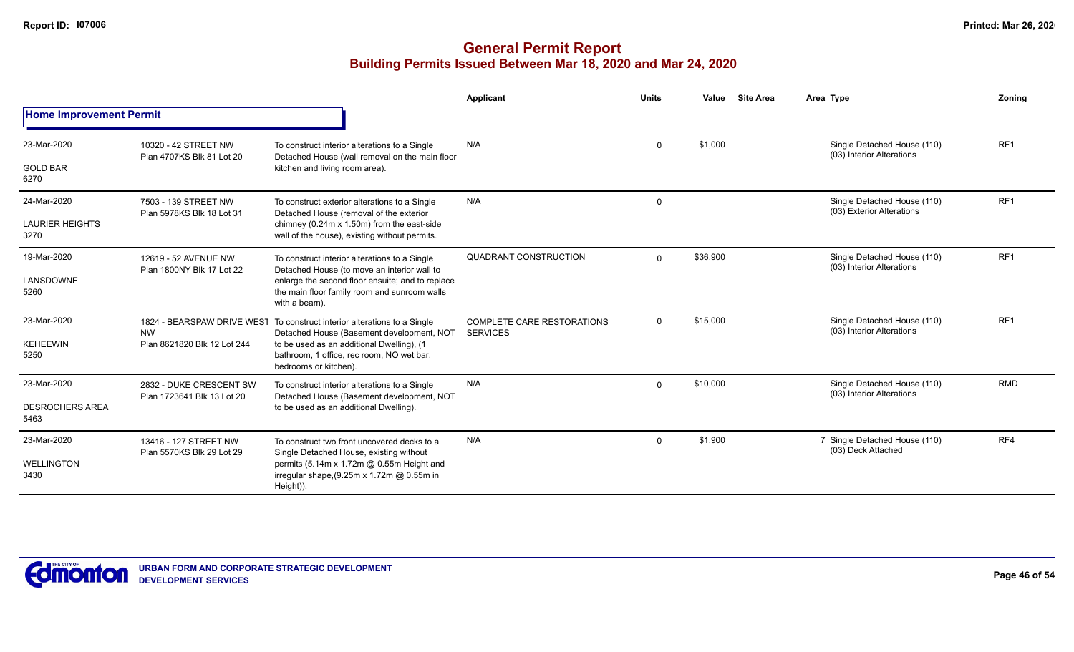|                                |                                                   |                                                                                                                       | <b>Applicant</b>                                     | <b>Units</b> | Value    | <b>Site Area</b> | Area Type                                                | Zonina          |
|--------------------------------|---------------------------------------------------|-----------------------------------------------------------------------------------------------------------------------|------------------------------------------------------|--------------|----------|------------------|----------------------------------------------------------|-----------------|
| <b>Home Improvement Permit</b> |                                                   |                                                                                                                       |                                                      |              |          |                  |                                                          |                 |
| 23-Mar-2020                    | 10320 - 42 STREET NW<br>Plan 4707KS Blk 81 Lot 20 | To construct interior alterations to a Single<br>Detached House (wall removal on the main floor                       | N/A                                                  | $\Omega$     | \$1,000  |                  | Single Detached House (110)<br>(03) Interior Alterations | RF <sub>1</sub> |
| <b>GOLD BAR</b><br>6270        |                                                   | kitchen and living room area).                                                                                        |                                                      |              |          |                  |                                                          |                 |
| 24-Mar-2020                    | 7503 - 139 STREET NW<br>Plan 5978KS Blk 18 Lot 31 | To construct exterior alterations to a Single<br>Detached House (removal of the exterior                              | N/A                                                  | $\mathbf 0$  |          |                  | Single Detached House (110)<br>(03) Exterior Alterations | RF <sub>1</sub> |
| <b>LAURIER HEIGHTS</b><br>3270 |                                                   | chimney (0.24m x 1.50m) from the east-side<br>wall of the house), existing without permits.                           |                                                      |              |          |                  |                                                          |                 |
| 19-Mar-2020                    | 12619 - 52 AVENUE NW<br>Plan 1800NY Blk 17 Lot 22 | To construct interior alterations to a Single<br>Detached House (to move an interior wall to                          | <b>QUADRANT CONSTRUCTION</b>                         | $\Omega$     | \$36,900 |                  | Single Detached House (110)<br>(03) Interior Alterations | RF <sub>1</sub> |
| LANSDOWNE<br>5260              |                                                   | enlarge the second floor ensuite; and to replace<br>the main floor family room and sunroom walls<br>with a beam).     |                                                      |              |          |                  |                                                          |                 |
| 23-Mar-2020                    | <b>NW</b>                                         | 1824 - BEARSPAW DRIVE WEST To construct interior alterations to a Single<br>Detached House (Basement development, NOT | <b>COMPLETE CARE RESTORATIONS</b><br><b>SERVICES</b> | $\Omega$     | \$15,000 |                  | Single Detached House (110)<br>(03) Interior Alterations | RF <sub>1</sub> |
| <b>KEHEEWIN</b><br>5250        | Plan 8621820 Blk 12 Lot 244                       | to be used as an additional Dwelling), (1<br>bathroom, 1 office, rec room, NO wet bar,<br>bedrooms or kitchen).       |                                                      |              |          |                  |                                                          |                 |
| 23-Mar-2020                    | 2832 - DUKE CRESCENT SW                           | To construct interior alterations to a Single<br>Detached House (Basement development, NOT                            | N/A                                                  | $\Omega$     | \$10,000 |                  | Single Detached House (110)<br>(03) Interior Alterations | <b>RMD</b>      |
| <b>DESROCHERS AREA</b><br>5463 | Plan 1723641 Blk 13 Lot 20                        | to be used as an additional Dwelling).                                                                                |                                                      |              |          |                  |                                                          |                 |
| 23-Mar-2020                    | 13416 - 127 STREET NW                             | To construct two front uncovered decks to a<br>Single Detached House, existing without                                | N/A                                                  | $\mathbf 0$  | \$1,900  |                  | 7 Single Detached House (110)<br>(03) Deck Attached      | RF4             |
| <b>WELLINGTON</b><br>3430      | Plan 5570KS Blk 29 Lot 29                         | permits (5.14m x 1.72m @ 0.55m Height and<br>irregular shape, (9.25m x 1.72m @ 0.55m in<br>Height)).                  |                                                      |              |          |                  |                                                          |                 |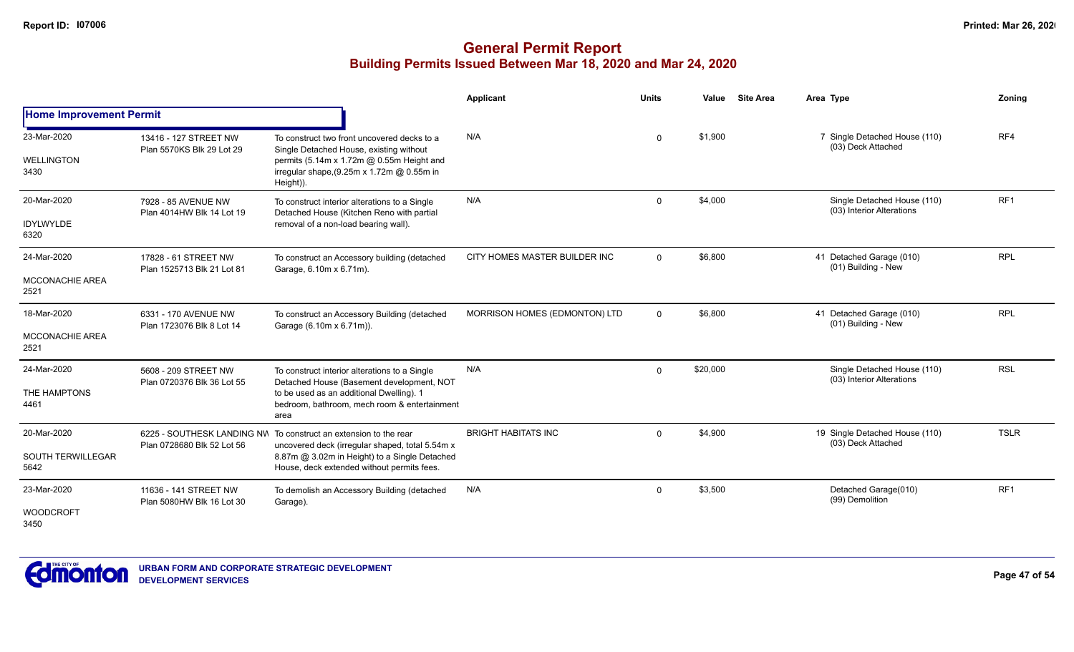|                                          |                                                    |                                                                                                                                                                                                | <b>Applicant</b>              | <b>Units</b> | Value    | <b>Site Area</b>    | Area Type                                                | <b>Zoning</b> |
|------------------------------------------|----------------------------------------------------|------------------------------------------------------------------------------------------------------------------------------------------------------------------------------------------------|-------------------------------|--------------|----------|---------------------|----------------------------------------------------------|---------------|
| <b>Home Improvement Permit</b>           |                                                    |                                                                                                                                                                                                |                               |              |          |                     |                                                          |               |
| 23-Mar-2020<br><b>WELLINGTON</b><br>3430 | 13416 - 127 STREET NW<br>Plan 5570KS Blk 29 Lot 29 | To construct two front uncovered decks to a<br>Single Detached House, existing without<br>permits (5.14m x 1.72m @ 0.55m Height and<br>irregular shape, (9.25m x 1.72m @ 0.55m in              | N/A                           | $\Omega$     | \$1,900  |                     | 7 Single Detached House (110)<br>(03) Deck Attached      | RF4           |
|                                          |                                                    | Height)).                                                                                                                                                                                      |                               |              |          |                     |                                                          |               |
| 20-Mar-2020<br><b>IDYLWYLDE</b><br>6320  | 7928 - 85 AVENUE NW<br>Plan 4014HW Blk 14 Lot 19   | To construct interior alterations to a Single<br>Detached House (Kitchen Reno with partial<br>removal of a non-load bearing wall).                                                             | N/A                           | $\Omega$     | \$4,000  |                     | Single Detached House (110)<br>(03) Interior Alterations | RF1           |
| 24-Mar-2020                              | 17828 - 61 STREET NW                               | To construct an Accessory building (detached                                                                                                                                                   | CITY HOMES MASTER BUILDER INC | $\mathbf 0$  | \$6,800  |                     | 41 Detached Garage (010)                                 | <b>RPL</b>    |
| MCCONACHIE AREA<br>2521                  | Plan 1525713 Blk 21 Lot 81                         | Garage, 6.10m x 6.71m).                                                                                                                                                                        |                               |              |          | (01) Building - New |                                                          |               |
| 18-Mar-2020                              | 6331 - 170 AVENUE NW                               | To construct an Accessory Building (detached                                                                                                                                                   | MORRISON HOMES (EDMONTON) LTD | $\Omega$     | \$6,800  |                     | 41 Detached Garage (010)<br>(01) Building - New          | <b>RPL</b>    |
| MCCONACHIE AREA<br>2521                  | Plan 1723076 Blk 8 Lot 14                          | Garage (6.10m x 6.71m)).                                                                                                                                                                       |                               |              |          |                     |                                                          |               |
| 24-Mar-2020<br>THE HAMPTONS<br>4461      | 5608 - 209 STREET NW<br>Plan 0720376 Blk 36 Lot 55 | To construct interior alterations to a Single<br>Detached House (Basement development, NOT<br>to be used as an additional Dwelling). 1<br>bedroom, bathroom, mech room & entertainment<br>area | N/A                           | $\Omega$     | \$20,000 |                     | Single Detached House (110)<br>(03) Interior Alterations | <b>RSL</b>    |
| 20-Mar-2020                              | 6225 - SOUTHESK LANDING NW                         | To construct an extension to the rear                                                                                                                                                          | <b>BRIGHT HABITATS INC</b>    | $\mathbf 0$  | \$4,900  |                     | 19 Single Detached House (110)                           | <b>TSLR</b>   |
| SOUTH TERWILLEGAR<br>5642                | Plan 0728680 Blk 52 Lot 56                         | uncovered deck (irregular shaped, total 5.54m x<br>8.87m @ 3.02m in Height) to a Single Detached<br>House, deck extended without permits fees.                                                 |                               |              |          |                     | (03) Deck Attached                                       |               |
| 23-Mar-2020                              | 11636 - 141 STREET NW<br>Plan 5080HW Blk 16 Lot 30 | To demolish an Accessory Building (detached<br>Garage).                                                                                                                                        | N/A                           | $\Omega$     | \$3,500  |                     | Detached Garage(010)<br>(99) Demolition                  | RF1           |
| <b>WOODCROFT</b><br>3450                 |                                                    |                                                                                                                                                                                                |                               |              |          |                     |                                                          |               |

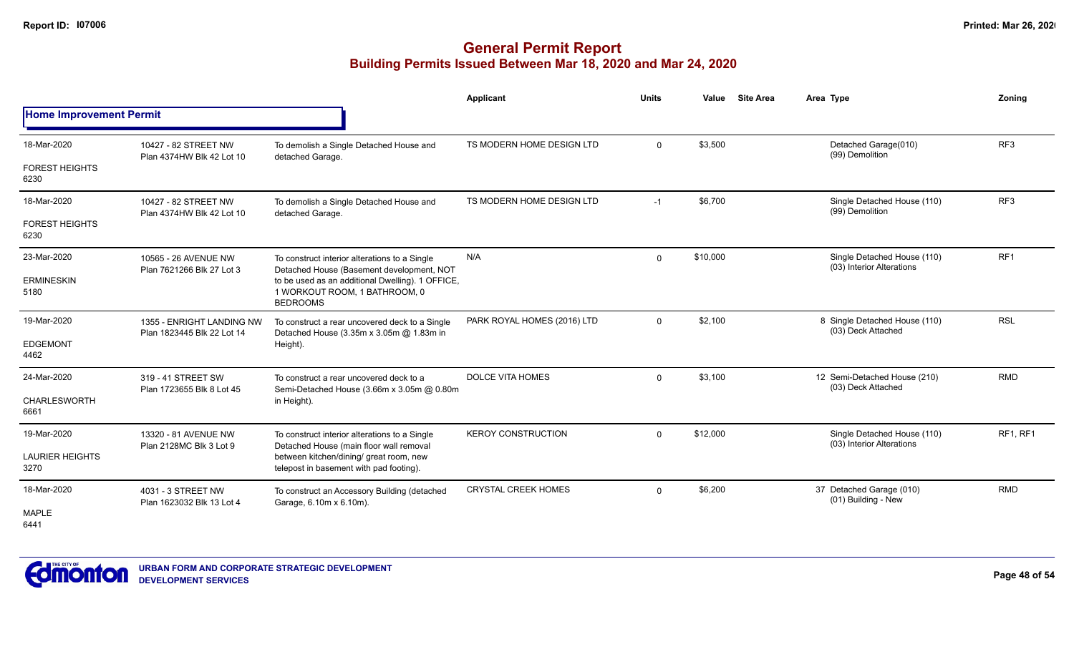|                                |                                                         |                                                                                                      | Applicant                   | <b>Units</b> | Value    | <b>Site Area</b> | Area Type                                                | Zoning          |
|--------------------------------|---------------------------------------------------------|------------------------------------------------------------------------------------------------------|-----------------------------|--------------|----------|------------------|----------------------------------------------------------|-----------------|
| <b>Home Improvement Permit</b> |                                                         |                                                                                                      |                             |              |          |                  |                                                          |                 |
| 18-Mar-2020                    | 10427 - 82 STREET NW<br>Plan 4374HW Blk 42 Lot 10       | To demolish a Single Detached House and<br>detached Garage.                                          | TS MODERN HOME DESIGN LTD   | $\mathbf{0}$ | \$3,500  |                  | Detached Garage(010)<br>(99) Demolition                  | RF <sub>3</sub> |
| <b>FOREST HEIGHTS</b><br>6230  |                                                         |                                                                                                      |                             |              |          |                  |                                                          |                 |
| 18-Mar-2020                    | 10427 - 82 STREET NW<br>Plan 4374HW Blk 42 Lot 10       | To demolish a Single Detached House and<br>detached Garage.                                          | TS MODERN HOME DESIGN LTD   | $-1$         | \$6,700  |                  | Single Detached House (110)<br>(99) Demolition           | RF <sub>3</sub> |
| <b>FOREST HEIGHTS</b><br>6230  |                                                         |                                                                                                      |                             |              |          |                  |                                                          |                 |
| 23-Mar-2020                    | 10565 - 26 AVENUE NW<br>Plan 7621266 Blk 27 Lot 3       | To construct interior alterations to a Single<br>Detached House (Basement development, NOT           | N/A                         | $\mathbf 0$  | \$10,000 |                  | Single Detached House (110)<br>(03) Interior Alterations | RF <sub>1</sub> |
| <b>ERMINESKIN</b><br>5180      |                                                         | to be used as an additional Dwelling). 1 OFFICE,<br>1 WORKOUT ROOM, 1 BATHROOM, 0<br><b>BEDROOMS</b> |                             |              |          |                  |                                                          |                 |
| 19-Mar-2020                    | 1355 - ENRIGHT LANDING NW<br>Plan 1823445 Blk 22 Lot 14 | To construct a rear uncovered deck to a Single<br>Detached House (3.35m x 3.05m @ 1.83m in           | PARK ROYAL HOMES (2016) LTD | $\mathbf 0$  | \$2,100  |                  | 8 Single Detached House (110)<br>(03) Deck Attached      | <b>RSL</b>      |
| <b>EDGEMONT</b><br>4462        |                                                         | Height).                                                                                             |                             |              |          |                  |                                                          |                 |
| 24-Mar-2020                    | 319 - 41 STREET SW<br>Plan 1723655 Blk 8 Lot 45         | To construct a rear uncovered deck to a<br>Semi-Detached House (3.66m x 3.05m @ 0.80m                | DOLCE VITA HOMES            | $\Omega$     | \$3,100  |                  | 12 Semi-Detached House (210)<br>(03) Deck Attached       | <b>RMD</b>      |
| <b>CHARLESWORTH</b><br>6661    |                                                         | in Height).                                                                                          |                             |              |          |                  |                                                          |                 |
| 19-Mar-2020                    | 13320 - 81 AVENUE NW                                    | To construct interior alterations to a Single<br>Detached House (main floor wall removal             | <b>KEROY CONSTRUCTION</b>   | $\Omega$     | \$12,000 |                  | Single Detached House (110)<br>(03) Interior Alterations | <b>RF1, RF1</b> |
| <b>LAURIER HEIGHTS</b><br>3270 | Plan 2128MC Blk 3 Lot 9                                 | between kitchen/dining/ great room, new<br>telepost in basement with pad footing).                   |                             |              |          |                  |                                                          |                 |
| 18-Mar-2020                    | 4031 - 3 STREET NW<br>Plan 1623032 Blk 13 Lot 4         | To construct an Accessory Building (detached<br>Garage, 6.10m x 6.10m).                              | <b>CRYSTAL CREEK HOMES</b>  | $\Omega$     | \$6,200  |                  | 37 Detached Garage (010)<br>(01) Building - New          | <b>RMD</b>      |
| <b>MAPLE</b><br>6441           |                                                         |                                                                                                      |                             |              |          |                  |                                                          |                 |

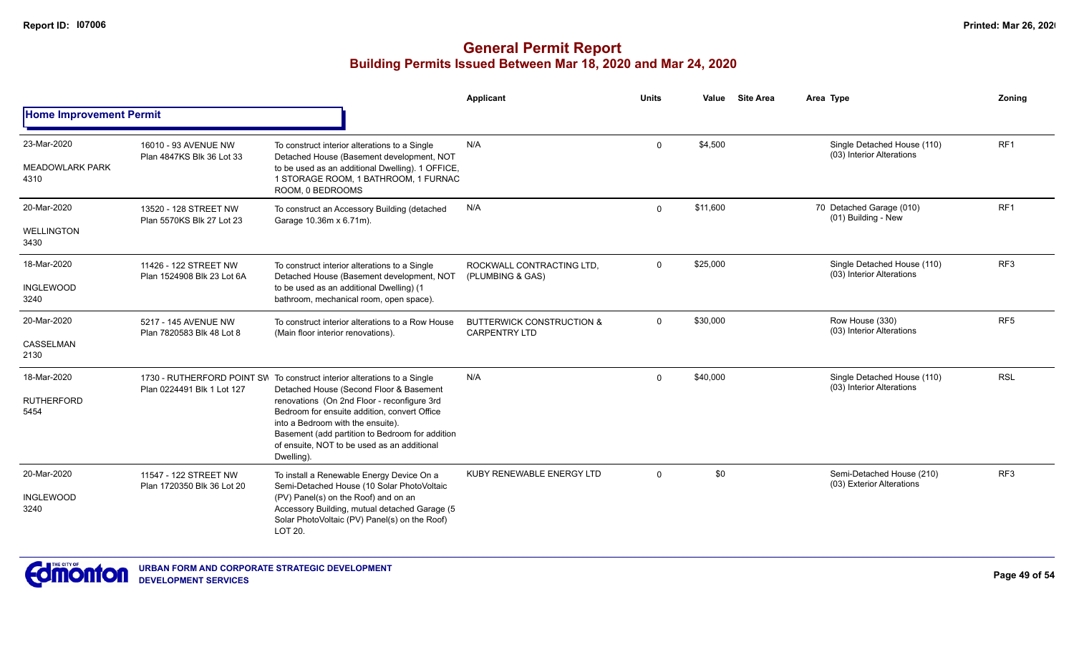|                                               |                                                     |                                                                                                                                                                                                                                                                                                                                                                        | Applicant                                                    | <b>Units</b> | Value    | <b>Site Area</b> | Area Type                                                | Zoning          |
|-----------------------------------------------|-----------------------------------------------------|------------------------------------------------------------------------------------------------------------------------------------------------------------------------------------------------------------------------------------------------------------------------------------------------------------------------------------------------------------------------|--------------------------------------------------------------|--------------|----------|------------------|----------------------------------------------------------|-----------------|
| <b>Home Improvement Permit</b>                |                                                     |                                                                                                                                                                                                                                                                                                                                                                        |                                                              |              |          |                  |                                                          |                 |
| 23-Mar-2020<br><b>MEADOWLARK PARK</b><br>4310 | 16010 - 93 AVENUE NW<br>Plan 4847KS Blk 36 Lot 33   | To construct interior alterations to a Single<br>Detached House (Basement development, NOT<br>to be used as an additional Dwelling). 1 OFFICE,<br>1 STORAGE ROOM, 1 BATHROOM, 1 FURNAC<br>ROOM. 0 BEDROOMS                                                                                                                                                             | N/A                                                          | $\Omega$     | \$4,500  |                  | Single Detached House (110)<br>(03) Interior Alterations | RF <sub>1</sub> |
| 20-Mar-2020<br><b>WELLINGTON</b><br>3430      | 13520 - 128 STREET NW<br>Plan 5570KS Blk 27 Lot 23  | To construct an Accessory Building (detached<br>Garage 10.36m x 6.71m).                                                                                                                                                                                                                                                                                                | N/A                                                          | $\Omega$     | \$11,600 |                  | 70 Detached Garage (010)<br>(01) Building - New          | RF <sub>1</sub> |
| 18-Mar-2020<br><b>INGLEWOOD</b><br>3240       | 11426 - 122 STREET NW<br>Plan 1524908 Blk 23 Lot 6A | To construct interior alterations to a Single<br>Detached House (Basement development, NOT<br>to be used as an additional Dwelling) (1<br>bathroom, mechanical room, open space).                                                                                                                                                                                      | ROCKWALL CONTRACTING LTD.<br>(PLUMBING & GAS)                | $\mathbf 0$  | \$25,000 |                  | Single Detached House (110)<br>(03) Interior Alterations | RF3             |
| 20-Mar-2020<br>CASSELMAN<br>2130              | 5217 - 145 AVENUE NW<br>Plan 7820583 Blk 48 Lot 8   | To construct interior alterations to a Row House<br>(Main floor interior renovations).                                                                                                                                                                                                                                                                                 | <b>BUTTERWICK CONSTRUCTION &amp;</b><br><b>CARPENTRY LTD</b> | $\mathbf 0$  | \$30,000 |                  | Row House (330)<br>(03) Interior Alterations             | RF <sub>5</sub> |
| 18-Mar-2020<br><b>RUTHERFORD</b><br>5454      | Plan 0224491 Blk 1 Lot 127                          | 1730 - RUTHERFORD POINT SW To construct interior alterations to a Single<br>Detached House (Second Floor & Basement<br>renovations (On 2nd Floor - reconfigure 3rd<br>Bedroom for ensuite addition, convert Office<br>into a Bedroom with the ensuite).<br>Basement (add partition to Bedroom for addition<br>of ensuite, NOT to be used as an additional<br>Dwelling) | N/A                                                          | $\mathbf 0$  | \$40,000 |                  | Single Detached House (110)<br>(03) Interior Alterations | <b>RSL</b>      |
| 20-Mar-2020<br><b>INGLEWOOD</b><br>3240       | 11547 - 122 STREET NW<br>Plan 1720350 Blk 36 Lot 20 | To install a Renewable Energy Device On a<br>Semi-Detached House (10 Solar PhotoVoltaic<br>(PV) Panel(s) on the Roof) and on an<br>Accessory Building, mutual detached Garage (5<br>Solar PhotoVoltaic (PV) Panel(s) on the Roof)<br>LOT 20.                                                                                                                           | KUBY RENEWABLE ENERGY LTD                                    | $\Omega$     | \$0      |                  | Semi-Detached House (210)<br>(03) Exterior Alterations   | RF <sub>3</sub> |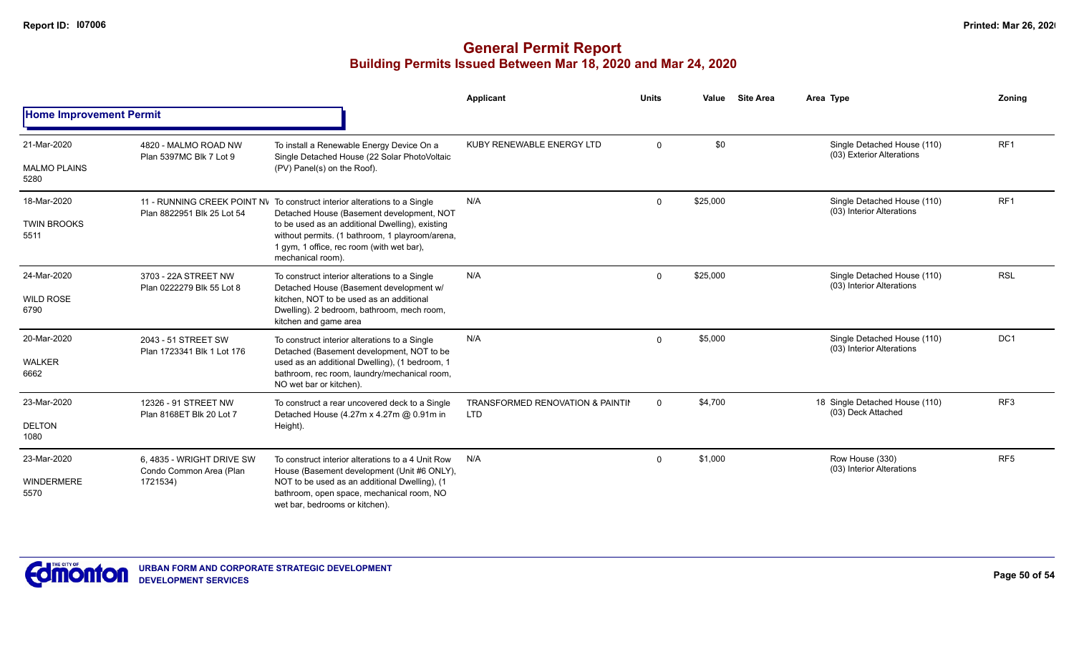|                                            |                                                                  |                                                                                                                                                                                                                                                                                                | Applicant                                      | <b>Units</b> | Value    | <b>Site Area</b> | Area Type                                                | Zoning          |
|--------------------------------------------|------------------------------------------------------------------|------------------------------------------------------------------------------------------------------------------------------------------------------------------------------------------------------------------------------------------------------------------------------------------------|------------------------------------------------|--------------|----------|------------------|----------------------------------------------------------|-----------------|
| <b>Home Improvement Permit</b>             |                                                                  |                                                                                                                                                                                                                                                                                                |                                                |              |          |                  |                                                          |                 |
| 21-Mar-2020<br><b>MALMO PLAINS</b><br>5280 | 4820 - MALMO ROAD NW<br>Plan 5397MC Blk 7 Lot 9                  | To install a Renewable Energy Device On a<br>Single Detached House (22 Solar PhotoVoltaic<br>(PV) Panel(s) on the Roof).                                                                                                                                                                       | KUBY RENEWABLE ENERGY LTD                      | $\Omega$     | \$0      |                  | Single Detached House (110)<br>(03) Exterior Alterations | RF <sub>1</sub> |
| 18-Mar-2020<br><b>TWIN BROOKS</b><br>5511  | Plan 8822951 Blk 25 Lot 54                                       | 11 - RUNNING CREEK POINT NV To construct interior alterations to a Single<br>Detached House (Basement development, NOT<br>to be used as an additional Dwelling), existing<br>without permits. (1 bathroom, 1 playroom/arena,<br>1 gym, 1 office, rec room (with wet bar),<br>mechanical room). | N/A                                            | $\mathbf 0$  | \$25,000 |                  | Single Detached House (110)<br>(03) Interior Alterations | RF <sub>1</sub> |
| 24-Mar-2020<br><b>WILD ROSE</b><br>6790    | 3703 - 22A STREET NW<br>Plan 0222279 Blk 55 Lot 8                | To construct interior alterations to a Single<br>Detached House (Basement development w/<br>kitchen. NOT to be used as an additional<br>Dwelling). 2 bedroom, bathroom, mech room,<br>kitchen and game area                                                                                    | N/A                                            | $\Omega$     | \$25,000 |                  | Single Detached House (110)<br>(03) Interior Alterations | <b>RSL</b>      |
| 20-Mar-2020<br><b>WALKER</b><br>6662       | 2043 - 51 STREET SW<br>Plan 1723341 Blk 1 Lot 176                | To construct interior alterations to a Single<br>Detached (Basement development, NOT to be<br>used as an additional Dwelling), (1 bedroom, 1<br>bathroom, rec room, laundry/mechanical room,<br>NO wet bar or kitchen).                                                                        | N/A                                            | $\Omega$     | \$5,000  |                  | Single Detached House (110)<br>(03) Interior Alterations | DC <sub>1</sub> |
| 23-Mar-2020<br><b>DELTON</b><br>1080       | 12326 - 91 STREET NW<br>Plan 8168ET Blk 20 Lot 7                 | To construct a rear uncovered deck to a Single<br>Detached House (4.27m x 4.27m @ 0.91m in<br>Height).                                                                                                                                                                                         | TRANSFORMED RENOVATION & PAINTIL<br><b>LTD</b> | $\mathbf 0$  | \$4,700  |                  | 18 Single Detached House (110)<br>(03) Deck Attached     | RF3             |
| 23-Mar-2020<br><b>WINDERMERE</b><br>5570   | 6, 4835 - WRIGHT DRIVE SW<br>Condo Common Area (Plan<br>1721534) | To construct interior alterations to a 4 Unit Row<br>House (Basement development (Unit #6 ONLY),<br>NOT to be used as an additional Dwelling), (1<br>bathroom, open space, mechanical room, NO<br>wet bar, bedrooms or kitchen).                                                               | N/A                                            | $\mathbf 0$  | \$1,000  |                  | Row House (330)<br>(03) Interior Alterations             | RF <sub>5</sub> |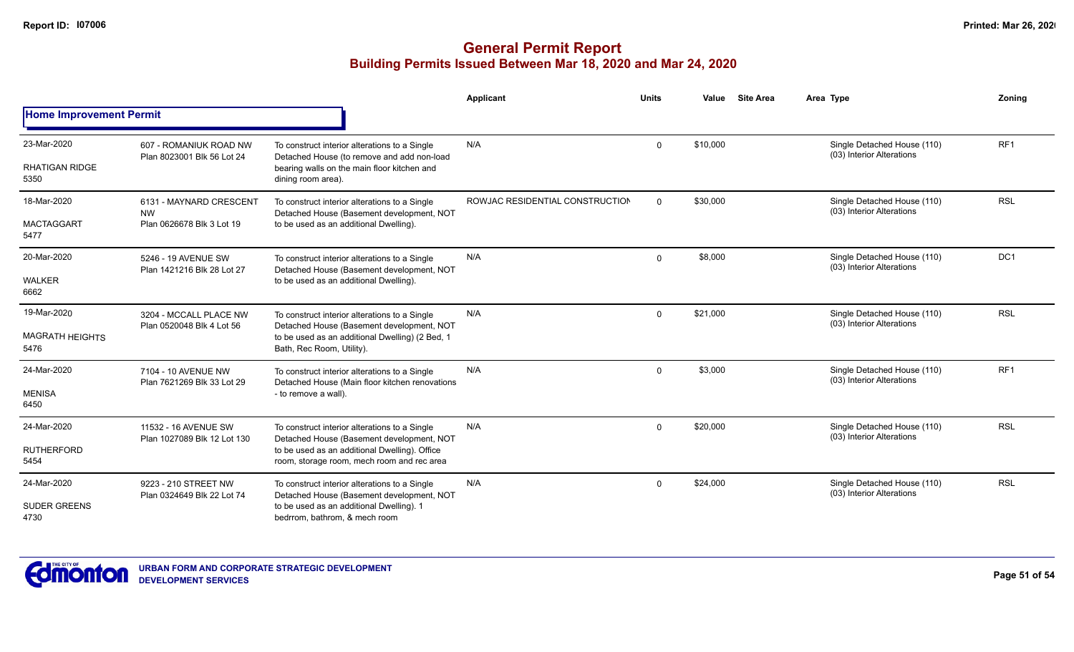|                                              |                                                                   |                                                                                                                                                                                           | <b>Applicant</b>                | <b>Units</b> | Value    | <b>Site Area</b> | Area Type                                                | Zoning          |
|----------------------------------------------|-------------------------------------------------------------------|-------------------------------------------------------------------------------------------------------------------------------------------------------------------------------------------|---------------------------------|--------------|----------|------------------|----------------------------------------------------------|-----------------|
| <b>Home Improvement Permit</b>               |                                                                   |                                                                                                                                                                                           |                                 |              |          |                  |                                                          |                 |
| 23-Mar-2020<br><b>RHATIGAN RIDGE</b><br>5350 | 607 - ROMANIUK ROAD NW<br>Plan 8023001 Blk 56 Lot 24              | To construct interior alterations to a Single<br>Detached House (to remove and add non-load<br>bearing walls on the main floor kitchen and<br>dining room area).                          | N/A                             | 0            | \$10,000 |                  | Single Detached House (110)<br>(03) Interior Alterations | RF <sub>1</sub> |
| 18-Mar-2020<br><b>MACTAGGART</b><br>5477     | 6131 - MAYNARD CRESCENT<br><b>NW</b><br>Plan 0626678 Blk 3 Lot 19 | To construct interior alterations to a Single<br>Detached House (Basement development, NOT<br>to be used as an additional Dwelling).                                                      | ROWJAC RESIDENTIAL CONSTRUCTION | $\Omega$     | \$30,000 |                  | Single Detached House (110)<br>(03) Interior Alterations | <b>RSL</b>      |
| 20-Mar-2020<br><b>WALKER</b><br>6662         | 5246 - 19 AVENUE SW<br>Plan 1421216 Blk 28 Lot 27                 | To construct interior alterations to a Single<br>Detached House (Basement development, NOT<br>to be used as an additional Dwelling).                                                      | N/A                             | 0            | \$8,000  |                  | Single Detached House (110)<br>(03) Interior Alterations | DC <sub>1</sub> |
| 19-Mar-2020<br>MAGRATH HEIGHTS<br>5476       | 3204 - MCCALL PLACE NW<br>Plan 0520048 Blk 4 Lot 56               | To construct interior alterations to a Single<br>Detached House (Basement development, NOT<br>to be used as an additional Dwelling) (2 Bed, 1<br>Bath, Rec Room, Utility).                | N/A                             | 0            | \$21,000 |                  | Single Detached House (110)<br>(03) Interior Alterations | <b>RSL</b>      |
| 24-Mar-2020<br><b>MENISA</b><br>6450         | 7104 - 10 AVENUE NW<br>Plan 7621269 Blk 33 Lot 29                 | To construct interior alterations to a Single<br>Detached House (Main floor kitchen renovations<br>- to remove a wall).                                                                   | N/A                             | $\mathbf 0$  | \$3,000  |                  | Single Detached House (110)<br>(03) Interior Alterations | RF <sub>1</sub> |
| 24-Mar-2020<br><b>RUTHERFORD</b><br>5454     | 11532 - 16 AVENUE SW<br>Plan 1027089 Blk 12 Lot 130               | To construct interior alterations to a Single<br>Detached House (Basement development, NOT<br>to be used as an additional Dwelling). Office<br>room, storage room, mech room and rec area | N/A                             | $\mathbf{0}$ | \$20,000 |                  | Single Detached House (110)<br>(03) Interior Alterations | <b>RSL</b>      |
| 24-Mar-2020<br><b>SUDER GREENS</b><br>4730   | 9223 - 210 STREET NW<br>Plan 0324649 Blk 22 Lot 74                | To construct interior alterations to a Single<br>Detached House (Basement development, NOT<br>to be used as an additional Dwelling). 1<br>bedrrom, bathrom, & mech room                   | N/A                             | $\mathbf{0}$ | \$24,000 |                  | Single Detached House (110)<br>(03) Interior Alterations | <b>RSL</b>      |

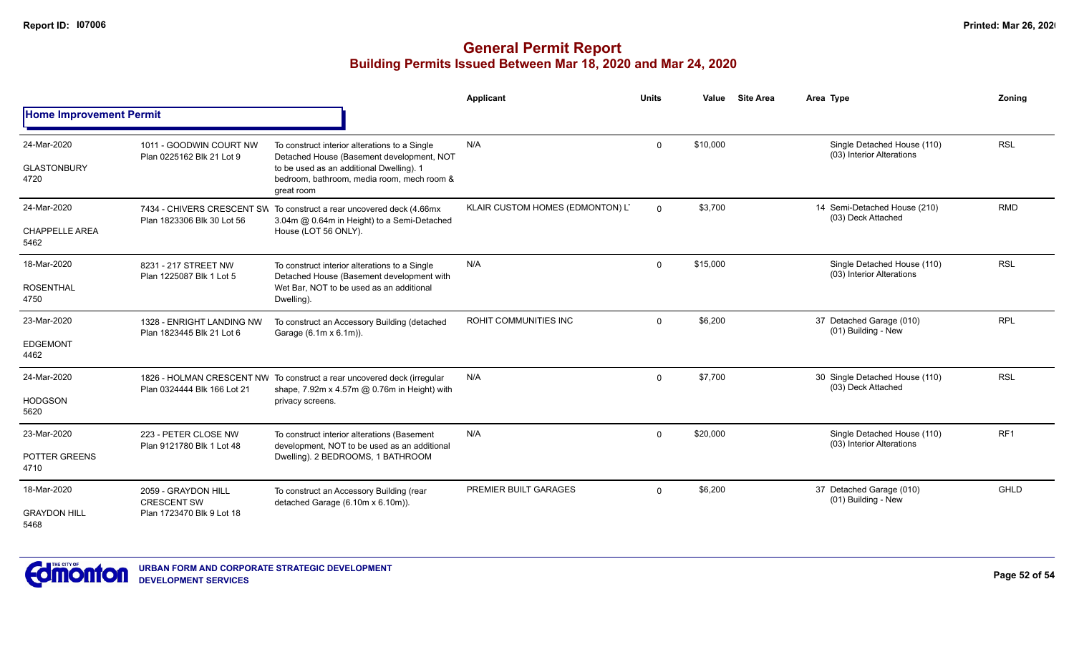|                                              |                                                                        |                                                                                                                                                                                                    | <b>Applicant</b>                 | <b>Units</b> | Value    | <b>Site Area</b> | Area Type                                                | Zoning     |
|----------------------------------------------|------------------------------------------------------------------------|----------------------------------------------------------------------------------------------------------------------------------------------------------------------------------------------------|----------------------------------|--------------|----------|------------------|----------------------------------------------------------|------------|
| <b>Home Improvement Permit</b>               |                                                                        |                                                                                                                                                                                                    |                                  |              |          |                  |                                                          |            |
| 24-Mar-2020<br><b>GLASTONBURY</b><br>4720    | 1011 - GOODWIN COURT NW<br>Plan 0225162 Blk 21 Lot 9                   | To construct interior alterations to a Single<br>Detached House (Basement development, NOT<br>to be used as an additional Dwelling). 1<br>bedroom, bathroom, media room, mech room &<br>great room | N/A                              | $\Omega$     | \$10,000 |                  | Single Detached House (110)<br>(03) Interior Alterations | <b>RSL</b> |
| 24-Mar-2020<br><b>CHAPPELLE AREA</b><br>5462 | Plan 1823306 Blk 30 Lot 56                                             | 7434 - CHIVERS CRESCENT SW To construct a rear uncovered deck (4.66mx<br>3.04m @ 0.64m in Height) to a Semi-Detached<br>House (LOT 56 ONLY).                                                       | KLAIR CUSTOM HOMES (EDMONTON) L' | $\Omega$     | \$3,700  |                  | 14 Semi-Detached House (210)<br>(03) Deck Attached       | <b>RMD</b> |
| 18-Mar-2020<br><b>ROSENTHAL</b><br>4750      | 8231 - 217 STREET NW<br>Plan 1225087 Blk 1 Lot 5                       | To construct interior alterations to a Single<br>Detached House (Basement development with<br>Wet Bar, NOT to be used as an additional<br>Dwelling).                                               | N/A                              | $\Omega$     | \$15,000 |                  | Single Detached House (110)<br>(03) Interior Alterations | <b>RSL</b> |
| 23-Mar-2020<br><b>EDGEMONT</b><br>4462       | 1328 - ENRIGHT LANDING NW<br>Plan 1823445 Blk 21 Lot 6                 | To construct an Accessory Building (detached<br>Garage (6.1m x 6.1m)).                                                                                                                             | <b>ROHIT COMMUNITIES INC</b>     | $\Omega$     | \$6,200  |                  | 37 Detached Garage (010)<br>(01) Building - New          | <b>RPL</b> |
| 24-Mar-2020<br><b>HODGSON</b><br>5620        | Plan 0324444 Blk 166 Lot 21                                            | 1826 - HOLMAN CRESCENT NW To construct a rear uncovered deck (irregular<br>shape, 7.92m x 4.57m @ 0.76m in Height) with<br>privacy screens.                                                        | N/A                              | $\Omega$     | \$7,700  |                  | 30 Single Detached House (110)<br>(03) Deck Attached     | <b>RSL</b> |
| 23-Mar-2020<br>POTTER GREENS<br>4710         | 223 - PETER CLOSE NW<br>Plan 9121780 Blk 1 Lot 48                      | To construct interior alterations (Basement<br>development, NOT to be used as an additional<br>Dwelling). 2 BEDROOMS, 1 BATHROOM                                                                   | N/A                              | $\mathbf 0$  | \$20,000 |                  | Single Detached House (110)<br>(03) Interior Alterations | RF1        |
| 18-Mar-2020<br><b>GRAYDON HILL</b><br>5468   | 2059 - GRAYDON HILL<br><b>CRESCENT SW</b><br>Plan 1723470 Blk 9 Lot 18 | To construct an Accessory Building (rear<br>detached Garage (6.10m x 6.10m)).                                                                                                                      | PREMIER BUILT GARAGES            | $\Omega$     | \$6,200  |                  | 37 Detached Garage (010)<br>(01) Building - New          | GHLD       |

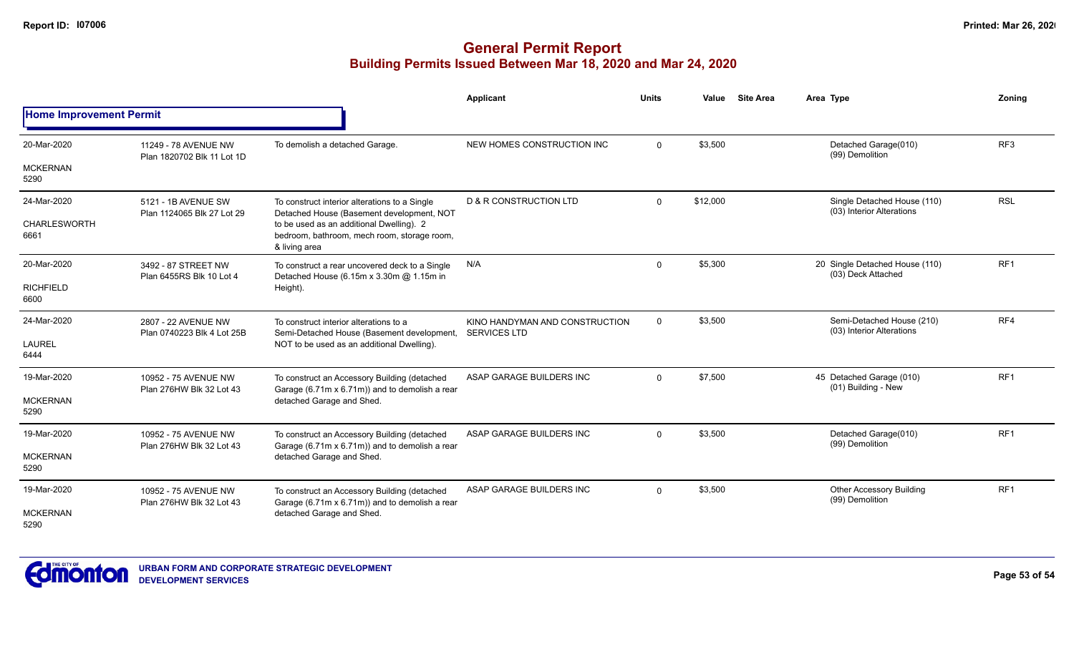|                                |                                                   |                                                                                                          | <b>Applicant</b>                                      | <b>Units</b> | Value    | <b>Site Area</b> | Area Type                                                | Zoning          |
|--------------------------------|---------------------------------------------------|----------------------------------------------------------------------------------------------------------|-------------------------------------------------------|--------------|----------|------------------|----------------------------------------------------------|-----------------|
| <b>Home Improvement Permit</b> |                                                   |                                                                                                          |                                                       |              |          |                  |                                                          |                 |
| 20-Mar-2020                    | 11249 - 78 AVENUE NW                              | To demolish a detached Garage.                                                                           | NEW HOMES CONSTRUCTION INC                            | $\Omega$     | \$3,500  |                  | Detached Garage(010)<br>(99) Demolition                  | RF <sub>3</sub> |
| <b>MCKERNAN</b><br>5290        | Plan 1820702 Blk 11 Lot 1D                        |                                                                                                          |                                                       |              |          |                  |                                                          |                 |
| 24-Mar-2020                    | 5121 - 1B AVENUE SW<br>Plan 1124065 Blk 27 Lot 29 | To construct interior alterations to a Single<br>Detached House (Basement development, NOT               | <b>D &amp; R CONSTRUCTION LTD</b>                     | $\Omega$     | \$12,000 |                  | Single Detached House (110)<br>(03) Interior Alterations | <b>RSL</b>      |
| <b>CHARLESWORTH</b><br>6661    |                                                   | to be used as an additional Dwelling). 2<br>bedroom, bathroom, mech room, storage room,<br>& living area |                                                       |              |          |                  |                                                          |                 |
| 20-Mar-2020                    | 3492 - 87 STREET NW<br>Plan 6455RS Blk 10 Lot 4   | To construct a rear uncovered deck to a Single<br>Detached House (6.15m x 3.30m @ 1.15m in               | N/A                                                   | $\Omega$     | \$5,300  |                  | 20 Single Detached House (110)<br>(03) Deck Attached     | RF <sub>1</sub> |
| <b>RICHFIELD</b><br>6600       |                                                   | Height).                                                                                                 |                                                       |              |          |                  |                                                          |                 |
| 24-Mar-2020                    | 2807 - 22 AVENUE NW<br>Plan 0740223 Blk 4 Lot 25B | To construct interior alterations to a<br>Semi-Detached House (Basement development,                     | KINO HANDYMAN AND CONSTRUCTION<br><b>SERVICES LTD</b> | $\mathbf 0$  | \$3,500  |                  | Semi-Detached House (210)<br>(03) Interior Alterations   | RF4             |
| <b>LAUREL</b><br>6444          |                                                   | NOT to be used as an additional Dwelling).                                                               |                                                       |              |          |                  |                                                          |                 |
| 19-Mar-2020                    | 10952 - 75 AVENUE NW                              | To construct an Accessory Building (detached<br>Garage (6.71m x 6.71m)) and to demolish a rear           | ASAP GARAGE BUILDERS INC                              | $\Omega$     | \$7,500  |                  | 45 Detached Garage (010)<br>(01) Building - New          | RF <sub>1</sub> |
| <b>MCKERNAN</b><br>5290        | Plan 276HW Blk 32 Lot 43                          | detached Garage and Shed.                                                                                |                                                       |              |          |                  |                                                          |                 |
| 19-Mar-2020                    | 10952 - 75 AVENUE NW<br>Plan 276HW Blk 32 Lot 43  | To construct an Accessory Building (detached                                                             | ASAP GARAGE BUILDERS INC                              | $\Omega$     | \$3,500  |                  | Detached Garage(010)<br>(99) Demolition                  | RF <sub>1</sub> |
| <b>MCKERNAN</b><br>5290        |                                                   | Garage (6.71m x 6.71m)) and to demolish a rear<br>detached Garage and Shed.                              |                                                       |              |          |                  |                                                          |                 |
| 19-Mar-2020                    | 10952 - 75 AVENUE NW<br>Plan 276HW Blk 32 Lot 43  | To construct an Accessory Building (detached                                                             | ASAP GARAGE BUILDERS INC                              | $\Omega$     | \$3,500  |                  | <b>Other Accessory Building</b><br>(99) Demolition       | RF1             |
| <b>MCKERNAN</b><br>5290        |                                                   | Garage (6.71m x 6.71m)) and to demolish a rear<br>detached Garage and Shed.                              |                                                       |              |          |                  |                                                          |                 |